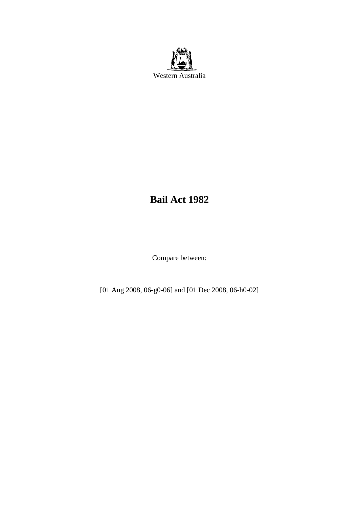

# **Bail Act 1982**

Compare between:

[01 Aug 2008, 06-g0-06] and [01 Dec 2008, 06-h0-02]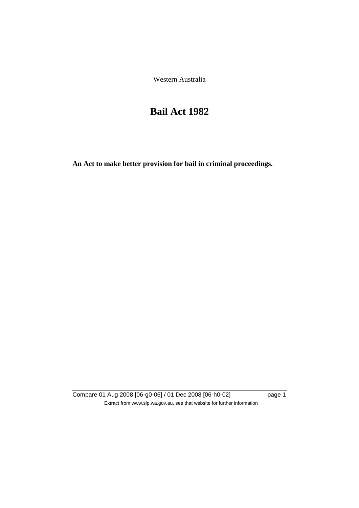Western Australia

# **Bail Act 1982**

**An Act to make better provision for bail in criminal proceedings.** 

Compare 01 Aug 2008 [06-g0-06] / 01 Dec 2008 [06-h0-02] page 1 Extract from www.slp.wa.gov.au, see that website for further information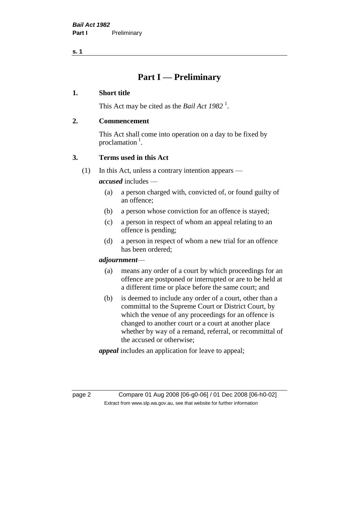# **Part I — Preliminary**

#### **1. Short title**

This Act may be cited as the *Bail Act* 1982<sup>1</sup>.

#### **2. Commencement**

This Act shall come into operation on a day to be fixed by proclamation  $<sup>1</sup>$ .</sup>

# **3. Terms used in this Act**

(1) In this Act, unless a contrary intention appears —

*accused* includes —

- (a) a person charged with, convicted of, or found guilty of an offence;
- (b) a person whose conviction for an offence is stayed;
- (c) a person in respect of whom an appeal relating to an offence is pending;
- (d) a person in respect of whom a new trial for an offence has been ordered;

#### *adjournment*—

- (a) means any order of a court by which proceedings for an offence are postponed or interrupted or are to be held at a different time or place before the same court; and
- (b) is deemed to include any order of a court, other than a committal to the Supreme Court or District Court, by which the venue of any proceedings for an offence is changed to another court or a court at another place whether by way of a remand, referral, or recommittal of the accused or otherwise;

*appeal* includes an application for leave to appeal;

page 2 Compare 01 Aug 2008 [06-g0-06] / 01 Dec 2008 [06-h0-02] Extract from www.slp.wa.gov.au, see that website for further information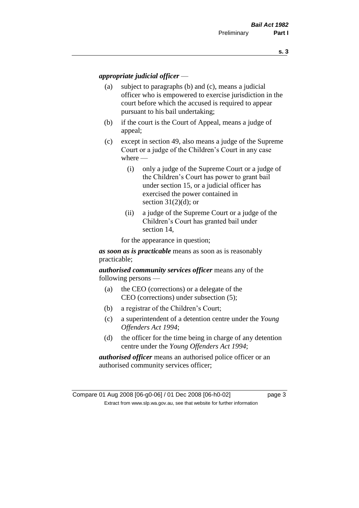#### *appropriate judicial officer* —

- (a) subject to paragraphs (b) and (c), means a judicial officer who is empowered to exercise jurisdiction in the court before which the accused is required to appear pursuant to his bail undertaking;
- (b) if the court is the Court of Appeal, means a judge of appeal;
- (c) except in section 49, also means a judge of the Supreme Court or a judge of the Children's Court in any case where —
	- (i) only a judge of the Supreme Court or a judge of the Children's Court has power to grant bail under section 15, or a judicial officer has exercised the power contained in section  $31(2)(d)$ ; or
	- (ii) a judge of the Supreme Court or a judge of the Children's Court has granted bail under section 14,

for the appearance in question;

*as soon as is practicable* means as soon as is reasonably practicable;

*authorised community services officer* means any of the following persons —

- (a) the CEO (corrections) or a delegate of the CEO (corrections) under subsection (5);
- (b) a registrar of the Children's Court;
- (c) a superintendent of a detention centre under the *Young Offenders Act 1994*;
- (d) the officer for the time being in charge of any detention centre under the *Young Offenders Act 1994*;

*authorised officer* means an authorised police officer or an authorised community services officer;

Compare 01 Aug 2008 [06-g0-06] / 01 Dec 2008 [06-h0-02] page 3 Extract from www.slp.wa.gov.au, see that website for further information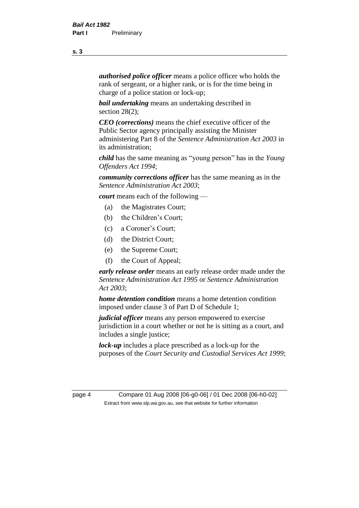*authorised police officer* means a police officer who holds the rank of sergeant, or a higher rank, or is for the time being in charge of a police station or lock-up;

*bail undertaking* means an undertaking described in section 28(2):

*CEO (corrections)* means the chief executive officer of the Public Sector agency principally assisting the Minister administering Part 8 of the *Sentence Administration Act 2003* in its administration;

*child* has the same meaning as "young person" has in the *Young Offenders Act 1994*;

*community corrections officer* has the same meaning as in the *Sentence Administration Act 2003*;

*court* means each of the following —

- (a) the Magistrates Court;
- (b) the Children's Court;
- (c) a Coroner's Court;
- (d) the District Court;
- (e) the Supreme Court;
- (f) the Court of Appeal;

*early release order* means an early release order made under the *Sentence Administration Act 1995* or *Sentence Administration Act 2003*;

*home detention condition* means a home detention condition imposed under clause 3 of Part D of Schedule 1;

*judicial officer* means any person empowered to exercise jurisdiction in a court whether or not he is sitting as a court, and includes a single justice;

*lock-up* includes a place prescribed as a lock-up for the purposes of the *Court Security and Custodial Services Act 1999*;

page 4 Compare 01 Aug 2008 [06-g0-06] / 01 Dec 2008 [06-h0-02] Extract from www.slp.wa.gov.au, see that website for further information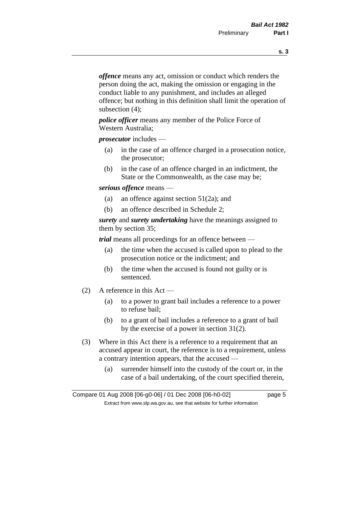*offence* means any act, omission or conduct which renders the person doing the act, making the omission or engaging in the conduct liable to any punishment, and includes an alleged offence; but nothing in this definition shall limit the operation of subsection (4);

*police officer* means any member of the Police Force of Western Australia;

*prosecutor* includes —

- (a) in the case of an offence charged in a prosecution notice, the prosecutor;
- (b) in the case of an offence charged in an indictment, the State or the Commonwealth, as the case may be;

#### *serious offence* means —

- (a) an offence against section 51(2a); and
- (b) an offence described in Schedule 2;

*surety* and *surety undertaking* have the meanings assigned to them by section 35;

*trial* means all proceedings for an offence between —

- (a) the time when the accused is called upon to plead to the prosecution notice or the indictment; and
- (b) the time when the accused is found not guilty or is sentenced.
- (2) A reference in this Act
	- (a) to a power to grant bail includes a reference to a power to refuse bail;
	- (b) to a grant of bail includes a reference to a grant of bail by the exercise of a power in section 31(2).
- (3) Where in this Act there is a reference to a requirement that an accused appear in court, the reference is to a requirement, unless a contrary intention appears, that the accused —
	- (a) surrender himself into the custody of the court or, in the case of a bail undertaking, of the court specified therein,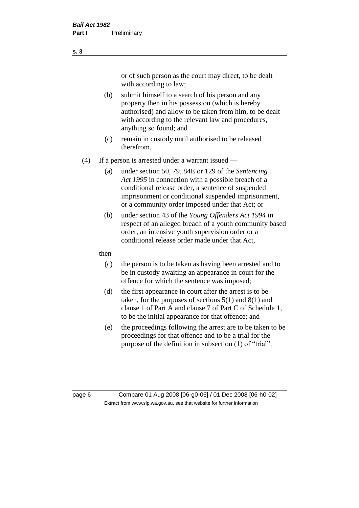or of such person as the court may direct, to be dealt with according to law;

(b) submit himself to a search of his person and any property then in his possession (which is hereby authorised) and allow to be taken from him, to be dealt with according to the relevant law and procedures, anything so found; and

- (c) remain in custody until authorised to be released therefrom.
- (4) If a person is arrested under a warrant issued
	- (a) under section 50, 79, 84E or 129 of the *Sentencing Act 1995* in connection with a possible breach of a conditional release order, a sentence of suspended imprisonment or conditional suspended imprisonment, or a community order imposed under that Act; or
	- (b) under section 43 of the *Young Offenders Act 1994* in respect of an alleged breach of a youth community based order, an intensive youth supervision order or a conditional release order made under that Act,
	- then
		- (c) the person is to be taken as having been arrested and to be in custody awaiting an appearance in court for the offence for which the sentence was imposed;
		- (d) the first appearance in court after the arrest is to be taken, for the purposes of sections  $5(1)$  and  $8(1)$  and clause 1 of Part A and clause 7 of Part C of Schedule 1, to be the initial appearance for that offence; and
		- (e) the proceedings following the arrest are to be taken to be proceedings for that offence and to be a trial for the purpose of the definition in subsection (1) of "trial".

page 6 Compare 01 Aug 2008 [06-g0-06] / 01 Dec 2008 [06-h0-02] Extract from www.slp.wa.gov.au, see that website for further information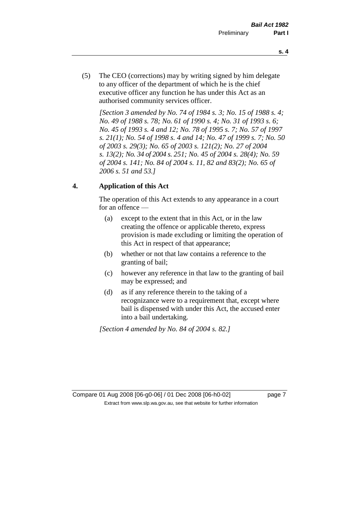- **s. 4**
- (5) The CEO (corrections) may by writing signed by him delegate to any officer of the department of which he is the chief executive officer any function he has under this Act as an authorised community services officer.

*[Section 3 amended by No. 74 of 1984 s. 3; No. 15 of 1988 s. 4; No. 49 of 1988 s. 78; No. 61 of 1990 s. 4; No. 31 of 1993 s. 6; No. 45 of 1993 s. 4 and 12; No. 78 of 1995 s. 7; No. 57 of 1997 s. 21(1); No. 54 of 1998 s. 4 and 14; No. 47 of 1999 s. 7; No. 50 of 2003 s. 29(3); No. 65 of 2003 s. 121(2); No. 27 of 2004 s. 13(2); No. 34 of 2004 s. 251; No. 45 of 2004 s. 28(4); No. 59 of 2004 s. 141; No. 84 of 2004 s. 11, 82 and 83(2); No. 65 of 2006 s. 51 and 53.]* 

# **4. Application of this Act**

The operation of this Act extends to any appearance in a court for an offence —

- (a) except to the extent that in this Act, or in the law creating the offence or applicable thereto, express provision is made excluding or limiting the operation of this Act in respect of that appearance;
- (b) whether or not that law contains a reference to the granting of bail;
- (c) however any reference in that law to the granting of bail may be expressed; and
- (d) as if any reference therein to the taking of a recognizance were to a requirement that, except where bail is dispensed with under this Act, the accused enter into a bail undertaking.

*[Section 4 amended by No. 84 of 2004 s. 82.]*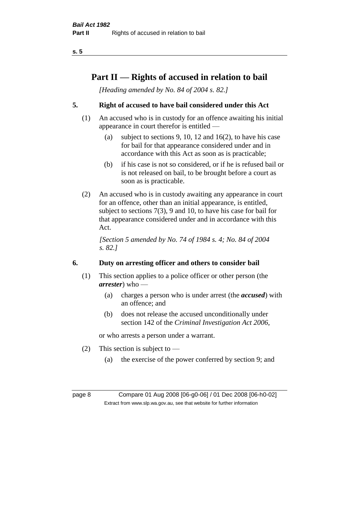# **Part II — Rights of accused in relation to bail**

*[Heading amended by No. 84 of 2004 s. 82.]* 

# **5. Right of accused to have bail considered under this Act**

- (1) An accused who is in custody for an offence awaiting his initial appearance in court therefor is entitled —
	- (a) subject to sections 9, 10, 12 and 16(2), to have his case for bail for that appearance considered under and in accordance with this Act as soon as is practicable;
	- (b) if his case is not so considered, or if he is refused bail or is not released on bail, to be brought before a court as soon as is practicable.
- (2) An accused who is in custody awaiting any appearance in court for an offence, other than an initial appearance, is entitled, subject to sections 7(3), 9 and 10, to have his case for bail for that appearance considered under and in accordance with this Act.

*[Section 5 amended by No. 74 of 1984 s. 4; No. 84 of 2004 s. 82.]* 

# **6. Duty on arresting officer and others to consider bail**

- (1) This section applies to a police officer or other person (the *arrester*) who —
	- (a) charges a person who is under arrest (the *accused*) with an offence; and
	- (b) does not release the accused unconditionally under section 142 of the *Criminal Investigation Act 2006*,

or who arrests a person under a warrant.

- (2) This section is subject to  $-$ 
	- (a) the exercise of the power conferred by section 9; and

page 8 Compare 01 Aug 2008 [06-g0-06] / 01 Dec 2008 [06-h0-02] Extract from www.slp.wa.gov.au, see that website for further information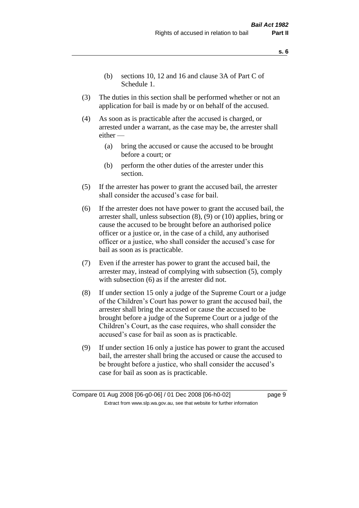- **s. 6**
- (b) sections 10, 12 and 16 and clause 3A of Part C of Schedule 1.
- (3) The duties in this section shall be performed whether or not an application for bail is made by or on behalf of the accused.
- (4) As soon as is practicable after the accused is charged, or arrested under a warrant, as the case may be, the arrester shall either —
	- (a) bring the accused or cause the accused to be brought before a court; or
	- (b) perform the other duties of the arrester under this section.
- (5) If the arrester has power to grant the accused bail, the arrester shall consider the accused's case for bail.
- (6) If the arrester does not have power to grant the accused bail, the arrester shall, unless subsection (8), (9) or (10) applies, bring or cause the accused to be brought before an authorised police officer or a justice or, in the case of a child, any authorised officer or a justice, who shall consider the accused's case for bail as soon as is practicable.
- (7) Even if the arrester has power to grant the accused bail, the arrester may, instead of complying with subsection (5), comply with subsection  $(6)$  as if the arrester did not.
- (8) If under section 15 only a judge of the Supreme Court or a judge of the Children's Court has power to grant the accused bail, the arrester shall bring the accused or cause the accused to be brought before a judge of the Supreme Court or a judge of the Children's Court, as the case requires, who shall consider the accused's case for bail as soon as is practicable.
- (9) If under section 16 only a justice has power to grant the accused bail, the arrester shall bring the accused or cause the accused to be brought before a justice, who shall consider the accused's case for bail as soon as is practicable.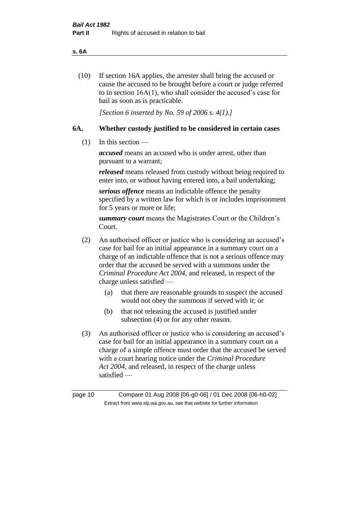#### **s. 6A**

(10) If section 16A applies, the arrester shall bring the accused or cause the accused to be brought before a court or judge referred to in section 16A(1), who shall consider the accused's case for bail as soon as is practicable.

*[Section 6 inserted by No. 59 of 2006 s. 4(1).]* 

#### **6A. Whether custody justified to be considered in certain cases**

(1) In this section —

*accused* means an accused who is under arrest, other than pursuant to a warrant;

*released* means released from custody without being required to enter into, or without having entered into, a bail undertaking;

*serious offence* means an indictable offence the penalty specified by a written law for which is or includes imprisonment for 5 years or more or life;

*summary court* means the Magistrates Court or the Children's Court.

- (2) An authorised officer or justice who is considering an accused's case for bail for an initial appearance in a summary court on a charge of an indictable offence that is not a serious offence may order that the accused be served with a summons under the *Criminal Procedure Act 2004*, and released, in respect of the charge unless satisfied —
	- (a) that there are reasonable grounds to suspect the accused would not obey the summons if served with it; or
	- (b) that not releasing the accused is justified under subsection (4) or for any other reason.
- (3) An authorised officer or justice who is considering an accused's case for bail for an initial appearance in a summary court on a charge of a simple offence must order that the accused be served with a court hearing notice under the *Criminal Procedure Act 2004*, and released, in respect of the charge unless satisfied —

page 10 Compare 01 Aug 2008 [06-g0-06] / 01 Dec 2008 [06-h0-02] Extract from www.slp.wa.gov.au, see that website for further information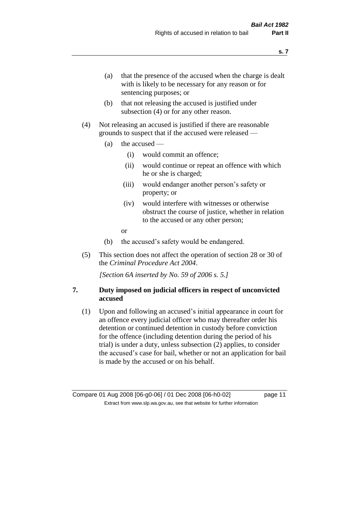- (a) that the presence of the accused when the charge is dealt with is likely to be necessary for any reason or for sentencing purposes; or
- (b) that not releasing the accused is justified under subsection (4) or for any other reason.
- (4) Not releasing an accused is justified if there are reasonable grounds to suspect that if the accused were released —
	- (a) the accused
		- (i) would commit an offence;
		- (ii) would continue or repeat an offence with which he or she is charged;
		- (iii) would endanger another person's safety or property; or
		- (iv) would interfere with witnesses or otherwise obstruct the course of justice, whether in relation to the accused or any other person;
		- or
	- (b) the accused's safety would be endangered.
- (5) This section does not affect the operation of section 28 or 30 of the *Criminal Procedure Act 2004*.

*[Section 6A inserted by No. 59 of 2006 s. 5.]* 

#### **7. Duty imposed on judicial officers in respect of unconvicted accused**

(1) Upon and following an accused's initial appearance in court for an offence every judicial officer who may thereafter order his detention or continued detention in custody before conviction for the offence (including detention during the period of his trial) is under a duty, unless subsection (2) applies, to consider the accused's case for bail, whether or not an application for bail is made by the accused or on his behalf.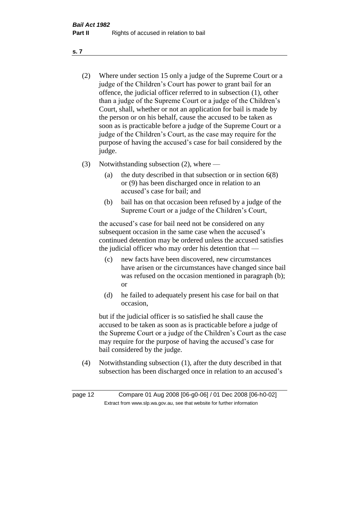- (2) Where under section 15 only a judge of the Supreme Court or a judge of the Children's Court has power to grant bail for an offence, the judicial officer referred to in subsection (1), other than a judge of the Supreme Court or a judge of the Children's Court, shall, whether or not an application for bail is made by the person or on his behalf, cause the accused to be taken as soon as is practicable before a judge of the Supreme Court or a judge of the Children's Court, as the case may require for the purpose of having the accused's case for bail considered by the judge.
- (3) Notwithstanding subsection (2), where
	- (a) the duty described in that subsection or in section 6(8) or (9) has been discharged once in relation to an accused's case for bail; and
	- (b) bail has on that occasion been refused by a judge of the Supreme Court or a judge of the Children's Court,

the accused's case for bail need not be considered on any subsequent occasion in the same case when the accused's continued detention may be ordered unless the accused satisfies the judicial officer who may order his detention that —

- (c) new facts have been discovered, new circumstances have arisen or the circumstances have changed since bail was refused on the occasion mentioned in paragraph (b); or
- (d) he failed to adequately present his case for bail on that occasion,

but if the judicial officer is so satisfied he shall cause the accused to be taken as soon as is practicable before a judge of the Supreme Court or a judge of the Children's Court as the case may require for the purpose of having the accused's case for bail considered by the judge.

(4) Notwithstanding subsection (1), after the duty described in that subsection has been discharged once in relation to an accused's

page 12 Compare 01 Aug 2008 [06-g0-06] / 01 Dec 2008 [06-h0-02] Extract from www.slp.wa.gov.au, see that website for further information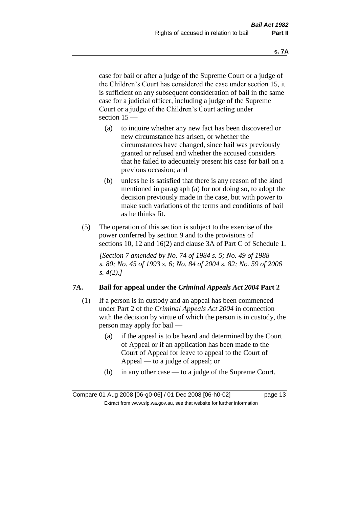case for bail or after a judge of the Supreme Court or a judge of the Children's Court has considered the case under section 15, it is sufficient on any subsequent consideration of bail in the same case for a judicial officer, including a judge of the Supreme Court or a judge of the Children's Court acting under section 15 —

- (a) to inquire whether any new fact has been discovered or new circumstance has arisen, or whether the circumstances have changed, since bail was previously granted or refused and whether the accused considers that he failed to adequately present his case for bail on a previous occasion; and
- (b) unless he is satisfied that there is any reason of the kind mentioned in paragraph (a) for not doing so, to adopt the decision previously made in the case, but with power to make such variations of the terms and conditions of bail as he thinks fit.
- (5) The operation of this section is subject to the exercise of the power conferred by section 9 and to the provisions of sections 10, 12 and 16(2) and clause 3A of Part C of Schedule 1.

*[Section 7 amended by No. 74 of 1984 s. 5; No. 49 of 1988 s. 80; No. 45 of 1993 s. 6; No. 84 of 2004 s. 82; No. 59 of 2006 s. 4(2).]* 

#### **7A. Bail for appeal under the** *Criminal Appeals Act 2004* **Part 2**

- (1) If a person is in custody and an appeal has been commenced under Part 2 of the *Criminal Appeals Act 2004* in connection with the decision by virtue of which the person is in custody, the person may apply for bail —
	- (a) if the appeal is to be heard and determined by the Court of Appeal or if an application has been made to the Court of Appeal for leave to appeal to the Court of Appeal — to a judge of appeal; or
	- (b) in any other case to a judge of the Supreme Court.

Compare 01 Aug 2008 [06-g0-06] / 01 Dec 2008 [06-h0-02] page 13 Extract from www.slp.wa.gov.au, see that website for further information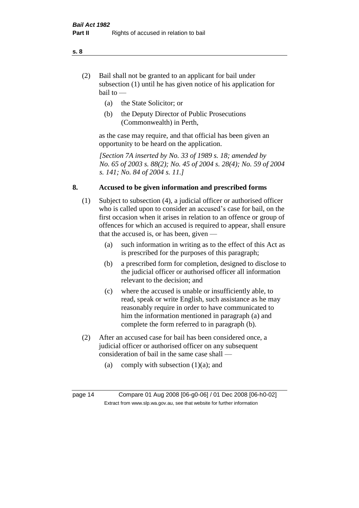- (2) Bail shall not be granted to an applicant for bail under subsection (1) until he has given notice of his application for bail to —
	- (a) the State Solicitor; or
	- (b) the Deputy Director of Public Prosecutions (Commonwealth) in Perth,

as the case may require, and that official has been given an opportunity to be heard on the application.

*[Section 7A inserted by No. 33 of 1989 s. 18; amended by No. 65 of 2003 s. 88(2); No. 45 of 2004 s. 28(4); No. 59 of 2004 s. 141; No. 84 of 2004 s. 11.]* 

#### **8. Accused to be given information and prescribed forms**

- (1) Subject to subsection (4), a judicial officer or authorised officer who is called upon to consider an accused's case for bail, on the first occasion when it arises in relation to an offence or group of offences for which an accused is required to appear, shall ensure that the accused is, or has been, given —
	- (a) such information in writing as to the effect of this Act as is prescribed for the purposes of this paragraph;
	- (b) a prescribed form for completion, designed to disclose to the judicial officer or authorised officer all information relevant to the decision; and
	- (c) where the accused is unable or insufficiently able, to read, speak or write English, such assistance as he may reasonably require in order to have communicated to him the information mentioned in paragraph (a) and complete the form referred to in paragraph (b).
- (2) After an accused case for bail has been considered once, a judicial officer or authorised officer on any subsequent consideration of bail in the same case shall —
	- (a) comply with subsection  $(1)(a)$ ; and

page 14 Compare 01 Aug 2008 [06-g0-06] / 01 Dec 2008 [06-h0-02] Extract from www.slp.wa.gov.au, see that website for further information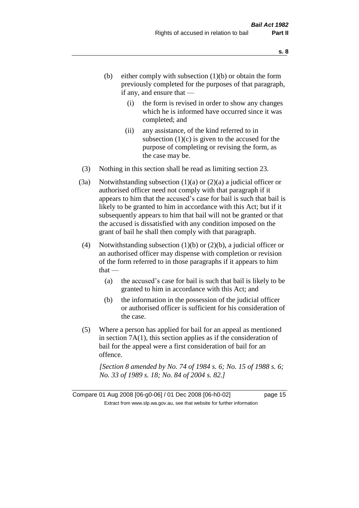- (b) either comply with subsection  $(1)(b)$  or obtain the form previously completed for the purposes of that paragraph, if any, and ensure that —
	- (i) the form is revised in order to show any changes which he is informed have occurred since it was completed; and
	- (ii) any assistance, of the kind referred to in subsection  $(1)(c)$  is given to the accused for the purpose of completing or revising the form, as the case may be.
- (3) Nothing in this section shall be read as limiting section 23.
- (3a) Notwithstanding subsection  $(1)(a)$  or  $(2)(a)$  a judicial officer or authorised officer need not comply with that paragraph if it appears to him that the accused's case for bail is such that bail is likely to be granted to him in accordance with this Act; but if it subsequently appears to him that bail will not be granted or that the accused is dissatisfied with any condition imposed on the grant of bail he shall then comply with that paragraph.
- (4) Notwithstanding subsection (1)(b) or (2)(b), a judicial officer or an authorised officer may dispense with completion or revision of the form referred to in those paragraphs if it appears to him  $that -$ 
	- (a) the accused's case for bail is such that bail is likely to be granted to him in accordance with this Act; and
	- (b) the information in the possession of the judicial officer or authorised officer is sufficient for his consideration of the case.
- (5) Where a person has applied for bail for an appeal as mentioned in section 7A(1), this section applies as if the consideration of bail for the appeal were a first consideration of bail for an offence.

*[Section 8 amended by No. 74 of 1984 s. 6; No. 15 of 1988 s. 6; No. 33 of 1989 s. 18; No. 84 of 2004 s. 82.]*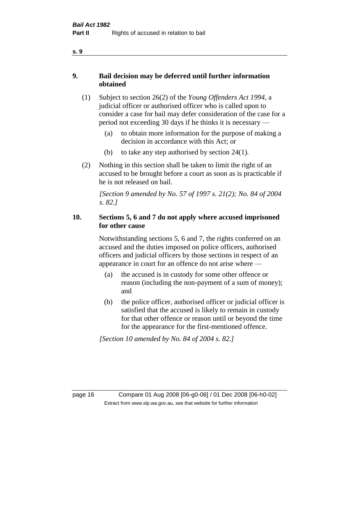- **9. Bail decision may be deferred until further information obtained** 
	- (1) Subject to section 26(2) of the *Young Offenders Act 1994*, a judicial officer or authorised officer who is called upon to consider a case for bail may defer consideration of the case for a period not exceeding 30 days if he thinks it is necessary —
		- (a) to obtain more information for the purpose of making a decision in accordance with this Act; or
		- (b) to take any step authorised by section  $24(1)$ .
	- (2) Nothing in this section shall be taken to limit the right of an accused to be brought before a court as soon as is practicable if he is not released on bail.

*[Section 9 amended by No. 57 of 1997 s. 21(2); No. 84 of 2004 s. 82.]*

### **10. Sections 5, 6 and 7 do not apply where accused imprisoned for other cause**

Notwithstanding sections 5, 6 and 7, the rights conferred on an accused and the duties imposed on police officers, authorised officers and judicial officers by those sections in respect of an appearance in court for an offence do not arise where —

- (a) the accused is in custody for some other offence or reason (including the non-payment of a sum of money); and
- (b) the police officer, authorised officer or judicial officer is satisfied that the accused is likely to remain in custody for that other offence or reason until or beyond the time for the appearance for the first-mentioned offence.

*[Section 10 amended by No. 84 of 2004 s. 82.]*

page 16 Compare 01 Aug 2008 [06-g0-06] / 01 Dec 2008 [06-h0-02] Extract from www.slp.wa.gov.au, see that website for further information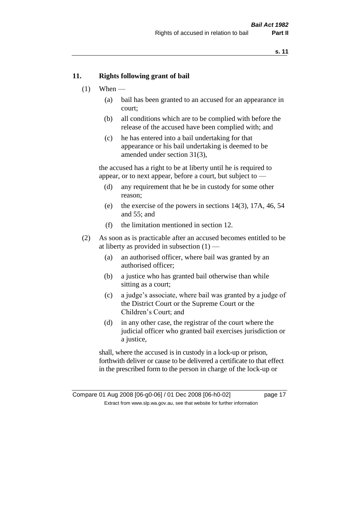#### **11. Rights following grant of bail**

- $(1)$  When
	- (a) bail has been granted to an accused for an appearance in court;
	- (b) all conditions which are to be complied with before the release of the accused have been complied with; and
	- (c) he has entered into a bail undertaking for that appearance or his bail undertaking is deemed to be amended under section 31(3),

the accused has a right to be at liberty until he is required to appear, or to next appear, before a court, but subject to —

- (d) any requirement that he be in custody for some other reason;
- (e) the exercise of the powers in sections 14(3), 17A, 46, 54 and 55; and
- (f) the limitation mentioned in section 12.
- (2) As soon as is practicable after an accused becomes entitled to be at liberty as provided in subsection  $(1)$  —
	- (a) an authorised officer, where bail was granted by an authorised officer;
	- (b) a justice who has granted bail otherwise than while sitting as a court;
	- (c) a judge's associate, where bail was granted by a judge of the District Court or the Supreme Court or the Children's Court; and
	- (d) in any other case, the registrar of the court where the judicial officer who granted bail exercises jurisdiction or a justice,

shall, where the accused is in custody in a lock-up or prison, forthwith deliver or cause to be delivered a certificate to that effect in the prescribed form to the person in charge of the lock-up or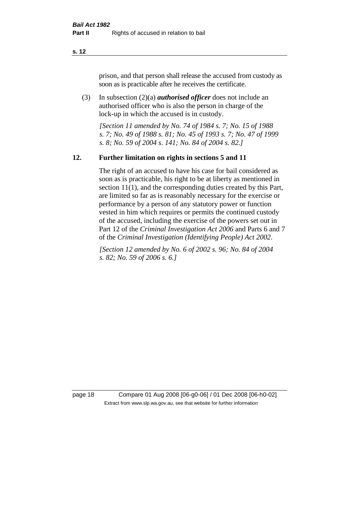prison, and that person shall release the accused from custody as soon as is practicable after he receives the certificate.

(3) In subsection (2)(a) *authorised officer* does not include an authorised officer who is also the person in charge of the lock-up in which the accused is in custody.

*[Section 11 amended by No. 74 of 1984 s. 7; No. 15 of 1988 s. 7; No. 49 of 1988 s. 81; No. 45 of 1993 s. 7; No. 47 of 1999 s. 8; No. 59 of 2004 s. 141; No. 84 of 2004 s. 82.]* 

#### **12. Further limitation on rights in sections 5 and 11**

The right of an accused to have his case for bail considered as soon as is practicable, his right to be at liberty as mentioned in section 11(1), and the corresponding duties created by this Part, are limited so far as is reasonably necessary for the exercise or performance by a person of any statutory power or function vested in him which requires or permits the continued custody of the accused, including the exercise of the powers set out in Part 12 of the *Criminal Investigation Act 2006* and Parts 6 and 7 of the *Criminal Investigation (Identifying People) Act 2002*.

*[Section 12 amended by No. 6 of 2002 s. 96; No. 84 of 2004 s. 82; No. 59 of 2006 s. 6.]*

page 18 Compare 01 Aug 2008 [06-g0-06] / 01 Dec 2008 [06-h0-02] Extract from www.slp.wa.gov.au, see that website for further information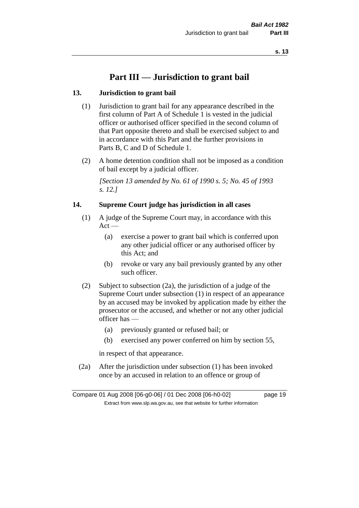# **Part III — Jurisdiction to grant bail**

#### **13. Jurisdiction to grant bail**

- (1) Jurisdiction to grant bail for any appearance described in the first column of Part A of Schedule 1 is vested in the judicial officer or authorised officer specified in the second column of that Part opposite thereto and shall be exercised subject to and in accordance with this Part and the further provisions in Parts B, C and D of Schedule 1.
- (2) A home detention condition shall not be imposed as a condition of bail except by a judicial officer.

*[Section 13 amended by No. 61 of 1990 s. 5; No. 45 of 1993 s. 12.]* 

#### **14. Supreme Court judge has jurisdiction in all cases**

- (1) A judge of the Supreme Court may, in accordance with this  $Act -$ 
	- (a) exercise a power to grant bail which is conferred upon any other judicial officer or any authorised officer by this Act; and
	- (b) revoke or vary any bail previously granted by any other such officer.
- (2) Subject to subsection (2a), the jurisdiction of a judge of the Supreme Court under subsection (1) in respect of an appearance by an accused may be invoked by application made by either the prosecutor or the accused, and whether or not any other judicial officer has —
	- (a) previously granted or refused bail; or
	- (b) exercised any power conferred on him by section 55,

in respect of that appearance.

(2a) After the jurisdiction under subsection (1) has been invoked once by an accused in relation to an offence or group of

Compare 01 Aug 2008 [06-g0-06] / 01 Dec 2008 [06-h0-02] page 19 Extract from www.slp.wa.gov.au, see that website for further information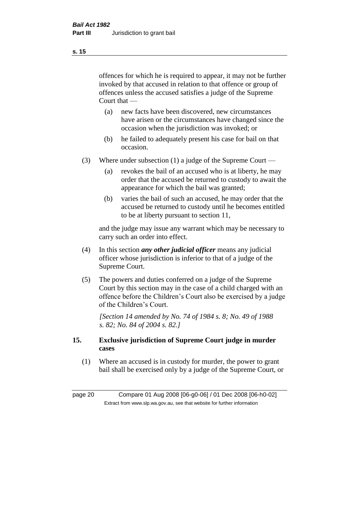offences for which he is required to appear, it may not be further invoked by that accused in relation to that offence or group of offences unless the accused satisfies a judge of the Supreme Court that —

- (a) new facts have been discovered, new circumstances have arisen or the circumstances have changed since the occasion when the jurisdiction was invoked; or
- (b) he failed to adequately present his case for bail on that occasion.
- (3) Where under subsection (1) a judge of the Supreme Court
	- (a) revokes the bail of an accused who is at liberty, he may order that the accused be returned to custody to await the appearance for which the bail was granted;
	- (b) varies the bail of such an accused, he may order that the accused be returned to custody until he becomes entitled to be at liberty pursuant to section 11,

and the judge may issue any warrant which may be necessary to carry such an order into effect.

- (4) In this section *any other judicial officer* means any judicial officer whose jurisdiction is inferior to that of a judge of the Supreme Court.
- (5) The powers and duties conferred on a judge of the Supreme Court by this section may in the case of a child charged with an offence before the Children's Court also be exercised by a judge of the Children's Court.

*[Section 14 amended by No. 74 of 1984 s. 8; No. 49 of 1988 s. 82; No. 84 of 2004 s. 82.]* 

#### **15. Exclusive jurisdiction of Supreme Court judge in murder cases**

(1) Where an accused is in custody for murder, the power to grant bail shall be exercised only by a judge of the Supreme Court, or

page 20 Compare 01 Aug 2008 [06-g0-06] / 01 Dec 2008 [06-h0-02] Extract from www.slp.wa.gov.au, see that website for further information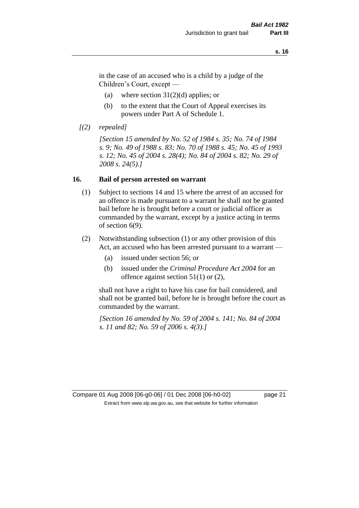in the case of an accused who is a child by a judge of the Children's Court, except —

- (a) where section  $31(2)(d)$  applies; or
- (b) to the extent that the Court of Appeal exercises its powers under Part A of Schedule 1.
- *[(2) repealed]*

*[Section 15 amended by No. 52 of 1984 s. 35; No. 74 of 1984 s. 9; No. 49 of 1988 s. 83; No. 70 of 1988 s. 45; No. 45 of 1993 s. 12; No. 45 of 2004 s. 28(4); No. 84 of 2004 s. 82; No. 29 of 2008 s. 24(5).]* 

#### **16. Bail of person arrested on warrant**

- (1) Subject to sections 14 and 15 where the arrest of an accused for an offence is made pursuant to a warrant he shall not be granted bail before he is brought before a court or judicial officer as commanded by the warrant, except by a justice acting in terms of section 6(9).
- (2) Notwithstanding subsection (1) or any other provision of this Act, an accused who has been arrested pursuant to a warrant —
	- (a) issued under section 56; or
	- (b) issued under the *Criminal Procedure Act 2004* for an offence against section 51(1) or (2),

shall not have a right to have his case for bail considered, and shall not be granted bail, before he is brought before the court as commanded by the warrant.

*[Section 16 amended by No. 59 of 2004 s. 141; No. 84 of 2004 s. 11 and 82; No. 59 of 2006 s. 4(3).]*

Compare 01 Aug 2008 [06-g0-06] / 01 Dec 2008 [06-h0-02] page 21 Extract from www.slp.wa.gov.au, see that website for further information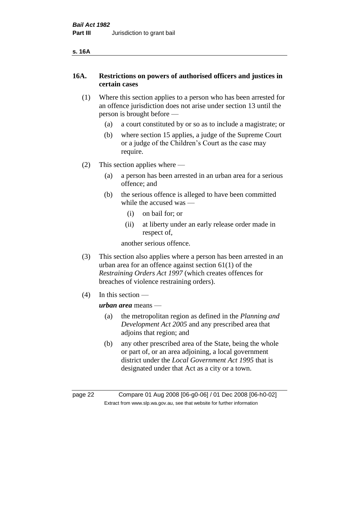#### **s. 16A**

#### **16A. Restrictions on powers of authorised officers and justices in certain cases**

- (1) Where this section applies to a person who has been arrested for an offence jurisdiction does not arise under section 13 until the person is brought before —
	- (a) a court constituted by or so as to include a magistrate; or
	- (b) where section 15 applies, a judge of the Supreme Court or a judge of the Children's Court as the case may require.
- (2) This section applies where
	- (a) a person has been arrested in an urban area for a serious offence; and
	- (b) the serious offence is alleged to have been committed while the accused was —
		- (i) on bail for; or
		- (ii) at liberty under an early release order made in respect of,

another serious offence.

- (3) This section also applies where a person has been arrested in an urban area for an offence against section 61(1) of the *Restraining Orders Act 1997* (which creates offences for breaches of violence restraining orders).
- (4) In this section —

#### *urban area* means —

- (a) the metropolitan region as defined in the *Planning and Development Act 2005* and any prescribed area that adjoins that region; and
- (b) any other prescribed area of the State, being the whole or part of, or an area adjoining, a local government district under the *Local Government Act 1995* that is designated under that Act as a city or a town.

page 22 Compare 01 Aug 2008 [06-g0-06] / 01 Dec 2008 [06-h0-02] Extract from www.slp.wa.gov.au, see that website for further information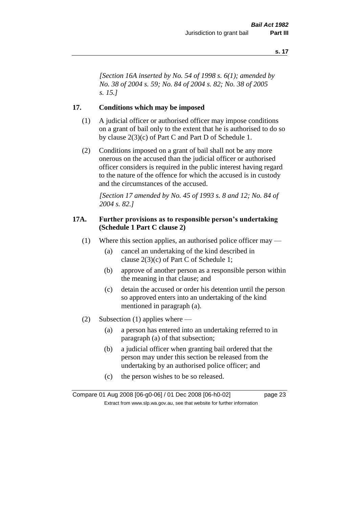*[Section 16A inserted by No. 54 of 1998 s. 6(1); amended by No. 38 of 2004 s. 59; No. 84 of 2004 s. 82; No. 38 of 2005 s. 15.]*

#### **17. Conditions which may be imposed**

- (1) A judicial officer or authorised officer may impose conditions on a grant of bail only to the extent that he is authorised to do so by clause 2(3)(c) of Part C and Part D of Schedule 1.
- (2) Conditions imposed on a grant of bail shall not be any more onerous on the accused than the judicial officer or authorised officer considers is required in the public interest having regard to the nature of the offence for which the accused is in custody and the circumstances of the accused.

*[Section 17 amended by No. 45 of 1993 s. 8 and 12; No. 84 of 2004 s. 82.]* 

#### **17A. Further provisions as to responsible person's undertaking (Schedule 1 Part C clause 2)**

- (1) Where this section applies, an authorised police officer may
	- (a) cancel an undertaking of the kind described in clause 2(3)(c) of Part C of Schedule 1;
	- (b) approve of another person as a responsible person within the meaning in that clause; and
	- (c) detain the accused or order his detention until the person so approved enters into an undertaking of the kind mentioned in paragraph (a).
- (2) Subsection (1) applies where
	- (a) a person has entered into an undertaking referred to in paragraph (a) of that subsection;
	- (b) a judicial officer when granting bail ordered that the person may under this section be released from the undertaking by an authorised police officer; and
	- (c) the person wishes to be so released.

Compare 01 Aug 2008 [06-g0-06] / 01 Dec 2008 [06-h0-02] page 23 Extract from www.slp.wa.gov.au, see that website for further information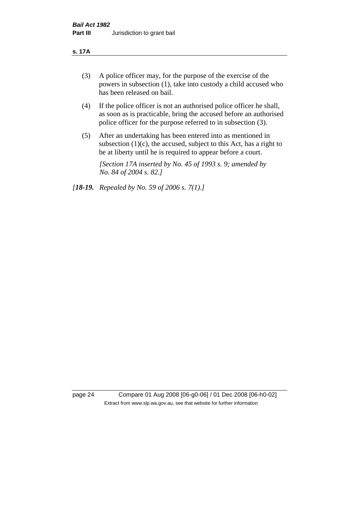#### **s. 17A**

- (3) A police officer may, for the purpose of the exercise of the powers in subsection (1), take into custody a child accused who has been released on bail.
- (4) If the police officer is not an authorised police officer he shall, as soon as is practicable, bring the accused before an authorised police officer for the purpose referred to in subsection (3).
- (5) After an undertaking has been entered into as mentioned in subsection  $(1)(c)$ , the accused, subject to this Act, has a right to be at liberty until he is required to appear before a court.

*[Section 17A inserted by No. 45 of 1993 s. 9; amended by No. 84 of 2004 s. 82.]* 

*[18-19. Repealed by No. 59 of 2006 s. 7(1).]*

page 24 Compare 01 Aug 2008 [06-g0-06] / 01 Dec 2008 [06-h0-02] Extract from www.slp.wa.gov.au, see that website for further information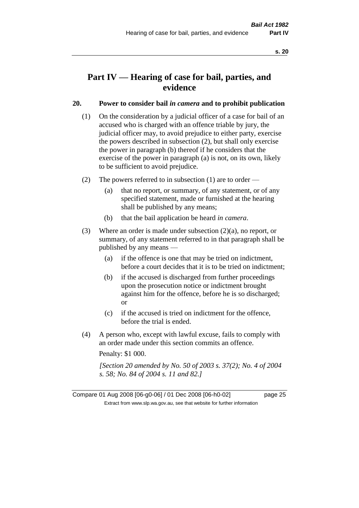# **Part IV — Hearing of case for bail, parties, and evidence**

#### **20. Power to consider bail** *in camera* **and to prohibit publication**

- (1) On the consideration by a judicial officer of a case for bail of an accused who is charged with an offence triable by jury, the judicial officer may, to avoid prejudice to either party, exercise the powers described in subsection (2), but shall only exercise the power in paragraph (b) thereof if he considers that the exercise of the power in paragraph (a) is not, on its own, likely to be sufficient to avoid prejudice.
- (2) The powers referred to in subsection (1) are to order
	- (a) that no report, or summary, of any statement, or of any specified statement, made or furnished at the hearing shall be published by any means;
	- (b) that the bail application be heard *in camera*.
- (3) Where an order is made under subsection (2)(a), no report, or summary, of any statement referred to in that paragraph shall be published by any means —
	- (a) if the offence is one that may be tried on indictment, before a court decides that it is to be tried on indictment;
	- (b) if the accused is discharged from further proceedings upon the prosecution notice or indictment brought against him for the offence, before he is so discharged; or
	- (c) if the accused is tried on indictment for the offence, before the trial is ended.
- (4) A person who, except with lawful excuse, fails to comply with an order made under this section commits an offence.

Penalty: \$1 000.

*[Section 20 amended by No. 50 of 2003 s. 37(2); No. 4 of 2004 s. 58; No. 84 of 2004 s. 11 and 82.]*

Compare 01 Aug 2008 [06-g0-06] / 01 Dec 2008 [06-h0-02] page 25 Extract from www.slp.wa.gov.au, see that website for further information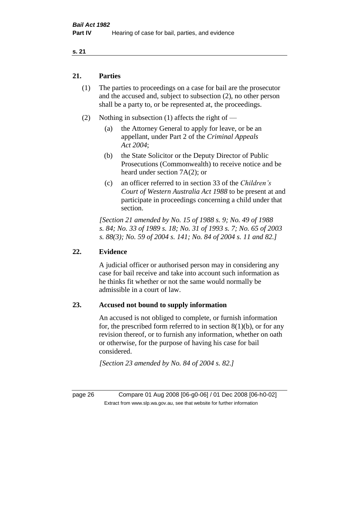#### **21. Parties**

- (1) The parties to proceedings on a case for bail are the prosecutor and the accused and, subject to subsection (2), no other person shall be a party to, or be represented at, the proceedings.
- (2) Nothing in subsection (1) affects the right of
	- (a) the Attorney General to apply for leave, or be an appellant, under Part 2 of the *Criminal Appeals Act 2004*;
	- (b) the State Solicitor or the Deputy Director of Public Prosecutions (Commonwealth) to receive notice and be heard under section 7A(2); or
	- (c) an officer referred to in section 33 of the *Children's Court of Western Australia Act 1988* to be present at and participate in proceedings concerning a child under that section.

*[Section 21 amended by No. 15 of 1988 s. 9; No. 49 of 1988 s. 84; No. 33 of 1989 s. 18; No. 31 of 1993 s. 7; No. 65 of 2003 s. 88(3); No. 59 of 2004 s. 141; No. 84 of 2004 s. 11 and 82.]* 

#### **22. Evidence**

A judicial officer or authorised person may in considering any case for bail receive and take into account such information as he thinks fit whether or not the same would normally be admissible in a court of law.

#### **23. Accused not bound to supply information**

An accused is not obliged to complete, or furnish information for, the prescribed form referred to in section  $8(1)(b)$ , or for any revision thereof, or to furnish any information, whether on oath or otherwise, for the purpose of having his case for bail considered.

*[Section 23 amended by No. 84 of 2004 s. 82.]* 

page 26 Compare 01 Aug 2008 [06-g0-06] / 01 Dec 2008 [06-h0-02] Extract from www.slp.wa.gov.au, see that website for further information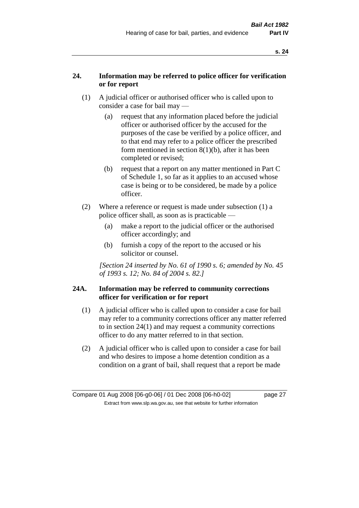# **24. Information may be referred to police officer for verification or for report**

- (1) A judicial officer or authorised officer who is called upon to consider a case for bail may —
	- (a) request that any information placed before the judicial officer or authorised officer by the accused for the purposes of the case be verified by a police officer, and to that end may refer to a police officer the prescribed form mentioned in section 8(1)(b), after it has been completed or revised;
	- (b) request that a report on any matter mentioned in Part C of Schedule 1, so far as it applies to an accused whose case is being or to be considered, be made by a police officer.
- (2) Where a reference or request is made under subsection (1) a police officer shall, as soon as is practicable —
	- (a) make a report to the judicial officer or the authorised officer accordingly; and
	- (b) furnish a copy of the report to the accused or his solicitor or counsel.

*[Section 24 inserted by No. 61 of 1990 s. 6; amended by No. 45 of 1993 s. 12; No. 84 of 2004 s. 82.]* 

#### **24A. Information may be referred to community corrections officer for verification or for report**

- (1) A judicial officer who is called upon to consider a case for bail may refer to a community corrections officer any matter referred to in section 24(1) and may request a community corrections officer to do any matter referred to in that section.
- (2) A judicial officer who is called upon to consider a case for bail and who desires to impose a home detention condition as a condition on a grant of bail, shall request that a report be made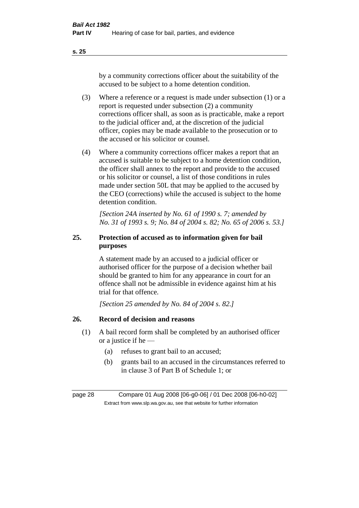by a community corrections officer about the suitability of the accused to be subject to a home detention condition.

- (3) Where a reference or a request is made under subsection (1) or a report is requested under subsection (2) a community corrections officer shall, as soon as is practicable, make a report to the judicial officer and, at the discretion of the judicial officer, copies may be made available to the prosecution or to the accused or his solicitor or counsel.
- (4) Where a community corrections officer makes a report that an accused is suitable to be subject to a home detention condition, the officer shall annex to the report and provide to the accused or his solicitor or counsel, a list of those conditions in rules made under section 50L that may be applied to the accused by the CEO (corrections) while the accused is subject to the home detention condition.

*[Section 24A inserted by No. 61 of 1990 s. 7; amended by No. 31 of 1993 s. 9; No. 84 of 2004 s. 82; No. 65 of 2006 s. 53.]* 

# **25. Protection of accused as to information given for bail purposes**

A statement made by an accused to a judicial officer or authorised officer for the purpose of a decision whether bail should be granted to him for any appearance in court for an offence shall not be admissible in evidence against him at his trial for that offence.

*[Section 25 amended by No. 84 of 2004 s. 82.]* 

# **26. Record of decision and reasons**

- (1) A bail record form shall be completed by an authorised officer or a justice if he —
	- (a) refuses to grant bail to an accused;
	- (b) grants bail to an accused in the circumstances referred to in clause 3 of Part B of Schedule 1; or

page 28 Compare 01 Aug 2008 [06-g0-06] / 01 Dec 2008 [06-h0-02] Extract from www.slp.wa.gov.au, see that website for further information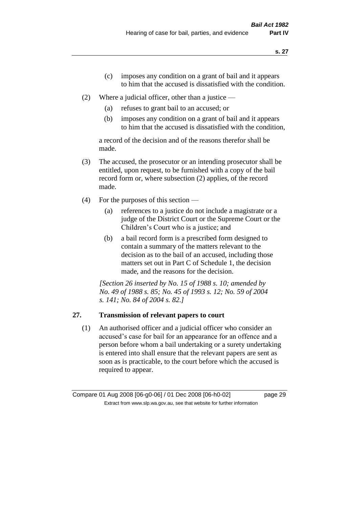- (c) imposes any condition on a grant of bail and it appears to him that the accused is dissatisfied with the condition.
- (2) Where a judicial officer, other than a justice
	- (a) refuses to grant bail to an accused; or
	- (b) imposes any condition on a grant of bail and it appears to him that the accused is dissatisfied with the condition,

a record of the decision and of the reasons therefor shall be made.

- (3) The accused, the prosecutor or an intending prosecutor shall be entitled, upon request, to be furnished with a copy of the bail record form or, where subsection (2) applies, of the record made.
- (4) For the purposes of this section
	- (a) references to a justice do not include a magistrate or a judge of the District Court or the Supreme Court or the Children's Court who is a justice; and
	- (b) a bail record form is a prescribed form designed to contain a summary of the matters relevant to the decision as to the bail of an accused, including those matters set out in Part C of Schedule 1, the decision made, and the reasons for the decision.

*[Section 26 inserted by No. 15 of 1988 s. 10; amended by No. 49 of 1988 s. 85; No. 45 of 1993 s. 12; No. 59 of 2004 s. 141; No. 84 of 2004 s. 82.]* 

# **27. Transmission of relevant papers to court**

(1) An authorised officer and a judicial officer who consider an accused's case for bail for an appearance for an offence and a person before whom a bail undertaking or a surety undertaking is entered into shall ensure that the relevant papers are sent as soon as is practicable, to the court before which the accused is required to appear.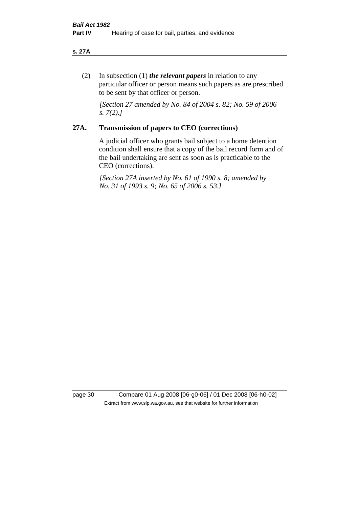#### **s. 27A**

(2) In subsection (1) *the relevant papers* in relation to any particular officer or person means such papers as are prescribed to be sent by that officer or person.

*[Section 27 amended by No. 84 of 2004 s. 82; No. 59 of 2006 s. 7(2).]* 

#### **27A. Transmission of papers to CEO (corrections)**

A judicial officer who grants bail subject to a home detention condition shall ensure that a copy of the bail record form and of the bail undertaking are sent as soon as is practicable to the CEO (corrections).

*[Section 27A inserted by No. 61 of 1990 s. 8; amended by No. 31 of 1993 s. 9; No. 65 of 2006 s. 53.]* 

page 30 Compare 01 Aug 2008 [06-g0-06] / 01 Dec 2008 [06-h0-02] Extract from www.slp.wa.gov.au, see that website for further information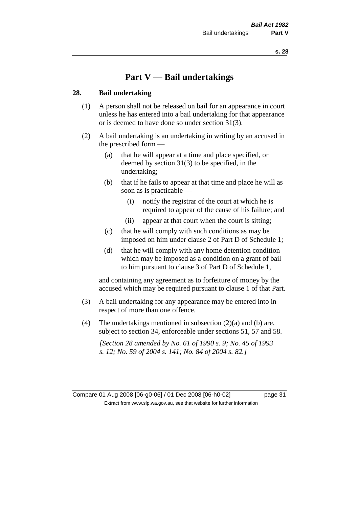# **Part V — Bail undertakings**

#### **28. Bail undertaking**

- (1) A person shall not be released on bail for an appearance in court unless he has entered into a bail undertaking for that appearance or is deemed to have done so under section 31(3).
- (2) A bail undertaking is an undertaking in writing by an accused in the prescribed form —
	- (a) that he will appear at a time and place specified, or deemed by section 31(3) to be specified, in the undertaking;
	- (b) that if he fails to appear at that time and place he will as soon as is practicable —
		- (i) notify the registrar of the court at which he is required to appear of the cause of his failure; and
		- (ii) appear at that court when the court is sitting;
	- (c) that he will comply with such conditions as may be imposed on him under clause 2 of Part D of Schedule 1;
	- (d) that he will comply with any home detention condition which may be imposed as a condition on a grant of bail to him pursuant to clause 3 of Part D of Schedule 1,

and containing any agreement as to forfeiture of money by the accused which may be required pursuant to clause 1 of that Part.

- (3) A bail undertaking for any appearance may be entered into in respect of more than one offence.
- (4) The undertakings mentioned in subsection  $(2)(a)$  and (b) are, subject to section 34, enforceable under sections 51, 57 and 58.

*[Section 28 amended by No. 61 of 1990 s. 9; No. 45 of 1993 s. 12; No. 59 of 2004 s. 141; No. 84 of 2004 s. 82.]*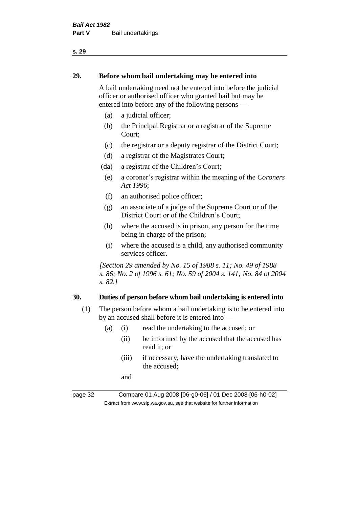#### **29. Before whom bail undertaking may be entered into**

A bail undertaking need not be entered into before the judicial officer or authorised officer who granted bail but may be entered into before any of the following persons —

- (a) a judicial officer;
- (b) the Principal Registrar or a registrar of the Supreme Court;
- (c) the registrar or a deputy registrar of the District Court;
- (d) a registrar of the Magistrates Court;
- (da) a registrar of the Children's Court;
- (e) a coroner's registrar within the meaning of the *Coroners Act 1996*;
- (f) an authorised police officer;
- (g) an associate of a judge of the Supreme Court or of the District Court or of the Children's Court;
- (h) where the accused is in prison, any person for the time being in charge of the prison;
- (i) where the accused is a child, any authorised community services officer.

*[Section 29 amended by No. 15 of 1988 s. 11; No. 49 of 1988 s. 86; No. 2 of 1996 s. 61; No. 59 of 2004 s. 141; No. 84 of 2004 s. 82.]* 

#### **30. Duties of person before whom bail undertaking is entered into**

- (1) The person before whom a bail undertaking is to be entered into by an accused shall before it is entered into —
	- (a) (i) read the undertaking to the accused; or
		- (ii) be informed by the accused that the accused has read it; or
		- (iii) if necessary, have the undertaking translated to the accused;

and

page 32 Compare 01 Aug 2008 [06-g0-06] / 01 Dec 2008 [06-h0-02] Extract from www.slp.wa.gov.au, see that website for further information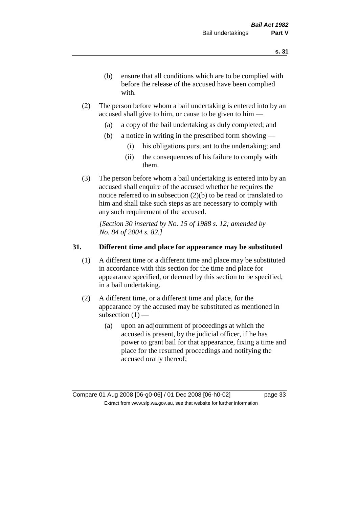- (b) ensure that all conditions which are to be complied with before the release of the accused have been complied with.
- (2) The person before whom a bail undertaking is entered into by an accused shall give to him, or cause to be given to him —
	- (a) a copy of the bail undertaking as duly completed; and
	- (b) a notice in writing in the prescribed form showing
		- (i) his obligations pursuant to the undertaking; and
		- (ii) the consequences of his failure to comply with them.
- (3) The person before whom a bail undertaking is entered into by an accused shall enquire of the accused whether he requires the notice referred to in subsection (2)(b) to be read or translated to him and shall take such steps as are necessary to comply with any such requirement of the accused.

*[Section 30 inserted by No. 15 of 1988 s. 12; amended by No. 84 of 2004 s. 82.]* 

#### **31. Different time and place for appearance may be substituted**

- (1) A different time or a different time and place may be substituted in accordance with this section for the time and place for appearance specified, or deemed by this section to be specified, in a bail undertaking.
- (2) A different time, or a different time and place, for the appearance by the accused may be substituted as mentioned in subsection  $(1)$  —
	- (a) upon an adjournment of proceedings at which the accused is present, by the judicial officer, if he has power to grant bail for that appearance, fixing a time and place for the resumed proceedings and notifying the accused orally thereof;

Compare 01 Aug 2008 [06-g0-06] / 01 Dec 2008 [06-h0-02] page 33 Extract from www.slp.wa.gov.au, see that website for further information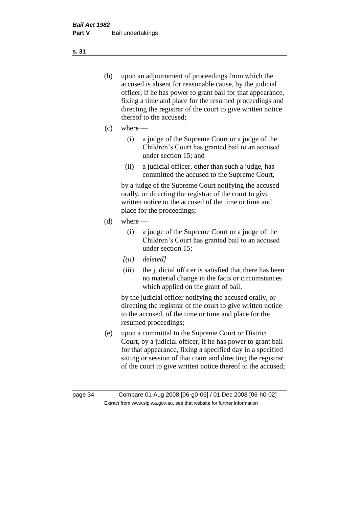- (b) upon an adjournment of proceedings from which the accused is absent for reasonable cause, by the judicial officer, if he has power to grant bail for that appearance, fixing a time and place for the resumed proceedings and directing the registrar of the court to give written notice thereof to the accused;
- $(c)$  where
	- (i) a judge of the Supreme Court or a judge of the Children's Court has granted bail to an accused under section 15; and
	- (ii) a judicial officer, other than such a judge, has committed the accused to the Supreme Court,

by a judge of the Supreme Court notifying the accused orally, or directing the registrar of the court to give written notice to the accused of the time or time and place for the proceedings;

- $(d)$  where
	- (i) a judge of the Supreme Court or a judge of the Children's Court has granted bail to an accused under section 15;
	- *[(ii) deleted]*
	- (iii) the judicial officer is satisfied that there has been no material change in the facts or circumstances which applied on the grant of bail,

by the judicial officer notifying the accused orally, or directing the registrar of the court to give written notice to the accused, of the time or time and place for the resumed proceedings;

(e) upon a committal to the Supreme Court or District Court, by a judicial officer, if he has power to grant bail for that appearance, fixing a specified day in a specified sitting or session of that court and directing the registrar of the court to give written notice thereof to the accused;

page 34 Compare 01 Aug 2008 [06-g0-06] / 01 Dec 2008 [06-h0-02] Extract from www.slp.wa.gov.au, see that website for further information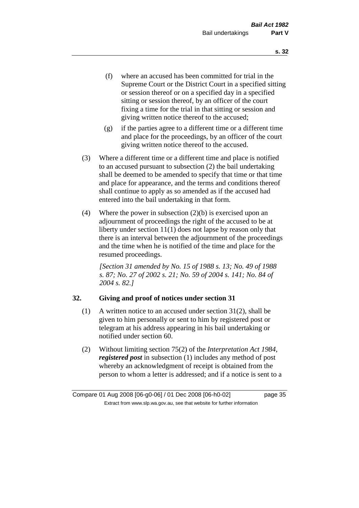- (f) where an accused has been committed for trial in the Supreme Court or the District Court in a specified sitting or session thereof or on a specified day in a specified sitting or session thereof, by an officer of the court fixing a time for the trial in that sitting or session and giving written notice thereof to the accused;
- (g) if the parties agree to a different time or a different time and place for the proceedings, by an officer of the court giving written notice thereof to the accused.
- (3) Where a different time or a different time and place is notified to an accused pursuant to subsection (2) the bail undertaking shall be deemed to be amended to specify that time or that time and place for appearance, and the terms and conditions thereof shall continue to apply as so amended as if the accused had entered into the bail undertaking in that form.
- (4) Where the power in subsection  $(2)(b)$  is exercised upon an adjournment of proceedings the right of the accused to be at liberty under section 11(1) does not lapse by reason only that there is an interval between the adjournment of the proceedings and the time when he is notified of the time and place for the resumed proceedings.

*[Section 31 amended by No. 15 of 1988 s. 13; No. 49 of 1988 s. 87; No. 27 of 2002 s. 21; No. 59 of 2004 s. 141; No. 84 of 2004 s. 82.]* 

#### **32. Giving and proof of notices under section 31**

- (1) A written notice to an accused under section 31(2), shall be given to him personally or sent to him by registered post or telegram at his address appearing in his bail undertaking or notified under section 60.
- (2) Without limiting section 75(2) of the *Interpretation Act 1984*, *registered post* in subsection (1) includes any method of post whereby an acknowledgment of receipt is obtained from the person to whom a letter is addressed; and if a notice is sent to a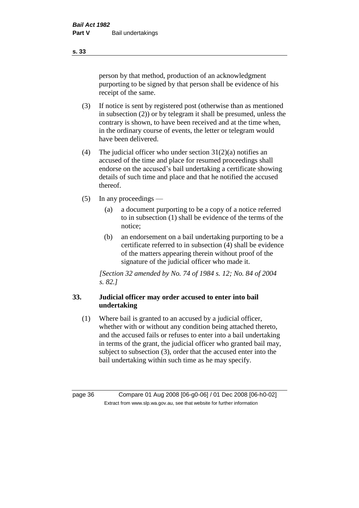person by that method, production of an acknowledgment purporting to be signed by that person shall be evidence of his receipt of the same.

- (3) If notice is sent by registered post (otherwise than as mentioned in subsection (2)) or by telegram it shall be presumed, unless the contrary is shown, to have been received and at the time when, in the ordinary course of events, the letter or telegram would have been delivered.
- (4) The judicial officer who under section  $31(2)(a)$  notifies an accused of the time and place for resumed proceedings shall endorse on the accused's bail undertaking a certificate showing details of such time and place and that he notified the accused thereof.
- (5) In any proceedings
	- (a) a document purporting to be a copy of a notice referred to in subsection (1) shall be evidence of the terms of the notice;
	- (b) an endorsement on a bail undertaking purporting to be a certificate referred to in subsection (4) shall be evidence of the matters appearing therein without proof of the signature of the judicial officer who made it.

*[Section 32 amended by No. 74 of 1984 s. 12; No. 84 of 2004 s. 82.]* 

## **33. Judicial officer may order accused to enter into bail undertaking**

(1) Where bail is granted to an accused by a judicial officer, whether with or without any condition being attached thereto, and the accused fails or refuses to enter into a bail undertaking in terms of the grant, the judicial officer who granted bail may, subject to subsection (3), order that the accused enter into the bail undertaking within such time as he may specify.

page 36 Compare 01 Aug 2008 [06-g0-06] / 01 Dec 2008 [06-h0-02] Extract from www.slp.wa.gov.au, see that website for further information

**s. 33**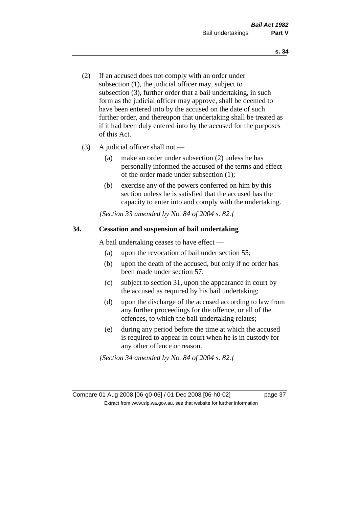- (2) If an accused does not comply with an order under subsection (1), the judicial officer may, subject to subsection (3), further order that a bail undertaking, in such form as the judicial officer may approve, shall be deemed to have been entered into by the accused on the date of such further order, and thereupon that undertaking shall be treated as if it had been duly entered into by the accused for the purposes of this Act.
- (3) A judicial officer shall not
	- (a) make an order under subsection (2) unless he has personally informed the accused of the terms and effect of the order made under subsection (1);
	- (b) exercise any of the powers conferred on him by this section unless he is satisfied that the accused has the capacity to enter into and comply with the undertaking.

*[Section 33 amended by No. 84 of 2004 s. 82.]* 

#### **34. Cessation and suspension of bail undertaking**

A bail undertaking ceases to have effect —

- (a) upon the revocation of bail under section 55;
- (b) upon the death of the accused, but only if no order has been made under section 57;
- (c) subject to section 31, upon the appearance in court by the accused as required by his bail undertaking;
- (d) upon the discharge of the accused according to law from any further proceedings for the offence, or all of the offences, to which the bail undertaking relates;
- (e) during any period before the time at which the accused is required to appear in court when he is in custody for any other offence or reason.

*[Section 34 amended by No. 84 of 2004 s. 82.]* 

Compare 01 Aug 2008 [06-g0-06] / 01 Dec 2008 [06-h0-02] page 37 Extract from www.slp.wa.gov.au, see that website for further information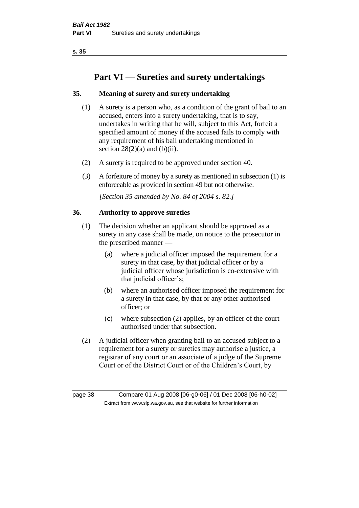# **Part VI — Sureties and surety undertakings**

## **35. Meaning of surety and surety undertaking**

- (1) A surety is a person who, as a condition of the grant of bail to an accused, enters into a surety undertaking, that is to say, undertakes in writing that he will, subject to this Act, forfeit a specified amount of money if the accused fails to comply with any requirement of his bail undertaking mentioned in section  $28(2)(a)$  and  $(b)(ii)$ .
- (2) A surety is required to be approved under section 40.
- (3) A forfeiture of money by a surety as mentioned in subsection (1) is enforceable as provided in section 49 but not otherwise.

*[Section 35 amended by No. 84 of 2004 s. 82.]* 

#### **36. Authority to approve sureties**

- (1) The decision whether an applicant should be approved as a surety in any case shall be made, on notice to the prosecutor in the prescribed manner —
	- (a) where a judicial officer imposed the requirement for a surety in that case, by that judicial officer or by a judicial officer whose jurisdiction is co-extensive with that judicial officer's;
	- (b) where an authorised officer imposed the requirement for a surety in that case, by that or any other authorised officer; or
	- (c) where subsection (2) applies, by an officer of the court authorised under that subsection.
- (2) A judicial officer when granting bail to an accused subject to a requirement for a surety or sureties may authorise a justice, a registrar of any court or an associate of a judge of the Supreme Court or of the District Court or of the Children's Court, by

page 38 Compare 01 Aug 2008 [06-g0-06] / 01 Dec 2008 [06-h0-02] Extract from www.slp.wa.gov.au, see that website for further information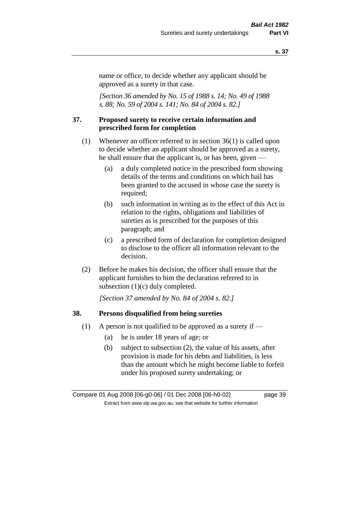name or office, to decide whether any applicant should be approved as a surety in that case.

*[Section 36 amended by No. 15 of 1988 s. 14; No. 49 of 1988 s. 88; No. 59 of 2004 s. 141; No. 84 of 2004 s. 82.]* 

#### **37. Proposed surety to receive certain information and prescribed form for completion**

- (1) Whenever an officer referred to in section 36(1) is called upon to decide whether an applicant should be approved as a surety, he shall ensure that the applicant is, or has been, given —
	- (a) a duly completed notice in the prescribed form showing details of the terms and conditions on which bail has been granted to the accused in whose case the surety is required;
	- (b) such information in writing as to the effect of this Act in relation to the rights, obligations and liabilities of sureties as is prescribed for the purposes of this paragraph; and
	- (c) a prescribed form of declaration for completion designed to disclose to the officer all information relevant to the decision.
- (2) Before he makes his decision, the officer shall ensure that the applicant furnishes to him the declaration referred to in subsection (1)(c) duly completed.

*[Section 37 amended by No. 84 of 2004 s. 82.]* 

#### **38. Persons disqualified from being sureties**

- (1) A person is not qualified to be approved as a surety if  $-$ 
	- (a) he is under 18 years of age; or
	- (b) subject to subsection (2), the value of his assets, after provision is made for his debts and liabilities, is less than the amount which he might become liable to forfeit under his proposed surety undertaking; or

Compare 01 Aug 2008 [06-g0-06] / 01 Dec 2008 [06-h0-02] page 39 Extract from www.slp.wa.gov.au, see that website for further information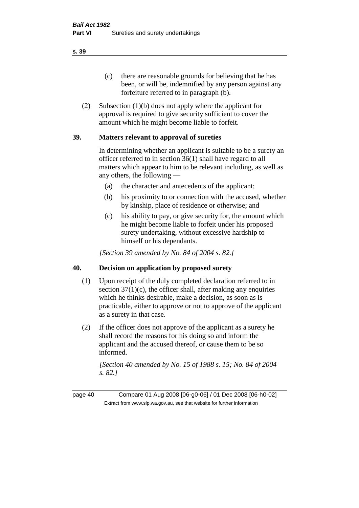(c) there are reasonable grounds for believing that he has been, or will be, indemnified by any person against any forfeiture referred to in paragraph (b).

(2) Subsection (1)(b) does not apply where the applicant for approval is required to give security sufficient to cover the amount which he might become liable to forfeit.

#### **39. Matters relevant to approval of sureties**

In determining whether an applicant is suitable to be a surety an officer referred to in section 36(1) shall have regard to all matters which appear to him to be relevant including, as well as any others, the following —

- (a) the character and antecedents of the applicant;
- (b) his proximity to or connection with the accused, whether by kinship, place of residence or otherwise; and
- (c) his ability to pay, or give security for, the amount which he might become liable to forfeit under his proposed surety undertaking, without excessive hardship to himself or his dependants.

*[Section 39 amended by No. 84 of 2004 s. 82.]* 

#### **40. Decision on application by proposed surety**

- (1) Upon receipt of the duly completed declaration referred to in section  $37(1)(c)$ , the officer shall, after making any enquiries which he thinks desirable, make a decision, as soon as is practicable, either to approve or not to approve of the applicant as a surety in that case.
- (2) If the officer does not approve of the applicant as a surety he shall record the reasons for his doing so and inform the applicant and the accused thereof, or cause them to be so informed.

*[Section 40 amended by No. 15 of 1988 s. 15; No. 84 of 2004 s. 82.]* 

page 40 Compare 01 Aug 2008 [06-g0-06] / 01 Dec 2008 [06-h0-02] Extract from www.slp.wa.gov.au, see that website for further information

**s. 39**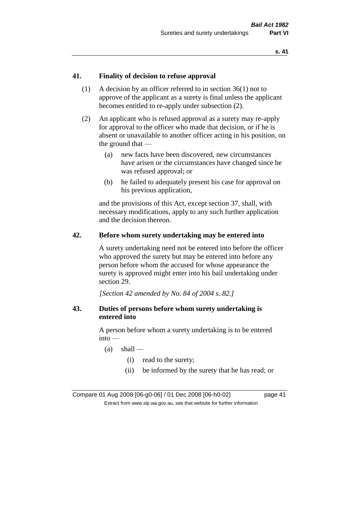#### **41. Finality of decision to refuse approval**

- (1) A decision by an officer referred to in section 36(1) not to approve of the applicant as a surety is final unless the applicant becomes entitled to re-apply under subsection (2).
- (2) An applicant who is refused approval as a surety may re-apply for approval to the officer who made that decision, or if he is absent or unavailable to another officer acting in his position, on the ground that —
	- (a) new facts have been discovered, new circumstances have arisen or the circumstances have changed since he was refused approval; or
	- (b) he failed to adequately present his case for approval on his previous application,

and the provisions of this Act, except section 37, shall, with necessary modifications, apply to any such further application and the decision thereon.

#### **42. Before whom surety undertaking may be entered into**

A surety undertaking need not be entered into before the officer who approved the surety but may be entered into before any person before whom the accused for whose appearance the surety is approved might enter into his bail undertaking under section 29.

*[Section 42 amended by No. 84 of 2004 s. 82.]* 

#### **43. Duties of persons before whom surety undertaking is entered into**

A person before whom a surety undertaking is to be entered into —

- $(a)$  shall
	- (i) read to the surety;
	- (ii) be informed by the surety that he has read; or

Compare 01 Aug 2008 [06-g0-06] / 01 Dec 2008 [06-h0-02] page 41 Extract from www.slp.wa.gov.au, see that website for further information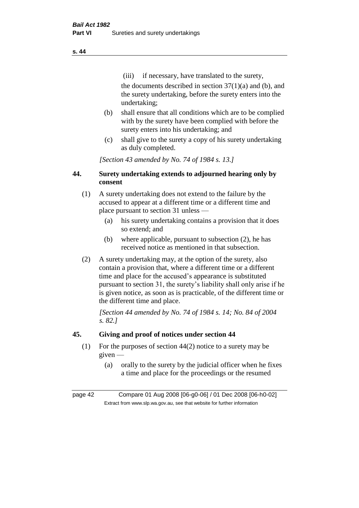(iii) if necessary, have translated to the surety, the documents described in section  $37(1)(a)$  and (b), and the surety undertaking, before the surety enters into the undertaking;

- (b) shall ensure that all conditions which are to be complied with by the surety have been complied with before the surety enters into his undertaking; and
- (c) shall give to the surety a copy of his surety undertaking as duly completed.

*[Section 43 amended by No. 74 of 1984 s. 13.]* 

## **44. Surety undertaking extends to adjourned hearing only by consent**

- (1) A surety undertaking does not extend to the failure by the accused to appear at a different time or a different time and place pursuant to section 31 unless —
	- (a) his surety undertaking contains a provision that it does so extend; and
	- (b) where applicable, pursuant to subsection (2), he has received notice as mentioned in that subsection.
- (2) A surety undertaking may, at the option of the surety, also contain a provision that, where a different time or a different time and place for the accused's appearance is substituted pursuant to section 31, the surety's liability shall only arise if he is given notice, as soon as is practicable, of the different time or the different time and place.

*[Section 44 amended by No. 74 of 1984 s. 14; No. 84 of 2004 s. 82.]* 

## **45. Giving and proof of notices under section 44**

- (1) For the purposes of section 44(2) notice to a surety may be given —
	- (a) orally to the surety by the judicial officer when he fixes a time and place for the proceedings or the resumed

page 42 Compare 01 Aug 2008 [06-g0-06] / 01 Dec 2008 [06-h0-02] Extract from www.slp.wa.gov.au, see that website for further information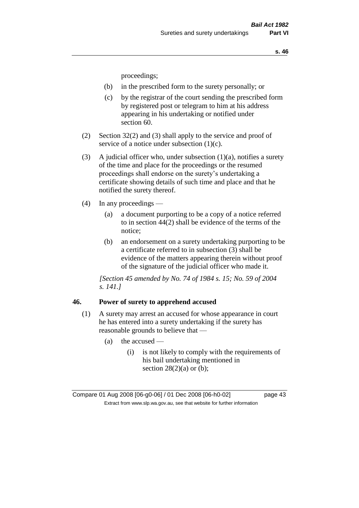proceedings;

- (b) in the prescribed form to the surety personally; or
- (c) by the registrar of the court sending the prescribed form by registered post or telegram to him at his address appearing in his undertaking or notified under section 60.
- (2) Section 32(2) and (3) shall apply to the service and proof of service of a notice under subsection (1)(c).
- (3) A judicial officer who, under subsection  $(1)(a)$ , notifies a surety of the time and place for the proceedings or the resumed proceedings shall endorse on the surety's undertaking a certificate showing details of such time and place and that he notified the surety thereof.
- (4) In any proceedings
	- (a) a document purporting to be a copy of a notice referred to in section 44(2) shall be evidence of the terms of the notice;
	- (b) an endorsement on a surety undertaking purporting to be a certificate referred to in subsection (3) shall be evidence of the matters appearing therein without proof of the signature of the judicial officer who made it.

*[Section 45 amended by No. 74 of 1984 s. 15; No. 59 of 2004 s. 141.]* 

#### **46. Power of surety to apprehend accused**

- (1) A surety may arrest an accused for whose appearance in court he has entered into a surety undertaking if the surety has reasonable grounds to believe that —
	- $(a)$  the accused
		- (i) is not likely to comply with the requirements of his bail undertaking mentioned in section  $28(2)(a)$  or (b);

Compare 01 Aug 2008 [06-g0-06] / 01 Dec 2008 [06-h0-02] page 43 Extract from www.slp.wa.gov.au, see that website for further information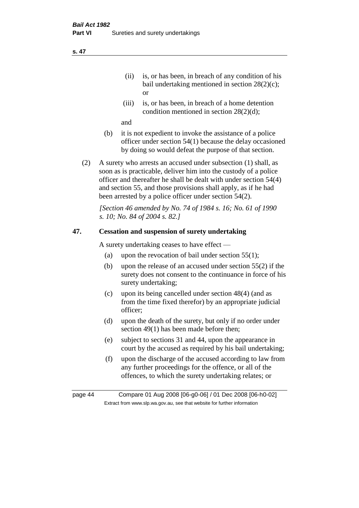- (ii) is, or has been, in breach of any condition of his bail undertaking mentioned in section 28(2)(c); or
- (iii) is, or has been, in breach of a home detention condition mentioned in section 28(2)(d);

and

- (b) it is not expedient to invoke the assistance of a police officer under section 54(1) because the delay occasioned by doing so would defeat the purpose of that section.
- (2) A surety who arrests an accused under subsection (1) shall, as soon as is practicable, deliver him into the custody of a police officer and thereafter he shall be dealt with under section 54(4) and section 55, and those provisions shall apply, as if he had been arrested by a police officer under section 54(2).

*[Section 46 amended by No. 74 of 1984 s. 16; No. 61 of 1990 s. 10; No. 84 of 2004 s. 82.]* 

#### **47. Cessation and suspension of surety undertaking**

A surety undertaking ceases to have effect —

- (a) upon the revocation of bail under section  $55(1)$ ;
- (b) upon the release of an accused under section 55(2) if the surety does not consent to the continuance in force of his surety undertaking;
- (c) upon its being cancelled under section 48(4) (and as from the time fixed therefor) by an appropriate judicial officer;
- (d) upon the death of the surety, but only if no order under section 49(1) has been made before then;
- (e) subject to sections 31 and 44, upon the appearance in court by the accused as required by his bail undertaking;
- (f) upon the discharge of the accused according to law from any further proceedings for the offence, or all of the offences, to which the surety undertaking relates; or

page 44 Compare 01 Aug 2008 [06-g0-06] / 01 Dec 2008 [06-h0-02] Extract from www.slp.wa.gov.au, see that website for further information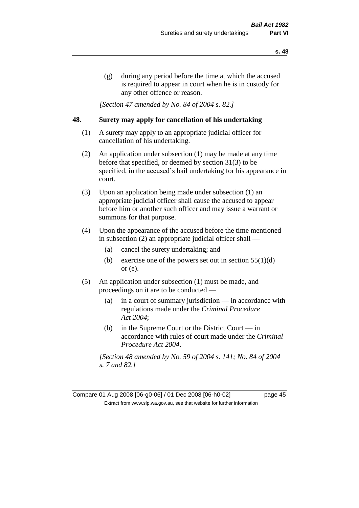(g) during any period before the time at which the accused is required to appear in court when he is in custody for any other offence or reason.

*[Section 47 amended by No. 84 of 2004 s. 82.]* 

#### **48. Surety may apply for cancellation of his undertaking**

- (1) A surety may apply to an appropriate judicial officer for cancellation of his undertaking.
- (2) An application under subsection (1) may be made at any time before that specified, or deemed by section 31(3) to be specified, in the accused's bail undertaking for his appearance in court.
- (3) Upon an application being made under subsection (1) an appropriate judicial officer shall cause the accused to appear before him or another such officer and may issue a warrant or summons for that purpose.
- (4) Upon the appearance of the accused before the time mentioned in subsection (2) an appropriate judicial officer shall —
	- (a) cancel the surety undertaking; and
	- (b) exercise one of the powers set out in section  $55(1)(d)$ or (e).
- (5) An application under subsection (1) must be made, and proceedings on it are to be conducted —
	- (a) in a court of summary jurisdiction in accordance with regulations made under the *Criminal Procedure Act 2004*;
	- (b) in the Supreme Court or the District Court  $-\text{in}$ accordance with rules of court made under the *Criminal Procedure Act 2004*.

*[Section 48 amended by No. 59 of 2004 s. 141; No. 84 of 2004 s. 7 and 82.]* 

Compare 01 Aug 2008 [06-g0-06] / 01 Dec 2008 [06-h0-02] page 45 Extract from www.slp.wa.gov.au, see that website for further information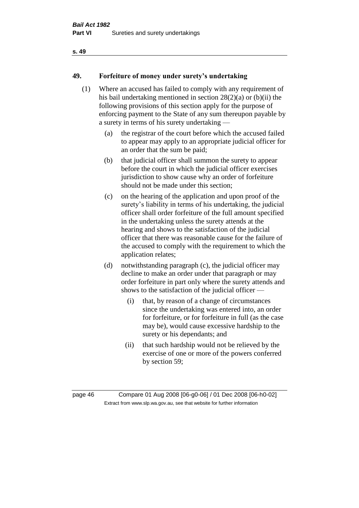### **49. Forfeiture of money under surety's undertaking**

- (1) Where an accused has failed to comply with any requirement of his bail undertaking mentioned in section 28(2)(a) or (b)(ii) the following provisions of this section apply for the purpose of enforcing payment to the State of any sum thereupon payable by a surety in terms of his surety undertaking —
	- (a) the registrar of the court before which the accused failed to appear may apply to an appropriate judicial officer for an order that the sum be paid;
	- (b) that judicial officer shall summon the surety to appear before the court in which the judicial officer exercises jurisdiction to show cause why an order of forfeiture should not be made under this section;
	- (c) on the hearing of the application and upon proof of the surety's liability in terms of his undertaking, the judicial officer shall order forfeiture of the full amount specified in the undertaking unless the surety attends at the hearing and shows to the satisfaction of the judicial officer that there was reasonable cause for the failure of the accused to comply with the requirement to which the application relates;
	- (d) notwithstanding paragraph (c), the judicial officer may decline to make an order under that paragraph or may order forfeiture in part only where the surety attends and shows to the satisfaction of the judicial officer —
		- (i) that, by reason of a change of circumstances since the undertaking was entered into, an order for forfeiture, or for forfeiture in full (as the case may be), would cause excessive hardship to the surety or his dependants; and
		- (ii) that such hardship would not be relieved by the exercise of one or more of the powers conferred by section 59;

page 46 Compare 01 Aug 2008 [06-g0-06] / 01 Dec 2008 [06-h0-02] Extract from www.slp.wa.gov.au, see that website for further information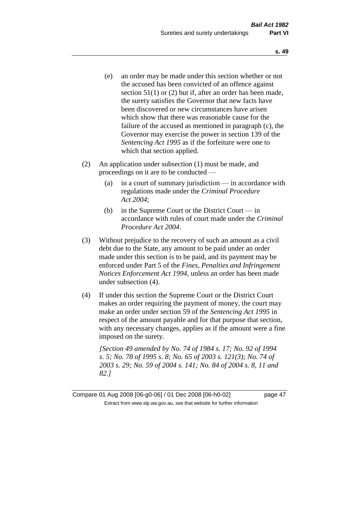- (e) an order may be made under this section whether or not the accused has been convicted of an offence against section 51(1) or (2) but if, after an order has been made, the surety satisfies the Governor that new facts have been discovered or new circumstances have arisen which show that there was reasonable cause for the failure of the accused as mentioned in paragraph (c), the Governor may exercise the power in section 139 of the *Sentencing Act 1995* as if the forfeiture were one to which that section applied.
- (2) An application under subsection (1) must be made, and proceedings on it are to be conducted —
	- (a) in a court of summary jurisdiction in accordance with regulations made under the *Criminal Procedure Act 2004*;
	- (b) in the Supreme Court or the District Court in accordance with rules of court made under the *Criminal Procedure Act 2004*.
- (3) Without prejudice to the recovery of such an amount as a civil debt due to the State, any amount to be paid under an order made under this section is to be paid, and its payment may be enforced under Part 5 of the *Fines, Penalties and Infringement Notices Enforcement Act 1994*, unless an order has been made under subsection (4).
- (4) If under this section the Supreme Court or the District Court makes an order requiring the payment of money, the court may make an order under section 59 of the *Sentencing Act 1995* in respect of the amount payable and for that purpose that section, with any necessary changes, applies as if the amount were a fine imposed on the surety.

*[Section 49 amended by No. 74 of 1984 s. 17; No. 92 of 1994 s. 5; No. 78 of 1995 s. 8; No. 65 of 2003 s. 121(3); No. 74 of 2003 s. 29; No. 59 of 2004 s. 141; No. 84 of 2004 s. 8, 11 and 82.]* 

Compare 01 Aug 2008 [06-g0-06] / 01 Dec 2008 [06-h0-02] page 47 Extract from www.slp.wa.gov.au, see that website for further information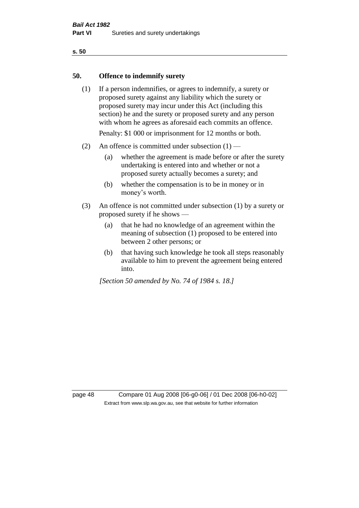#### **50. Offence to indemnify surety**

(1) If a person indemnifies, or agrees to indemnify, a surety or proposed surety against any liability which the surety or proposed surety may incur under this Act (including this section) he and the surety or proposed surety and any person with whom he agrees as aforesaid each commits an offence.

Penalty: \$1 000 or imprisonment for 12 months or both.

- (2) An offence is committed under subsection  $(1)$ 
	- (a) whether the agreement is made before or after the surety undertaking is entered into and whether or not a proposed surety actually becomes a surety; and
	- (b) whether the compensation is to be in money or in money's worth.
- (3) An offence is not committed under subsection (1) by a surety or proposed surety if he shows —
	- (a) that he had no knowledge of an agreement within the meaning of subsection (1) proposed to be entered into between 2 other persons; or
	- (b) that having such knowledge he took all steps reasonably available to him to prevent the agreement being entered into.

*[Section 50 amended by No. 74 of 1984 s. 18.]* 

page 48 Compare 01 Aug 2008 [06-g0-06] / 01 Dec 2008 [06-h0-02] Extract from www.slp.wa.gov.au, see that website for further information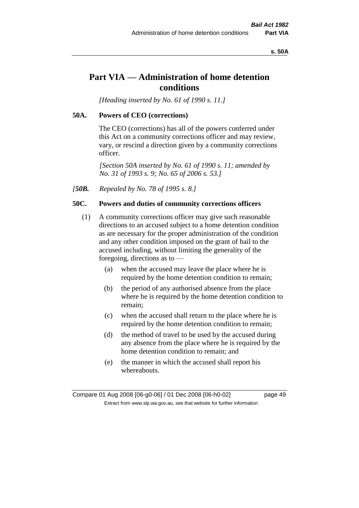#### **s. 50A**

## **Part VIA — Administration of home detention conditions**

*[Heading inserted by No. 61 of 1990 s. 11.]* 

#### **50A. Powers of CEO (corrections)**

The CEO (corrections) has all of the powers conferred under this Act on a community corrections officer and may review, vary, or rescind a direction given by a community corrections officer.

*[Section 50A inserted by No. 61 of 1990 s. 11; amended by No. 31 of 1993 s. 9; No. 65 of 2006 s. 53.]* 

*[50B. Repealed by No. 78 of 1995 s. 8.]* 

#### **50C. Powers and duties of community corrections officers**

- (1) A community corrections officer may give such reasonable directions to an accused subject to a home detention condition as are necessary for the proper administration of the condition and any other condition imposed on the grant of bail to the accused including, without limiting the generality of the foregoing, directions as to —
	- (a) when the accused may leave the place where he is required by the home detention condition to remain;
	- (b) the period of any authorised absence from the place where he is required by the home detention condition to remain;
	- (c) when the accused shall return to the place where he is required by the home detention condition to remain;
	- (d) the method of travel to be used by the accused during any absence from the place where he is required by the home detention condition to remain; and
	- (e) the manner in which the accused shall report his whereabouts.

Compare 01 Aug 2008 [06-g0-06] / 01 Dec 2008 [06-h0-02] page 49 Extract from www.slp.wa.gov.au, see that website for further information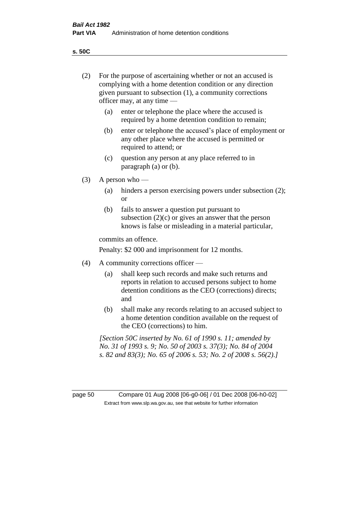**s. 50C**

| (2)     | For the purpose of ascertaining whether or not an accused is<br>complying with a home detention condition or any direction<br>given pursuant to subsection (1), a community corrections<br>officer may, at any time — |                                                                                                                                                                                              |  |  |
|---------|-----------------------------------------------------------------------------------------------------------------------------------------------------------------------------------------------------------------------|----------------------------------------------------------------------------------------------------------------------------------------------------------------------------------------------|--|--|
|         | enter or telephone the place where the accused is<br>(a)<br>required by a home detention condition to remain;                                                                                                         |                                                                                                                                                                                              |  |  |
|         | (b)                                                                                                                                                                                                                   | enter or telephone the accused's place of employment or<br>any other place where the accused is permitted or<br>required to attend; or                                                       |  |  |
|         | (c)                                                                                                                                                                                                                   | question any person at any place referred to in<br>paragraph $(a)$ or $(b)$ .                                                                                                                |  |  |
| (3)     |                                                                                                                                                                                                                       | A person who $-$                                                                                                                                                                             |  |  |
|         | (a)                                                                                                                                                                                                                   | hinders a person exercising powers under subsection (2);<br><sub>or</sub>                                                                                                                    |  |  |
|         | (b)                                                                                                                                                                                                                   | fails to answer a question put pursuant to<br>subsection $(2)(c)$ or gives an answer that the person<br>knows is false or misleading in a material particular,                               |  |  |
|         | commits an offence.                                                                                                                                                                                                   |                                                                                                                                                                                              |  |  |
|         | Penalty: \$2 000 and imprisonment for 12 months.                                                                                                                                                                      |                                                                                                                                                                                              |  |  |
| (4)     | A community corrections officer —                                                                                                                                                                                     |                                                                                                                                                                                              |  |  |
|         | (a)                                                                                                                                                                                                                   | shall keep such records and make such returns and<br>reports in relation to accused persons subject to home<br>detention conditions as the CEO (corrections) directs;<br>and                 |  |  |
|         | (b)                                                                                                                                                                                                                   | shall make any records relating to an accused subject to<br>a home detention condition available on the request of<br>the CEO (corrections) to him.                                          |  |  |
|         |                                                                                                                                                                                                                       | [Section 50C inserted by No. 61 of 1990 s. 11; amended by<br>No. 31 of 1993 s. 9; No. 50 of 2003 s. 37(3); No. 84 of 2004<br>s. 82 and 83(3); No. 65 of 2006 s. 53; No. 2 of 2008 s. 56(2).] |  |  |
|         |                                                                                                                                                                                                                       |                                                                                                                                                                                              |  |  |
| page 50 |                                                                                                                                                                                                                       | Compare 01 Aug 2008 [06-g0-06] / 01 Dec 2008 [06-h0-02]<br>Extract from www.slp.wa.gov.au, see that website for further information                                                          |  |  |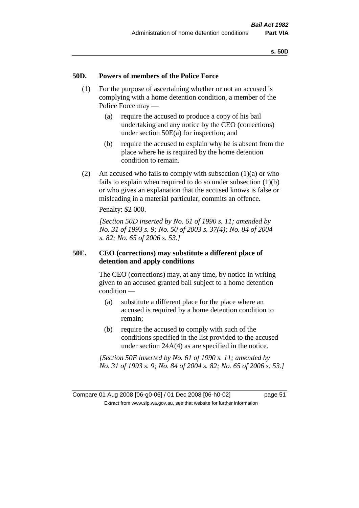#### **50D. Powers of members of the Police Force**

- (1) For the purpose of ascertaining whether or not an accused is complying with a home detention condition, a member of the Police Force may —
	- (a) require the accused to produce a copy of his bail undertaking and any notice by the CEO (corrections) under section 50E(a) for inspection; and
	- (b) require the accused to explain why he is absent from the place where he is required by the home detention condition to remain.
- (2) An accused who fails to comply with subsection  $(1)(a)$  or who fails to explain when required to do so under subsection (1)(b) or who gives an explanation that the accused knows is false or misleading in a material particular, commits an offence.

Penalty: \$2 000.

*[Section 50D inserted by No. 61 of 1990 s. 11; amended by No. 31 of 1993 s. 9; No. 50 of 2003 s. 37(4); No. 84 of 2004 s. 82; No. 65 of 2006 s. 53.]* 

#### **50E. CEO (corrections) may substitute a different place of detention and apply conditions**

The CEO (corrections) may, at any time, by notice in writing given to an accused granted bail subject to a home detention condition —

- (a) substitute a different place for the place where an accused is required by a home detention condition to remain;
- (b) require the accused to comply with such of the conditions specified in the list provided to the accused under section 24A(4) as are specified in the notice.

*[Section 50E inserted by No. 61 of 1990 s. 11; amended by No. 31 of 1993 s. 9; No. 84 of 2004 s. 82; No. 65 of 2006 s. 53.]*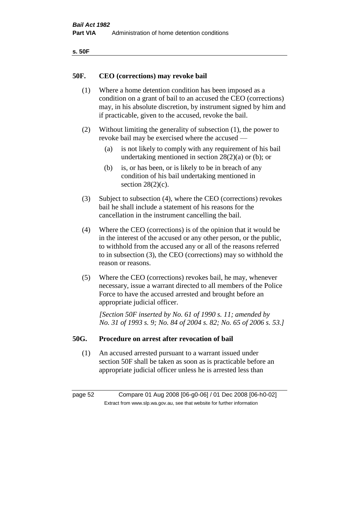| ۰.<br>×<br>-<br>۰.<br>× |  |
|-------------------------|--|
|-------------------------|--|

#### **50F. CEO (corrections) may revoke bail**

- (1) Where a home detention condition has been imposed as a condition on a grant of bail to an accused the CEO (corrections) may, in his absolute discretion, by instrument signed by him and if practicable, given to the accused, revoke the bail.
- (2) Without limiting the generality of subsection (1), the power to revoke bail may be exercised where the accused —
	- (a) is not likely to comply with any requirement of his bail undertaking mentioned in section  $28(2)(a)$  or (b); or
	- (b) is, or has been, or is likely to be in breach of any condition of his bail undertaking mentioned in section  $28(2)(c)$ .
- (3) Subject to subsection (4), where the CEO (corrections) revokes bail he shall include a statement of his reasons for the cancellation in the instrument cancelling the bail.
- (4) Where the CEO (corrections) is of the opinion that it would be in the interest of the accused or any other person, or the public, to withhold from the accused any or all of the reasons referred to in subsection (3), the CEO (corrections) may so withhold the reason or reasons.
- (5) Where the CEO (corrections) revokes bail, he may, whenever necessary, issue a warrant directed to all members of the Police Force to have the accused arrested and brought before an appropriate judicial officer.

*[Section 50F inserted by No. 61 of 1990 s. 11; amended by No. 31 of 1993 s. 9; No. 84 of 2004 s. 82; No. 65 of 2006 s. 53.]* 

#### **50G. Procedure on arrest after revocation of bail**

(1) An accused arrested pursuant to a warrant issued under section 50F shall be taken as soon as is practicable before an appropriate judicial officer unless he is arrested less than

page 52 Compare 01 Aug 2008 [06-g0-06] / 01 Dec 2008 [06-h0-02] Extract from www.slp.wa.gov.au, see that website for further information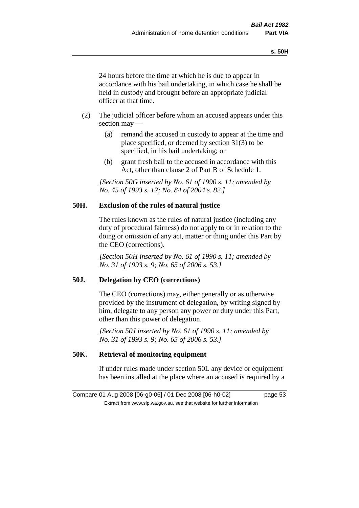24 hours before the time at which he is due to appear in accordance with his bail undertaking, in which case he shall be held in custody and brought before an appropriate judicial officer at that time.

- (2) The judicial officer before whom an accused appears under this section may —
	- (a) remand the accused in custody to appear at the time and place specified, or deemed by section 31(3) to be specified, in his bail undertaking; or
	- (b) grant fresh bail to the accused in accordance with this Act, other than clause 2 of Part B of Schedule 1.

*[Section 50G inserted by No. 61 of 1990 s. 11; amended by No. 45 of 1993 s. 12; No. 84 of 2004 s. 82.]* 

#### **50H. Exclusion of the rules of natural justice**

The rules known as the rules of natural justice (including any duty of procedural fairness) do not apply to or in relation to the doing or omission of any act, matter or thing under this Part by the CEO (corrections).

*[Section 50H inserted by No. 61 of 1990 s. 11; amended by No. 31 of 1993 s. 9; No. 65 of 2006 s. 53.]* 

#### **50J. Delegation by CEO (corrections)**

The CEO (corrections) may, either generally or as otherwise provided by the instrument of delegation, by writing signed by him, delegate to any person any power or duty under this Part, other than this power of delegation.

*[Section 50J inserted by No. 61 of 1990 s. 11; amended by No. 31 of 1993 s. 9; No. 65 of 2006 s. 53.]* 

### **50K. Retrieval of monitoring equipment**

If under rules made under section 50L any device or equipment has been installed at the place where an accused is required by a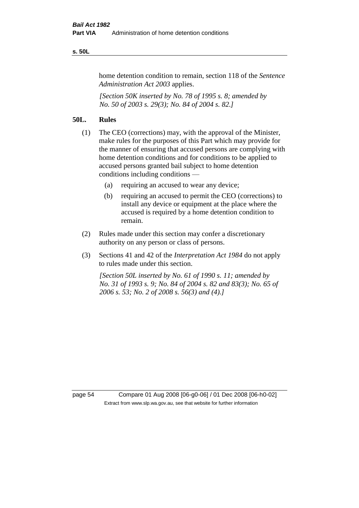#### **s. 50L**

home detention condition to remain, section 118 of the *Sentence Administration Act 2003* applies.

*[Section 50K inserted by No. 78 of 1995 s. 8; amended by No. 50 of 2003 s. 29(3); No. 84 of 2004 s. 82.]* 

#### **50L. Rules**

- (1) The CEO (corrections) may, with the approval of the Minister, make rules for the purposes of this Part which may provide for the manner of ensuring that accused persons are complying with home detention conditions and for conditions to be applied to accused persons granted bail subject to home detention conditions including conditions —
	- (a) requiring an accused to wear any device;
	- (b) requiring an accused to permit the CEO (corrections) to install any device or equipment at the place where the accused is required by a home detention condition to remain.
- (2) Rules made under this section may confer a discretionary authority on any person or class of persons.
- (3) Sections 41 and 42 of the *Interpretation Act 1984* do not apply to rules made under this section.

*[Section 50L inserted by No. 61 of 1990 s. 11; amended by No. 31 of 1993 s. 9; No. 84 of 2004 s. 82 and 83(3); No. 65 of 2006 s. 53; No. 2 of 2008 s. 56(3) and (4).]* 

page 54 Compare 01 Aug 2008 [06-g0-06] / 01 Dec 2008 [06-h0-02] Extract from www.slp.wa.gov.au, see that website for further information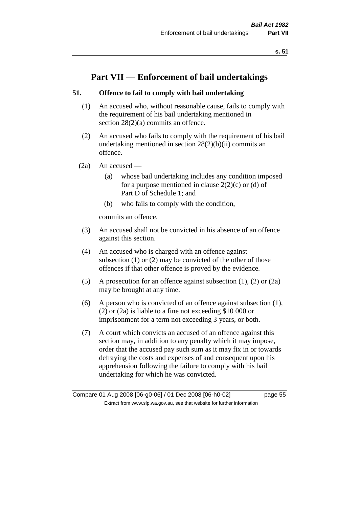# **Part VII — Enforcement of bail undertakings**

### **51. Offence to fail to comply with bail undertaking**

- (1) An accused who, without reasonable cause, fails to comply with the requirement of his bail undertaking mentioned in section 28(2)(a) commits an offence.
- (2) An accused who fails to comply with the requirement of his bail undertaking mentioned in section  $28(2)(b)(ii)$  commits an offence.
- $(2a)$  An accused
	- (a) whose bail undertaking includes any condition imposed for a purpose mentioned in clause  $2(2)(c)$  or (d) of Part D of Schedule 1; and
	- (b) who fails to comply with the condition,

commits an offence.

- (3) An accused shall not be convicted in his absence of an offence against this section.
- (4) An accused who is charged with an offence against subsection (1) or (2) may be convicted of the other of those offences if that other offence is proved by the evidence.
- (5) A prosecution for an offence against subsection (1), (2) or (2a) may be brought at any time.
- (6) A person who is convicted of an offence against subsection (1), (2) or (2a) is liable to a fine not exceeding \$10 000 or imprisonment for a term not exceeding 3 years, or both.
- (7) A court which convicts an accused of an offence against this section may, in addition to any penalty which it may impose, order that the accused pay such sum as it may fix in or towards defraying the costs and expenses of and consequent upon his apprehension following the failure to comply with his bail undertaking for which he was convicted.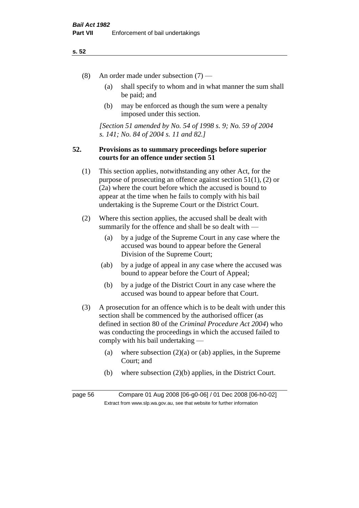- (8) An order made under subsection (7)
	- (a) shall specify to whom and in what manner the sum shall be paid; and
	- (b) may be enforced as though the sum were a penalty imposed under this section.

*[Section 51 amended by No. 54 of 1998 s. 9; No. 59 of 2004 s. 141; No. 84 of 2004 s. 11 and 82.]*

#### **52. Provisions as to summary proceedings before superior courts for an offence under section 51**

- (1) This section applies, notwithstanding any other Act, for the purpose of prosecuting an offence against section 51(1), (2) or (2a) where the court before which the accused is bound to appear at the time when he fails to comply with his bail undertaking is the Supreme Court or the District Court.
- (2) Where this section applies, the accused shall be dealt with summarily for the offence and shall be so dealt with —
	- (a) by a judge of the Supreme Court in any case where the accused was bound to appear before the General Division of the Supreme Court;
	- (ab) by a judge of appeal in any case where the accused was bound to appear before the Court of Appeal;
	- (b) by a judge of the District Court in any case where the accused was bound to appear before that Court.
- (3) A prosecution for an offence which is to be dealt with under this section shall be commenced by the authorised officer (as defined in section 80 of the *Criminal Procedure Act 2004*) who was conducting the proceedings in which the accused failed to comply with his bail undertaking —
	- (a) where subsection  $(2)(a)$  or (ab) applies, in the Supreme Court; and
	- (b) where subsection (2)(b) applies, in the District Court.

page 56 Compare 01 Aug 2008 [06-g0-06] / 01 Dec 2008 [06-h0-02] Extract from www.slp.wa.gov.au, see that website for further information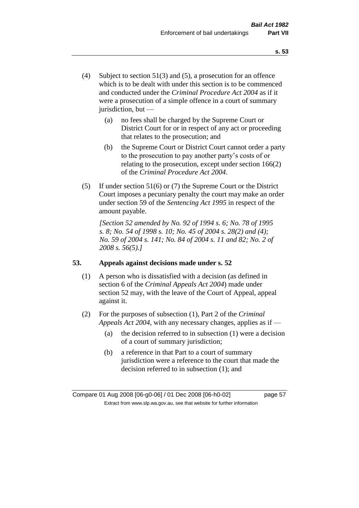- (4) Subject to section 51(3) and (5), a prosecution for an offence which is to be dealt with under this section is to be commenced and conducted under the *Criminal Procedure Act 2004* as if it were a prosecution of a simple offence in a court of summary jurisdiction, but —
	- (a) no fees shall be charged by the Supreme Court or District Court for or in respect of any act or proceeding that relates to the prosecution; and
	- (b) the Supreme Court or District Court cannot order a party to the prosecution to pay another party's costs of or relating to the prosecution, except under section 166(2) of the *Criminal Procedure Act 2004*.
- (5) If under section 51(6) or (7) the Supreme Court or the District Court imposes a pecuniary penalty the court may make an order under section 59 of the *Sentencing Act 1995* in respect of the amount payable.

*[Section 52 amended by No. 92 of 1994 s. 6; No. 78 of 1995 s. 8; No. 54 of 1998 s. 10; No. 45 of 2004 s. 28(2) and (4); No. 59 of 2004 s. 141; No. 84 of 2004 s. 11 and 82; No. 2 of 2008 s. 56(5).]* 

## **53. Appeals against decisions made under s. 52**

- (1) A person who is dissatisfied with a decision (as defined in section 6 of the *Criminal Appeals Act 2004*) made under section 52 may, with the leave of the Court of Appeal, appeal against it.
- (2) For the purposes of subsection (1), Part 2 of the *Criminal Appeals Act 2004*, with any necessary changes, applies as if —
	- (a) the decision referred to in subsection (1) were a decision of a court of summary jurisdiction;
	- (b) a reference in that Part to a court of summary jurisdiction were a reference to the court that made the decision referred to in subsection (1); and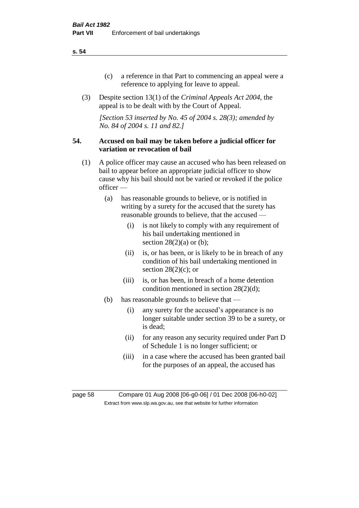- (c) a reference in that Part to commencing an appeal were a reference to applying for leave to appeal.
- (3) Despite section 13(1) of the *Criminal Appeals Act 2004*, the appeal is to be dealt with by the Court of Appeal.

*[Section 53 inserted by No. 45 of 2004 s. 28(3); amended by No. 84 of 2004 s. 11 and 82.]*

#### **54. Accused on bail may be taken before a judicial officer for variation or revocation of bail**

- (1) A police officer may cause an accused who has been released on bail to appear before an appropriate judicial officer to show cause why his bail should not be varied or revoked if the police officer —
	- (a) has reasonable grounds to believe, or is notified in writing by a surety for the accused that the surety has reasonable grounds to believe, that the accused —
		- (i) is not likely to comply with any requirement of his bail undertaking mentioned in section  $28(2)(a)$  or (b);
		- (ii) is, or has been, or is likely to be in breach of any condition of his bail undertaking mentioned in section  $28(2)(c)$ ; or
		- (iii) is, or has been, in breach of a home detention condition mentioned in section 28(2)(d);
	- (b) has reasonable grounds to believe that
		- (i) any surety for the accused's appearance is no longer suitable under section 39 to be a surety, or is dead;
		- (ii) for any reason any security required under Part D of Schedule 1 is no longer sufficient; or
		- (iii) in a case where the accused has been granted bail for the purposes of an appeal, the accused has

page 58 Compare 01 Aug 2008 [06-g0-06] / 01 Dec 2008 [06-h0-02] Extract from www.slp.wa.gov.au, see that website for further information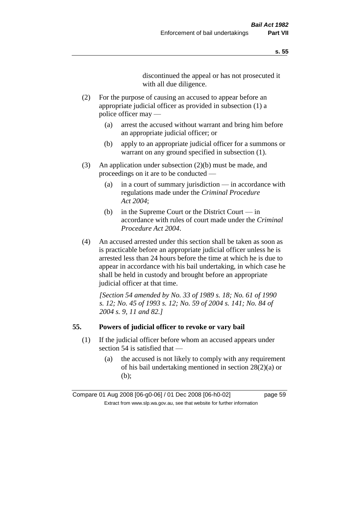discontinued the appeal or has not prosecuted it with all due diligence.

- (2) For the purpose of causing an accused to appear before an appropriate judicial officer as provided in subsection (1) a police officer may —
	- (a) arrest the accused without warrant and bring him before an appropriate judicial officer; or
	- (b) apply to an appropriate judicial officer for a summons or warrant on any ground specified in subsection  $(1)$ .
- (3) An application under subsection (2)(b) must be made, and proceedings on it are to be conducted —
	- (a) in a court of summary jurisdiction in accordance with regulations made under the *Criminal Procedure Act 2004*;
	- (b) in the Supreme Court or the District Court in accordance with rules of court made under the *Criminal Procedure Act 2004*.
- (4) An accused arrested under this section shall be taken as soon as is practicable before an appropriate judicial officer unless he is arrested less than 24 hours before the time at which he is due to appear in accordance with his bail undertaking, in which case he shall be held in custody and brought before an appropriate judicial officer at that time.

*[Section 54 amended by No. 33 of 1989 s. 18; No. 61 of 1990 s. 12; No. 45 of 1993 s. 12; No. 59 of 2004 s. 141; No. 84 of 2004 s. 9, 11 and 82.]* 

#### **55. Powers of judicial officer to revoke or vary bail**

- (1) If the judicial officer before whom an accused appears under section 54 is satisfied that —
	- (a) the accused is not likely to comply with any requirement of his bail undertaking mentioned in section 28(2)(a) or (b);

Compare 01 Aug 2008 [06-g0-06] / 01 Dec 2008 [06-h0-02] page 59 Extract from www.slp.wa.gov.au, see that website for further information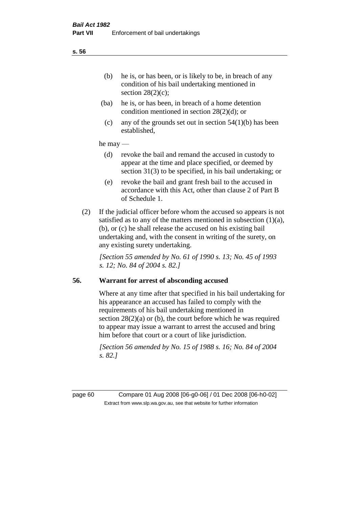- (ba) he is, or has been, in breach of a home detention condition mentioned in section 28(2)(d); or
- (c) any of the grounds set out in section  $54(1)(b)$  has been established,

#### he may —

- (d) revoke the bail and remand the accused in custody to appear at the time and place specified, or deemed by section 31(3) to be specified, in his bail undertaking; or
- (e) revoke the bail and grant fresh bail to the accused in accordance with this Act, other than clause 2 of Part B of Schedule 1.
- (2) If the judicial officer before whom the accused so appears is not satisfied as to any of the matters mentioned in subsection  $(1)(a)$ , (b), or (c) he shall release the accused on his existing bail undertaking and, with the consent in writing of the surety, on any existing surety undertaking.

*[Section 55 amended by No. 61 of 1990 s. 13; No. 45 of 1993 s. 12; No. 84 of 2004 s. 82.]* 

#### **56. Warrant for arrest of absconding accused**

Where at any time after that specified in his bail undertaking for his appearance an accused has failed to comply with the requirements of his bail undertaking mentioned in section  $28(2)(a)$  or (b), the court before which he was required to appear may issue a warrant to arrest the accused and bring him before that court or a court of like jurisdiction.

*[Section 56 amended by No. 15 of 1988 s. 16; No. 84 of 2004 s. 82.]* 

page 60 Compare 01 Aug 2008 [06-g0-06] / 01 Dec 2008 [06-h0-02] Extract from www.slp.wa.gov.au, see that website for further information

#### **s. 56**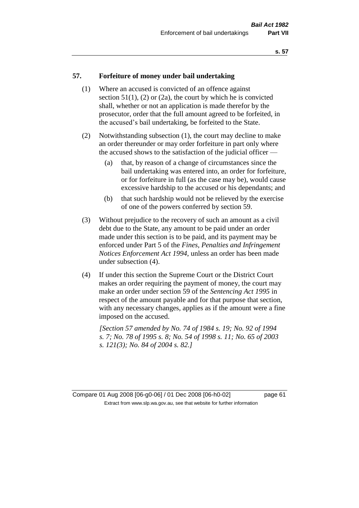#### **57. Forfeiture of money under bail undertaking**

- (1) Where an accused is convicted of an offence against section  $51(1)$ ,  $(2)$  or  $(2a)$ , the court by which he is convicted shall, whether or not an application is made therefor by the prosecutor, order that the full amount agreed to be forfeited, in the accused's bail undertaking, be forfeited to the State.
- (2) Notwithstanding subsection (1), the court may decline to make an order thereunder or may order forfeiture in part only where the accused shows to the satisfaction of the judicial officer —
	- (a) that, by reason of a change of circumstances since the bail undertaking was entered into, an order for forfeiture, or for forfeiture in full (as the case may be), would cause excessive hardship to the accused or his dependants; and
	- (b) that such hardship would not be relieved by the exercise of one of the powers conferred by section 59.
- (3) Without prejudice to the recovery of such an amount as a civil debt due to the State, any amount to be paid under an order made under this section is to be paid, and its payment may be enforced under Part 5 of the *Fines, Penalties and Infringement Notices Enforcement Act 1994*, unless an order has been made under subsection (4).
- (4) If under this section the Supreme Court or the District Court makes an order requiring the payment of money, the court may make an order under section 59 of the *Sentencing Act 1995* in respect of the amount payable and for that purpose that section, with any necessary changes, applies as if the amount were a fine imposed on the accused.

*[Section 57 amended by No. 74 of 1984 s. 19; No. 92 of 1994 s. 7; No. 78 of 1995 s. 8; No. 54 of 1998 s. 11; No. 65 of 2003 s. 121(3); No. 84 of 2004 s. 82.]* 

Compare 01 Aug 2008 [06-g0-06] / 01 Dec 2008 [06-h0-02] page 61 Extract from www.slp.wa.gov.au, see that website for further information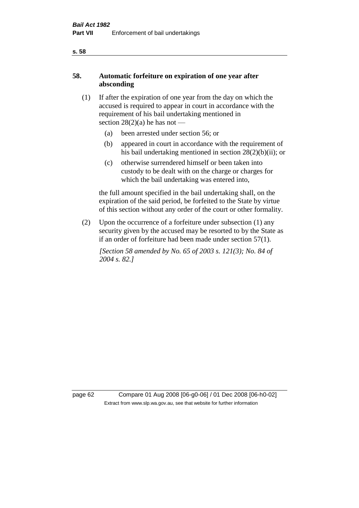## **58. Automatic forfeiture on expiration of one year after absconding**

- (1) If after the expiration of one year from the day on which the accused is required to appear in court in accordance with the requirement of his bail undertaking mentioned in section  $28(2)(a)$  he has not —
	- (a) been arrested under section 56; or
	- (b) appeared in court in accordance with the requirement of his bail undertaking mentioned in section 28(2)(b)(ii); or
	- (c) otherwise surrendered himself or been taken into custody to be dealt with on the charge or charges for which the bail undertaking was entered into,

the full amount specified in the bail undertaking shall, on the expiration of the said period, be forfeited to the State by virtue of this section without any order of the court or other formality.

(2) Upon the occurrence of a forfeiture under subsection (1) any security given by the accused may be resorted to by the State as if an order of forfeiture had been made under section 57(1).

*[Section 58 amended by No. 65 of 2003 s. 121(3); No. 84 of 2004 s. 82.]*

page 62 Compare 01 Aug 2008 [06-g0-06] / 01 Dec 2008 [06-h0-02] Extract from www.slp.wa.gov.au, see that website for further information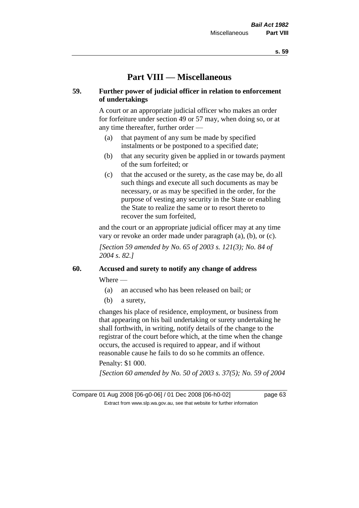## **Part VIII — Miscellaneous**

#### **59. Further power of judicial officer in relation to enforcement of undertakings**

A court or an appropriate judicial officer who makes an order for forfeiture under section 49 or 57 may, when doing so, or at any time thereafter, further order —

- (a) that payment of any sum be made by specified instalments or be postponed to a specified date;
- (b) that any security given be applied in or towards payment of the sum forfeited; or
- (c) that the accused or the surety, as the case may be, do all such things and execute all such documents as may be necessary, or as may be specified in the order, for the purpose of vesting any security in the State or enabling the State to realize the same or to resort thereto to recover the sum forfeited,

and the court or an appropriate judicial officer may at any time vary or revoke an order made under paragraph (a), (b), or (c).

*[Section 59 amended by No. 65 of 2003 s. 121(3); No. 84 of 2004 s. 82.]*

## **60. Accused and surety to notify any change of address**

Where —

- (a) an accused who has been released on bail; or
- (b) a surety,

changes his place of residence, employment, or business from that appearing on his bail undertaking or surety undertaking he shall forthwith, in writing, notify details of the change to the registrar of the court before which, at the time when the change occurs, the accused is required to appear, and if without reasonable cause he fails to do so he commits an offence.

#### Penalty: \$1 000.

*[Section 60 amended by No. 50 of 2003 s. 37(5); No. 59 of 2004* 

Compare 01 Aug 2008 [06-g0-06] / 01 Dec 2008 [06-h0-02] page 63 Extract from www.slp.wa.gov.au, see that website for further information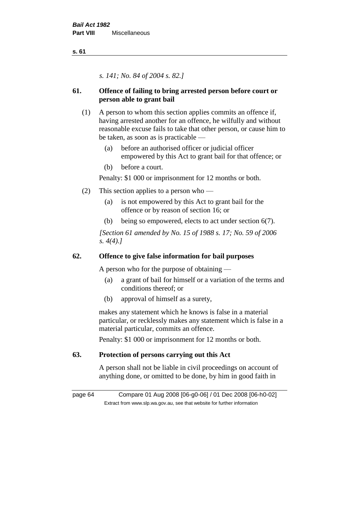*s. 141; No. 84 of 2004 s. 82.]*

## **61. Offence of failing to bring arrested person before court or person able to grant bail**

- (1) A person to whom this section applies commits an offence if, having arrested another for an offence, he wilfully and without reasonable excuse fails to take that other person, or cause him to be taken, as soon as is practicable —
	- (a) before an authorised officer or judicial officer empowered by this Act to grant bail for that offence; or
	- (b) before a court.

Penalty: \$1 000 or imprisonment for 12 months or both.

- (2) This section applies to a person who
	- (a) is not empowered by this Act to grant bail for the offence or by reason of section 16; or
	- (b) being so empowered, elects to act under section 6(7).

*[Section 61 amended by No. 15 of 1988 s. 17; No. 59 of 2006 s. 4(4).]* 

## **62. Offence to give false information for bail purposes**

A person who for the purpose of obtaining —

- (a) a grant of bail for himself or a variation of the terms and conditions thereof; or
- (b) approval of himself as a surety,

makes any statement which he knows is false in a material particular, or recklessly makes any statement which is false in a material particular, commits an offence.

Penalty: \$1 000 or imprisonment for 12 months or both.

## **63. Protection of persons carrying out this Act**

A person shall not be liable in civil proceedings on account of anything done, or omitted to be done, by him in good faith in

page 64 Compare 01 Aug 2008 [06-g0-06] / 01 Dec 2008 [06-h0-02] Extract from www.slp.wa.gov.au, see that website for further information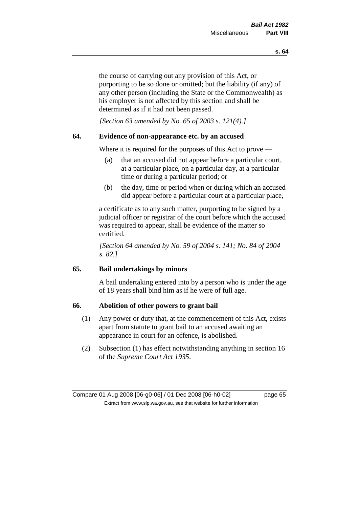the course of carrying out any provision of this Act, or purporting to be so done or omitted; but the liability (if any) of any other person (including the State or the Commonwealth) as his employer is not affected by this section and shall be determined as if it had not been passed.

*[Section 63 amended by No. 65 of 2003 s. 121(4).]*

#### **64. Evidence of non-appearance etc. by an accused**

Where it is required for the purposes of this Act to prove —

- (a) that an accused did not appear before a particular court, at a particular place, on a particular day, at a particular time or during a particular period; or
- (b) the day, time or period when or during which an accused did appear before a particular court at a particular place,

a certificate as to any such matter, purporting to be signed by a judicial officer or registrar of the court before which the accused was required to appear, shall be evidence of the matter so certified.

*[Section 64 amended by No. 59 of 2004 s. 141; No. 84 of 2004 s. 82.]* 

### **65. Bail undertakings by minors**

A bail undertaking entered into by a person who is under the age of 18 years shall bind him as if he were of full age.

#### **66. Abolition of other powers to grant bail**

- (1) Any power or duty that, at the commencement of this Act, exists apart from statute to grant bail to an accused awaiting an appearance in court for an offence, is abolished.
- (2) Subsection (1) has effect notwithstanding anything in section 16 of the *Supreme Court Act 1935*.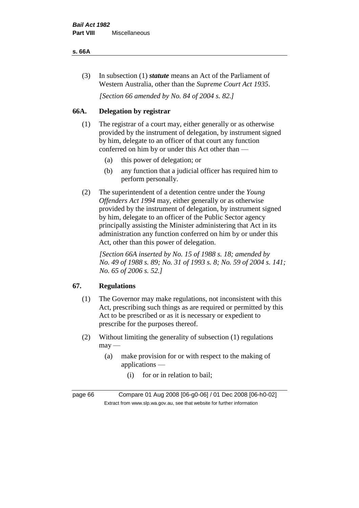#### **s. 66A**

(3) In subsection (1) *statute* means an Act of the Parliament of Western Australia, other than the *Supreme Court Act 1935*.

*[Section 66 amended by No. 84 of 2004 s. 82.]*

## **66A. Delegation by registrar**

- (1) The registrar of a court may, either generally or as otherwise provided by the instrument of delegation, by instrument signed by him, delegate to an officer of that court any function conferred on him by or under this Act other than —
	- (a) this power of delegation; or
	- (b) any function that a judicial officer has required him to perform personally.
- (2) The superintendent of a detention centre under the *Young Offenders Act 1994* may, either generally or as otherwise provided by the instrument of delegation, by instrument signed by him, delegate to an officer of the Public Sector agency principally assisting the Minister administering that Act in its administration any function conferred on him by or under this Act, other than this power of delegation.

*[Section 66A inserted by No. 15 of 1988 s. 18; amended by No. 49 of 1988 s. 89; No. 31 of 1993 s. 8; No. 59 of 2004 s. 141; No. 65 of 2006 s. 52.]* 

## **67. Regulations**

- (1) The Governor may make regulations, not inconsistent with this Act, prescribing such things as are required or permitted by this Act to be prescribed or as it is necessary or expedient to prescribe for the purposes thereof.
- (2) Without limiting the generality of subsection (1) regulations  $may$ —
	- (a) make provision for or with respect to the making of applications —
		- (i) for or in relation to bail;

page 66 Compare 01 Aug 2008 [06-g0-06] / 01 Dec 2008 [06-h0-02] Extract from www.slp.wa.gov.au, see that website for further information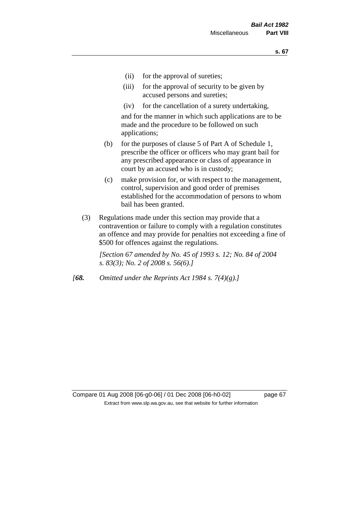- (ii) for the approval of sureties;
- (iii) for the approval of security to be given by accused persons and sureties;
- (iv) for the cancellation of a surety undertaking,

and for the manner in which such applications are to be made and the procedure to be followed on such applications;

- (b) for the purposes of clause 5 of Part A of Schedule 1, prescribe the officer or officers who may grant bail for any prescribed appearance or class of appearance in court by an accused who is in custody;
- (c) make provision for, or with respect to the management, control, supervision and good order of premises established for the accommodation of persons to whom bail has been granted.
- (3) Regulations made under this section may provide that a contravention or failure to comply with a regulation constitutes an offence and may provide for penalties not exceeding a fine of \$500 for offences against the regulations.

*[Section 67 amended by No. 45 of 1993 s. 12; No. 84 of 2004 s. 83(3); No. 2 of 2008 s. 56(6).]* 

*[68. Omitted under the Reprints Act 1984 s. 7(4)(g).]*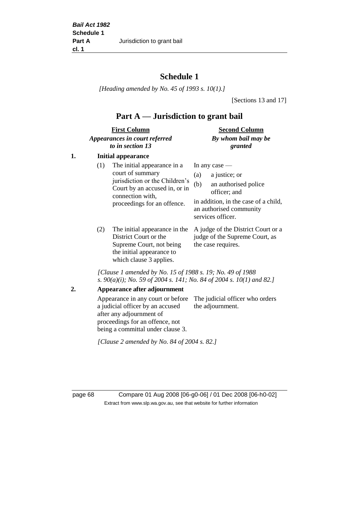## **Schedule 1**

*[Heading amended by No. 45 of 1993 s. 10(1).]*

[Sections 13 and 17]

## **Part A — Jurisdiction to grant bail**

| <b>First Column</b>           | <b>Second Column</b> |  |
|-------------------------------|----------------------|--|
| Appearances in court referred | By whom bail may be  |  |
| to in section 13              | granted              |  |

### **1. Initial appearance**

| (1)        | The initial appearance in a<br>court of summary<br>jurisdiction or the Children's<br>Court by an accused in, or in<br>connection with,<br>proceedings for an offence. | In any case $-$<br>a justice; or<br>(a)<br>an authorised police<br>(b)<br>officer; and<br>in addition, in the case of a child,<br>an authorised community<br>services officer. |
|------------|-----------------------------------------------------------------------------------------------------------------------------------------------------------------------|--------------------------------------------------------------------------------------------------------------------------------------------------------------------------------|
| $\sqrt{2}$ |                                                                                                                                                                       | $\mathbf{m}$ . The state of $\mathbf{m}$ is the state of $\mathbf{m}$                                                                                                          |

(2) The initial appearance in the A judge of the District Court or a District Court or the Supreme Court, not being the initial appearance to which clause 3 applies.

judge of the Supreme Court, as the case requires.

*[Clause 1 amended by No. 15 of 1988 s. 19; No. 49 of 1988 s. 90(a)(i); No. 59 of 2004 s. 141; No. 84 of 2004 s. 10(1) and 82.]*

**2. Appearance after adjournment**

Appearance in any court or before The judicial officer who orders a judicial officer by an accused after any adjournment of proceedings for an offence, not being a committal under clause 3. the adjournment.

*[Clause 2 amended by No. 84 of 2004 s. 82.]*

page 68 Compare 01 Aug 2008 [06-g0-06] / 01 Dec 2008 [06-h0-02] Extract from www.slp.wa.gov.au, see that website for further information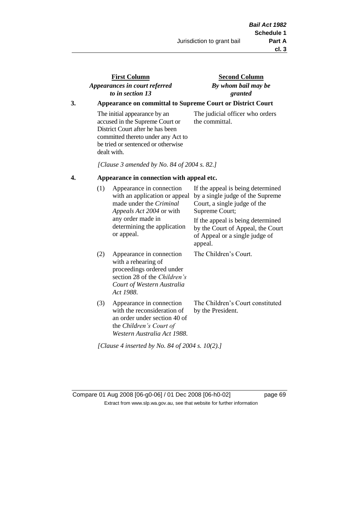## **First Column** *Appearances in court referred to in section 13*

### **Second Column** *By whom bail may be granted*

### **3. Appearance on committal to Supreme Court or District Court**

The initial appearance by an accused in the Supreme Court or District Court after he has been committed thereto under any Act to be tried or sentenced or otherwise dealt with.

The judicial officer who orders the committal.

*[Clause 3 amended by No. 84 of 2004 s. 82.]*

#### **4. Appearance in connection with appeal etc.**

| (1) | Appearance in connection<br>with an application or appeal<br>made under the <i>Criminal</i><br><i>Appeals Act 2004</i> or with<br>any order made in<br>determining the application<br>or appeal. | If the appeal is being determined<br>by a single judge of the Supreme<br>Court, a single judge of the<br>Supreme Court;<br>If the appeal is being determined<br>by the Court of Appeal, the Court<br>of Appeal or a single judge of<br>appeal. |
|-----|--------------------------------------------------------------------------------------------------------------------------------------------------------------------------------------------------|------------------------------------------------------------------------------------------------------------------------------------------------------------------------------------------------------------------------------------------------|
| (2) | Appearance in connection<br>with a rehearing of<br>proceedings ordered under<br>section 28 of the <i>Children's</i><br>Court of Western Australia<br>Act 1988.                                   | The Children's Court.                                                                                                                                                                                                                          |
| (3) | Appearance in connection<br>with the reconsideration of<br>an order under section 40 of<br>the Children's Court of<br>Western Australia Act 1988.                                                | The Children's Court constituted<br>by the President.                                                                                                                                                                                          |

*[Clause 4 inserted by No. 84 of 2004 s. 10(2).]*

Compare 01 Aug 2008 [06-g0-06] / 01 Dec 2008 [06-h0-02] page 69 Extract from www.slp.wa.gov.au, see that website for further information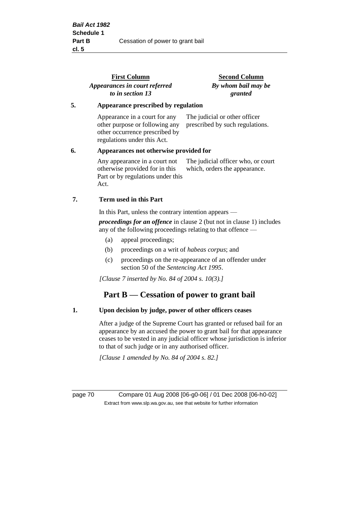|    | <b>First Column</b><br>Appearances in court referred<br>to in section 13                                                         | <b>Second Column</b><br>By whom bail may be<br>granted              |  |
|----|----------------------------------------------------------------------------------------------------------------------------------|---------------------------------------------------------------------|--|
| 5. | Appearance prescribed by regulation                                                                                              |                                                                     |  |
|    | Appearance in a court for any<br>other purpose or following any<br>other occurrence prescribed by<br>regulations under this Act. | The judicial or other officer<br>prescribed by such regulations.    |  |
| 6. | Appearances not otherwise provided for                                                                                           |                                                                     |  |
|    | Any appearance in a court not<br>otherwise provided for in this<br>Part or by regulations under this<br>Act.                     | The judicial officer who, or court<br>which, orders the appearance. |  |
| 7. | Term used in this Part                                                                                                           |                                                                     |  |
|    | In this Part, unless the contrary intention appears —                                                                            |                                                                     |  |
|    |                                                                                                                                  |                                                                     |  |

*proceedings for an offence* in clause 2 (but not in clause 1) includes any of the following proceedings relating to that offence —

- (a) appeal proceedings;
- (b) proceedings on a writ of *habeas corpus*; and
- (c) proceedings on the re-appearance of an offender under section 50 of the *Sentencing Act 1995*.

*[Clause 7 inserted by No. 84 of 2004 s. 10(3).]*

## **Part B — Cessation of power to grant bail**

#### **1. Upon decision by judge, power of other officers ceases**

After a judge of the Supreme Court has granted or refused bail for an appearance by an accused the power to grant bail for that appearance ceases to be vested in any judicial officer whose jurisdiction is inferior to that of such judge or in any authorised officer.

*[Clause 1 amended by No. 84 of 2004 s. 82.]*

page 70 Compare 01 Aug 2008 [06-g0-06] / 01 Dec 2008 [06-h0-02] Extract from www.slp.wa.gov.au, see that website for further information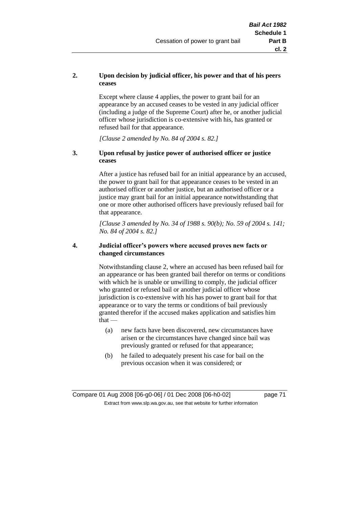# **2. Upon decision by judicial officer, his power and that of his peers ceases**

Except where clause 4 applies, the power to grant bail for an appearance by an accused ceases to be vested in any judicial officer (including a judge of the Supreme Court) after he, or another judicial officer whose jurisdiction is co-extensive with his, has granted or refused bail for that appearance.

*[Clause 2 amended by No. 84 of 2004 s. 82.]*

# **3. Upon refusal by justice power of authorised officer or justice ceases**

After a justice has refused bail for an initial appearance by an accused, the power to grant bail for that appearance ceases to be vested in an authorised officer or another justice, but an authorised officer or a justice may grant bail for an initial appearance notwithstanding that one or more other authorised officers have previously refused bail for that appearance.

*[Clause 3 amended by No. 34 of 1988 s. 90(b); No. 59 of 2004 s. 141; No. 84 of 2004 s. 82.]*

# **4. Judicial officer's powers where accused proves new facts or changed circumstances**

Notwithstanding clause 2, where an accused has been refused bail for an appearance or has been granted bail therefor on terms or conditions with which he is unable or unwilling to comply, the judicial officer who granted or refused bail or another judicial officer whose jurisdiction is co-extensive with his has power to grant bail for that appearance or to vary the terms or conditions of bail previously granted therefor if the accused makes application and satisfies him  $that -$ 

- (a) new facts have been discovered, new circumstances have arisen or the circumstances have changed since bail was previously granted or refused for that appearance;
- (b) he failed to adequately present his case for bail on the previous occasion when it was considered; or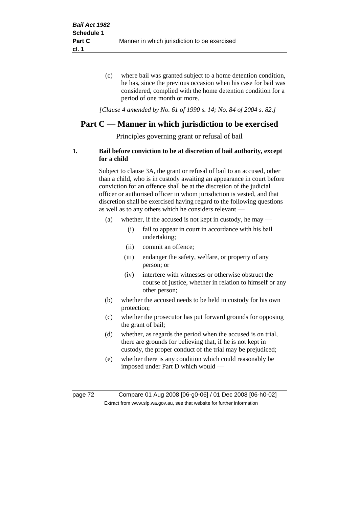(c) where bail was granted subject to a home detention condition, he has, since the previous occasion when his case for bail was considered, complied with the home detention condition for a period of one month or more.

*[Clause 4 amended by No. 61 of 1990 s. 14; No. 84 of 2004 s. 82.]*

# **Part C — Manner in which jurisdiction to be exercised**

Principles governing grant or refusal of bail

# **1. Bail before conviction to be at discretion of bail authority, except for a child**

Subject to clause 3A, the grant or refusal of bail to an accused, other than a child, who is in custody awaiting an appearance in court before conviction for an offence shall be at the discretion of the judicial officer or authorised officer in whom jurisdiction is vested, and that discretion shall be exercised having regard to the following questions as well as to any others which he considers relevant —

- (a) whether, if the accused is not kept in custody, he may
	- (i) fail to appear in court in accordance with his bail undertaking;
	- (ii) commit an offence;
	- (iii) endanger the safety, welfare, or property of any person; or
	- (iv) interfere with witnesses or otherwise obstruct the course of justice, whether in relation to himself or any other person;
- (b) whether the accused needs to be held in custody for his own protection;
- (c) whether the prosecutor has put forward grounds for opposing the grant of bail;
- (d) whether, as regards the period when the accused is on trial, there are grounds for believing that, if he is not kept in custody, the proper conduct of the trial may be prejudiced;
- (e) whether there is any condition which could reasonably be imposed under Part D which would —

page 72 Compare 01 Aug 2008 [06-g0-06] / 01 Dec 2008 [06-h0-02] Extract from www.slp.wa.gov.au, see that website for further information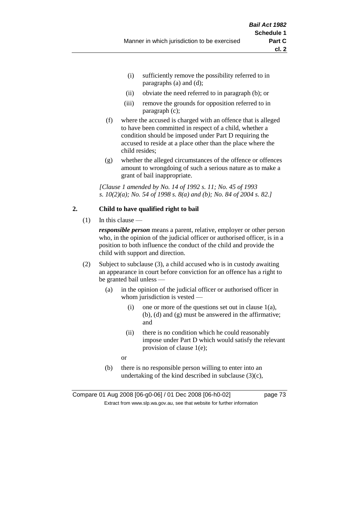- (i) sufficiently remove the possibility referred to in paragraphs (a) and (d);
- (ii) obviate the need referred to in paragraph (b); or
- (iii) remove the grounds for opposition referred to in paragraph (c);
- (f) where the accused is charged with an offence that is alleged to have been committed in respect of a child, whether a condition should be imposed under Part D requiring the accused to reside at a place other than the place where the child resides;
- (g) whether the alleged circumstances of the offence or offences amount to wrongdoing of such a serious nature as to make a grant of bail inappropriate.

*[Clause 1 amended by No. 14 of 1992 s. 11; No. 45 of 1993 s. 10(2)(a); No. 54 of 1998 s. 8(a) and (b); No. 84 of 2004 s. 82.]*

# **2. Child to have qualified right to bail**

 $(1)$  In this clause —

*responsible person* means a parent, relative, employer or other person who, in the opinion of the judicial officer or authorised officer, is in a position to both influence the conduct of the child and provide the child with support and direction.

- (2) Subject to subclause (3), a child accused who is in custody awaiting an appearance in court before conviction for an offence has a right to be granted bail unless —
	- (a) in the opinion of the judicial officer or authorised officer in whom jurisdiction is vested —
		- (i) one or more of the questions set out in clause  $1(a)$ , (b), (d) and (g) must be answered in the affirmative; and
		- (ii) there is no condition which he could reasonably impose under Part D which would satisfy the relevant provision of clause 1(e);

or

(b) there is no responsible person willing to enter into an undertaking of the kind described in subclause  $(3)(c)$ ,

Compare 01 Aug 2008 [06-g0-06] / 01 Dec 2008 [06-h0-02] page 73 Extract from www.slp.wa.gov.au, see that website for further information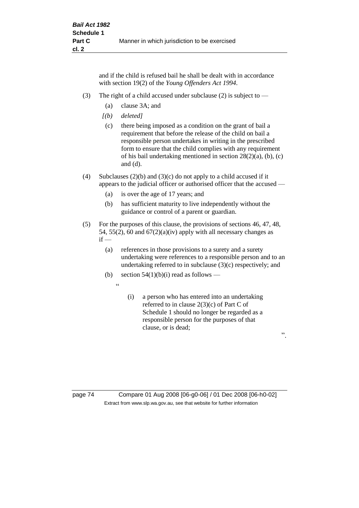and if the child is refused bail he shall be dealt with in accordance with section 19(2) of the *Young Offenders Act 1994*.

- (3) The right of a child accused under subclause (2) is subject to  $-$ 
	- (a) clause 3A; and
	- *[(b) deleted]*
	- (c) there being imposed as a condition on the grant of bail a requirement that before the release of the child on bail a responsible person undertakes in writing in the prescribed form to ensure that the child complies with any requirement of his bail undertaking mentioned in section 28(2)(a), (b), (c) and (d).
- (4) Subclauses (2)(b) and (3)(c) do not apply to a child accused if it appears to the judicial officer or authorised officer that the accused —
	- (a) is over the age of 17 years; and
	- (b) has sufficient maturity to live independently without the guidance or control of a parent or guardian.
- (5) For the purposes of this clause, the provisions of sections 46, 47, 48, 54, 55(2), 60 and  $67(2)(a)(iv)$  apply with all necessary changes as  $if -$ 
	- (a) references in those provisions to a surety and a surety undertaking were references to a responsible person and to an undertaking referred to in subclause (3)(c) respectively; and
	- (b) section  $54(1)(b)(i)$  read as follows
		- $\ddot{a}$
- (i) a person who has entered into an undertaking referred to in clause 2(3)(c) of Part C of Schedule 1 should no longer be regarded as a responsible person for the purposes of that clause, or is dead;

".

page 74 Compare 01 Aug 2008 [06-g0-06] / 01 Dec 2008 [06-h0-02] Extract from www.slp.wa.gov.au, see that website for further information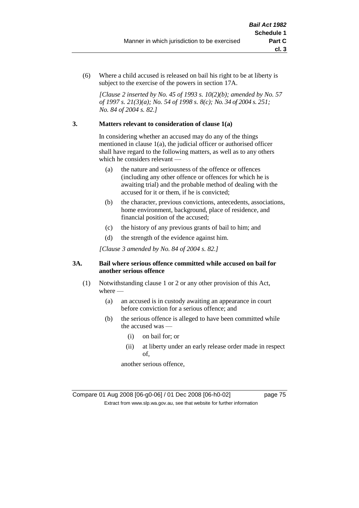(6) Where a child accused is released on bail his right to be at liberty is subject to the exercise of the powers in section 17A.

*[Clause 2 inserted by No. 45 of 1993 s. 10(2)(b); amended by No. 57 of 1997 s. 21(3)(a); No. 54 of 1998 s. 8(c); No. 34 of 2004 s. 251; No. 84 of 2004 s. 82.]*

# **3. Matters relevant to consideration of clause 1(a)**

In considering whether an accused may do any of the things mentioned in clause 1(a), the judicial officer or authorised officer shall have regard to the following matters, as well as to any others which he considers relevant —

- (a) the nature and seriousness of the offence or offences (including any other offence or offences for which he is awaiting trial) and the probable method of dealing with the accused for it or them, if he is convicted;
- (b) the character, previous convictions, antecedents, associations, home environment, background, place of residence, and financial position of the accused;
- (c) the history of any previous grants of bail to him; and
- (d) the strength of the evidence against him.

*[Clause 3 amended by No. 84 of 2004 s. 82.]*

# **3A. Bail where serious offence committed while accused on bail for another serious offence**

- (1) Notwithstanding clause 1 or 2 or any other provision of this Act, where —
	- (a) an accused is in custody awaiting an appearance in court before conviction for a serious offence; and
	- (b) the serious offence is alleged to have been committed while the accused was —
		- (i) on bail for; or
		- (ii) at liberty under an early release order made in respect of,

another serious offence,

Compare 01 Aug 2008 [06-g0-06] / 01 Dec 2008 [06-h0-02] page 75 Extract from www.slp.wa.gov.au, see that website for further information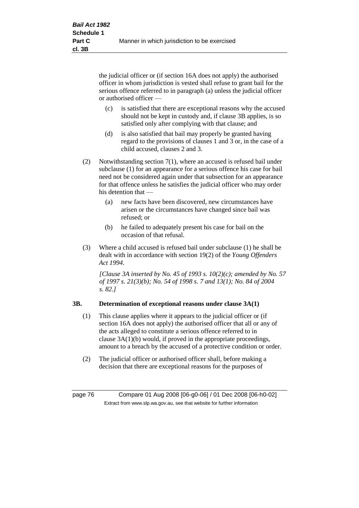the judicial officer or (if section 16A does not apply) the authorised officer in whom jurisdiction is vested shall refuse to grant bail for the serious offence referred to in paragraph (a) unless the judicial officer or authorised officer —

- (c) is satisfied that there are exceptional reasons why the accused should not be kept in custody and, if clause 3B applies, is so satisfied only after complying with that clause; and
- (d) is also satisfied that bail may properly be granted having regard to the provisions of clauses 1 and 3 or, in the case of a child accused, clauses 2 and 3.
- (2) Notwithstanding section 7(1), where an accused is refused bail under subclause (1) for an appearance for a serious offence his case for bail need not be considered again under that subsection for an appearance for that offence unless he satisfies the judicial officer who may order his detention that —
	- (a) new facts have been discovered, new circumstances have arisen or the circumstances have changed since bail was refused; or
	- (b) he failed to adequately present his case for bail on the occasion of that refusal.
- (3) Where a child accused is refused bail under subclause (1) he shall be dealt with in accordance with section 19(2) of the *Young Offenders Act 1994*.

*[Clause 3A inserted by No. 45 of 1993 s. 10(2)(c); amended by No. 57 of 1997 s. 21(3)(b); No. 54 of 1998 s. 7 and 13(1); No. 84 of 2004 s. 82.]*

# **3B. Determination of exceptional reasons under clause 3A(1)**

- (1) This clause applies where it appears to the judicial officer or (if section 16A does not apply) the authorised officer that all or any of the acts alleged to constitute a serious offence referred to in clause 3A(1)(b) would, if proved in the appropriate proceedings, amount to a breach by the accused of a protective condition or order.
- (2) The judicial officer or authorised officer shall, before making a decision that there are exceptional reasons for the purposes of

page 76 Compare 01 Aug 2008 [06-g0-06] / 01 Dec 2008 [06-h0-02] Extract from www.slp.wa.gov.au, see that website for further information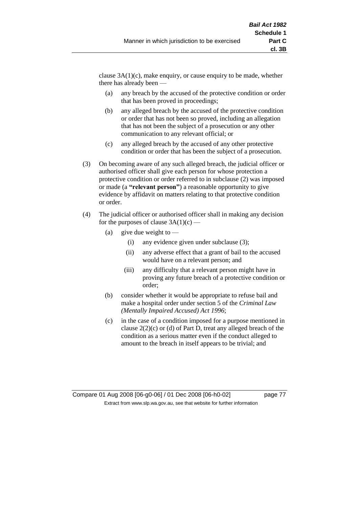clause  $3A(1)(c)$ , make enquiry, or cause enquiry to be made, whether there has already been —

- (a) any breach by the accused of the protective condition or order that has been proved in proceedings;
- (b) any alleged breach by the accused of the protective condition or order that has not been so proved, including an allegation that has not been the subject of a prosecution or any other communication to any relevant official; or
- (c) any alleged breach by the accused of any other protective condition or order that has been the subject of a prosecution.
- (3) On becoming aware of any such alleged breach, the judicial officer or authorised officer shall give each person for whose protection a protective condition or order referred to in subclause (2) was imposed or made (a **"relevant person"**) a reasonable opportunity to give evidence by affidavit on matters relating to that protective condition or order.
- (4) The judicial officer or authorised officer shall in making any decision for the purposes of clause  $3A(1)(c)$  —
	- (a) give due weight to  $-$ 
		- (i) any evidence given under subclause (3);
		- (ii) any adverse effect that a grant of bail to the accused would have on a relevant person; and
		- (iii) any difficulty that a relevant person might have in proving any future breach of a protective condition or order;
	- (b) consider whether it would be appropriate to refuse bail and make a hospital order under section 5 of the *Criminal Law (Mentally Impaired Accused) Act 1996*;
	- (c) in the case of a condition imposed for a purpose mentioned in clause 2(2)(c) or (d) of Part D, treat any alleged breach of the condition as a serious matter even if the conduct alleged to amount to the breach in itself appears to be trivial; and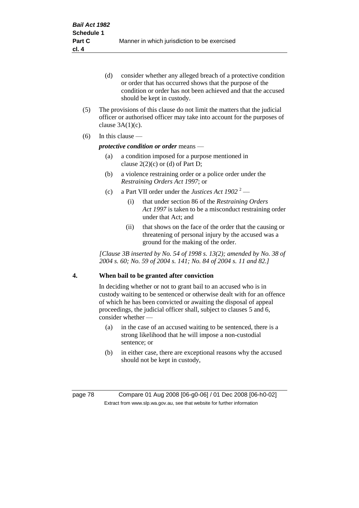- (d) consider whether any alleged breach of a protective condition or order that has occurred shows that the purpose of the condition or order has not been achieved and that the accused should be kept in custody.
- (5) The provisions of this clause do not limit the matters that the judicial officer or authorised officer may take into account for the purposes of clause  $3A(1)(c)$ .
- (6) In this clause —

# *protective condition or order* means —

- (a) a condition imposed for a purpose mentioned in clause  $2(2)(c)$  or (d) of Part D;
- (b) a violence restraining order or a police order under the *Restraining Orders Act 1997*; or
- (c) a Part VII order under the *Justices Act 1902* <sup>2</sup>
	- (i) that under section 86 of the *Restraining Orders Act 1997* is taken to be a misconduct restraining order under that Act; and
	- (ii) that shows on the face of the order that the causing or threatening of personal injury by the accused was a ground for the making of the order.

*[Clause 3B inserted by No. 54 of 1998 s. 13(2); amended by No. 38 of 2004 s. 60; No. 59 of 2004 s. 141; No. 84 of 2004 s. 11 and 82.]*

# **4. When bail to be granted after conviction**

In deciding whether or not to grant bail to an accused who is in custody waiting to be sentenced or otherwise dealt with for an offence of which he has been convicted or awaiting the disposal of appeal proceedings, the judicial officer shall, subject to clauses 5 and 6, consider whether -

- (a) in the case of an accused waiting to be sentenced, there is a strong likelihood that he will impose a non-custodial sentence; or
- (b) in either case, there are exceptional reasons why the accused should not be kept in custody,

page 78 Compare 01 Aug 2008 [06-g0-06] / 01 Dec 2008 [06-h0-02] Extract from www.slp.wa.gov.au, see that website for further information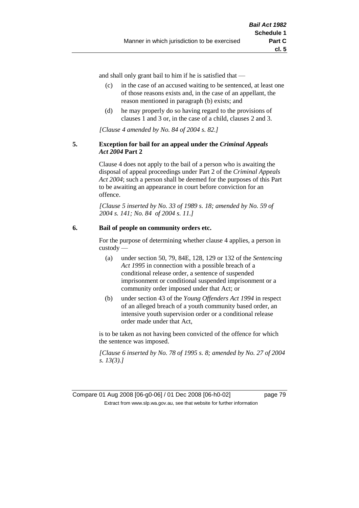and shall only grant bail to him if he is satisfied that —

- (c) in the case of an accused waiting to be sentenced, at least one of those reasons exists and, in the case of an appellant, the reason mentioned in paragraph (b) exists; and
- (d) he may properly do so having regard to the provisions of clauses 1 and 3 or, in the case of a child, clauses 2 and 3.

*[Clause 4 amended by No. 84 of 2004 s. 82.]*

# **5. Exception for bail for an appeal under the** *Criminal Appeals Act 2004* **Part 2**

Clause 4 does not apply to the bail of a person who is awaiting the disposal of appeal proceedings under Part 2 of the *Criminal Appeals Act 2004*; such a person shall be deemed for the purposes of this Part to be awaiting an appearance in court before conviction for an offence.

*[Clause 5 inserted by No. 33 of 1989 s. 18; amended by No. 59 of 2004 s. 141; No. 84 of 2004 s. 11.]*

# **6. Bail of people on community orders etc.**

For the purpose of determining whether clause 4 applies, a person in custody —

- (a) under section 50, 79, 84E, 128, 129 or 132 of the *Sentencing Act 1995* in connection with a possible breach of a conditional release order, a sentence of suspended imprisonment or conditional suspended imprisonment or a community order imposed under that Act; or
- (b) under section 43 of the *Young Offenders Act 1994* in respect of an alleged breach of a youth community based order, an intensive youth supervision order or a conditional release order made under that Act,

is to be taken as not having been convicted of the offence for which the sentence was imposed.

*[Clause 6 inserted by No. 78 of 1995 s. 8; amended by No. 27 of 2004 s. 13(3).]*

Compare 01 Aug 2008 [06-g0-06] / 01 Dec 2008 [06-h0-02] page 79 Extract from www.slp.wa.gov.au, see that website for further information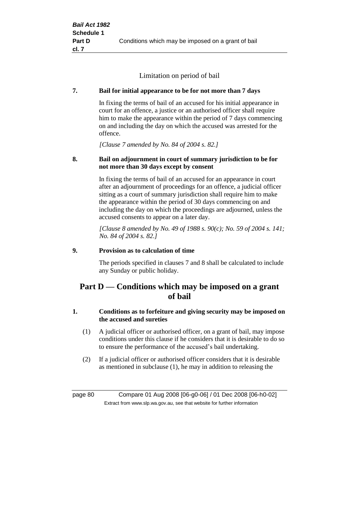Limitation on period of bail

# **7. Bail for initial appearance to be for not more than 7 days**

In fixing the terms of bail of an accused for his initial appearance in court for an offence, a justice or an authorised officer shall require him to make the appearance within the period of 7 days commencing on and including the day on which the accused was arrested for the offence.

*[Clause 7 amended by No. 84 of 2004 s. 82.]*

# **8. Bail on adjournment in court of summary jurisdiction to be for not more than 30 days except by consent**

In fixing the terms of bail of an accused for an appearance in court after an adjournment of proceedings for an offence, a judicial officer sitting as a court of summary jurisdiction shall require him to make the appearance within the period of 30 days commencing on and including the day on which the proceedings are adjourned, unless the accused consents to appear on a later day.

*[Clause 8 amended by No. 49 of 1988 s. 90(c); No. 59 of 2004 s. 141; No. 84 of 2004 s. 82.]*

# **9. Provision as to calculation of time**

The periods specified in clauses 7 and 8 shall be calculated to include any Sunday or public holiday.

# **Part D — Conditions which may be imposed on a grant of bail**

# **1. Conditions as to forfeiture and giving security may be imposed on the accused and sureties**

- (1) A judicial officer or authorised officer, on a grant of bail, may impose conditions under this clause if he considers that it is desirable to do so to ensure the performance of the accused's bail undertaking.
- (2) If a judicial officer or authorised officer considers that it is desirable as mentioned in subclause (1), he may in addition to releasing the

page 80 Compare 01 Aug 2008 [06-g0-06] / 01 Dec 2008 [06-h0-02] Extract from www.slp.wa.gov.au, see that website for further information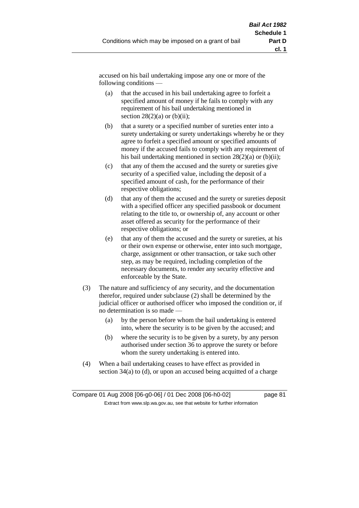accused on his bail undertaking impose any one or more of the following conditions —

- (a) that the accused in his bail undertaking agree to forfeit a specified amount of money if he fails to comply with any requirement of his bail undertaking mentioned in section  $28(2)(a)$  or  $(b)(ii)$ ;
- (b) that a surety or a specified number of sureties enter into a surety undertaking or surety undertakings whereby he or they agree to forfeit a specified amount or specified amounts of money if the accused fails to comply with any requirement of his bail undertaking mentioned in section  $28(2)(a)$  or (b)(ii);
- (c) that any of them the accused and the surety or sureties give security of a specified value, including the deposit of a specified amount of cash, for the performance of their respective obligations;
- (d) that any of them the accused and the surety or sureties deposit with a specified officer any specified passbook or document relating to the title to, or ownership of, any account or other asset offered as security for the performance of their respective obligations; or
- (e) that any of them the accused and the surety or sureties, at his or their own expense or otherwise, enter into such mortgage, charge, assignment or other transaction, or take such other step, as may be required, including completion of the necessary documents, to render any security effective and enforceable by the State.
- (3) The nature and sufficiency of any security, and the documentation therefor, required under subclause (2) shall be determined by the judicial officer or authorised officer who imposed the condition or, if no determination is so made —
	- (a) by the person before whom the bail undertaking is entered into, where the security is to be given by the accused; and
	- (b) where the security is to be given by a surety, by any person authorised under section 36 to approve the surety or before whom the surety undertaking is entered into.
- (4) When a bail undertaking ceases to have effect as provided in section 34(a) to (d), or upon an accused being acquitted of a charge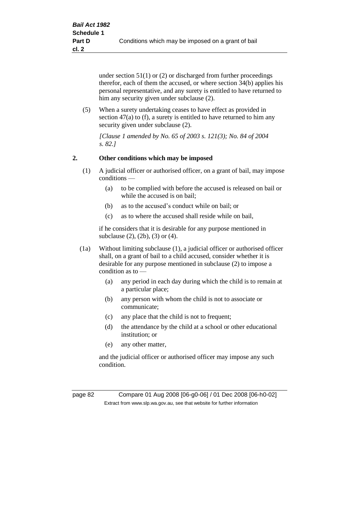under section 51(1) or (2) or discharged from further proceedings therefor, each of them the accused, or where section 34(b) applies his personal representative, and any surety is entitled to have returned to him any security given under subclause (2).

(5) When a surety undertaking ceases to have effect as provided in section 47(a) to (f), a surety is entitled to have returned to him any security given under subclause (2).

*[Clause 1 amended by No. 65 of 2003 s. 121(3); No. 84 of 2004 s. 82.]*

# **2. Other conditions which may be imposed**

- (1) A judicial officer or authorised officer, on a grant of bail, may impose conditions —
	- (a) to be complied with before the accused is released on bail or while the accused is on bail;
	- (b) as to the accused's conduct while on bail; or
	- (c) as to where the accused shall reside while on bail,

if he considers that it is desirable for any purpose mentioned in subclause (2), (2b), (3) or (4).

- (1a) Without limiting subclause (1), a judicial officer or authorised officer shall, on a grant of bail to a child accused, consider whether it is desirable for any purpose mentioned in subclause (2) to impose a condition as to —
	- (a) any period in each day during which the child is to remain at a particular place;
	- (b) any person with whom the child is not to associate or communicate;
	- (c) any place that the child is not to frequent;
	- (d) the attendance by the child at a school or other educational institution; or
	- (e) any other matter,

and the judicial officer or authorised officer may impose any such condition.

page 82 Compare 01 Aug 2008 [06-g0-06] / 01 Dec 2008 [06-h0-02] Extract from www.slp.wa.gov.au, see that website for further information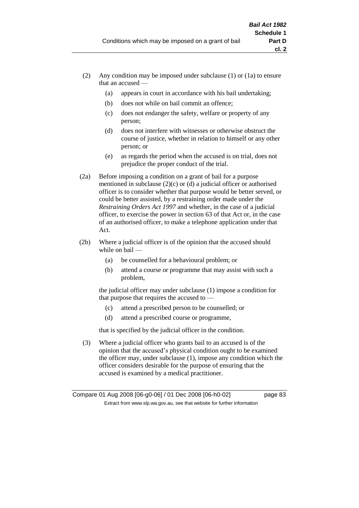- (2) Any condition may be imposed under subclause (1) or (1a) to ensure that an accused —
	- (a) appears in court in accordance with his bail undertaking;
	- (b) does not while on bail commit an offence;
	- (c) does not endanger the safety, welfare or property of any person;
	- (d) does not interfere with witnesses or otherwise obstruct the course of justice, whether in relation to himself or any other person; or
	- (e) as regards the period when the accused is on trial, does not prejudice the proper conduct of the trial.
- (2a) Before imposing a condition on a grant of bail for a purpose mentioned in subclause (2)(c) or (d) a judicial officer or authorised officer is to consider whether that purpose would be better served, or could be better assisted, by a restraining order made under the *Restraining Orders Act 1997* and whether, in the case of a judicial officer, to exercise the power in section 63 of that Act or, in the case of an authorised officer, to make a telephone application under that Act.
- (2b) Where a judicial officer is of the opinion that the accused should while on bail -
	- (a) be counselled for a behavioural problem; or
	- (b) attend a course or programme that may assist with such a problem,

the judicial officer may under subclause (1) impose a condition for that purpose that requires the accused to —

- (c) attend a prescribed person to be counselled; or
- (d) attend a prescribed course or programme,

that is specified by the judicial officer in the condition.

(3) Where a judicial officer who grants bail to an accused is of the opinion that the accused's physical condition ought to be examined the officer may, under subclause (1), impose any condition which the officer considers desirable for the purpose of ensuring that the accused is examined by a medical practitioner.

Compare 01 Aug 2008 [06-g0-06] / 01 Dec 2008 [06-h0-02] page 83 Extract from www.slp.wa.gov.au, see that website for further information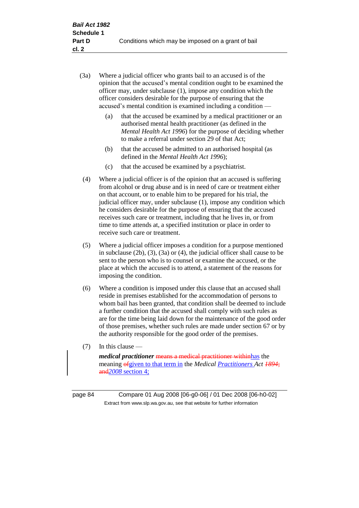- (3a) Where a judicial officer who grants bail to an accused is of the opinion that the accused's mental condition ought to be examined the officer may, under subclause (1), impose any condition which the officer considers desirable for the purpose of ensuring that the accused's mental condition is examined including a condition —
	- (a) that the accused be examined by a medical practitioner or an authorised mental health practitioner (as defined in the *Mental Health Act 1996*) for the purpose of deciding whether to make a referral under section 29 of that Act;
	- (b) that the accused be admitted to an authorised hospital (as defined in the *Mental Health Act 1996*);
	- (c) that the accused be examined by a psychiatrist.
- (4) Where a judicial officer is of the opinion that an accused is suffering from alcohol or drug abuse and is in need of care or treatment either on that account, or to enable him to be prepared for his trial, the judicial officer may, under subclause (1), impose any condition which he considers desirable for the purpose of ensuring that the accused receives such care or treatment, including that he lives in, or from time to time attends at, a specified institution or place in order to receive such care or treatment.
- (5) Where a judicial officer imposes a condition for a purpose mentioned in subclause (2b), (3), (3a) or (4), the judicial officer shall cause to be sent to the person who is to counsel or examine the accused, or the place at which the accused is to attend, a statement of the reasons for imposing the condition.
- (6) Where a condition is imposed under this clause that an accused shall reside in premises established for the accommodation of persons to whom bail has been granted, that condition shall be deemed to include a further condition that the accused shall comply with such rules as are for the time being laid down for the maintenance of the good order of those premises, whether such rules are made under section 67 or by the authority responsible for the good order of the premises.
- (7) In this clause —

*medical practitioner* means a medical practitioner withinhas the meaning ofgiven to that term in the *Medical Practitioners Act 1894*; and*2008* section 4;

page 84 Compare 01 Aug 2008 [06-g0-06] / 01 Dec 2008 [06-h0-02] Extract from www.slp.wa.gov.au, see that website for further information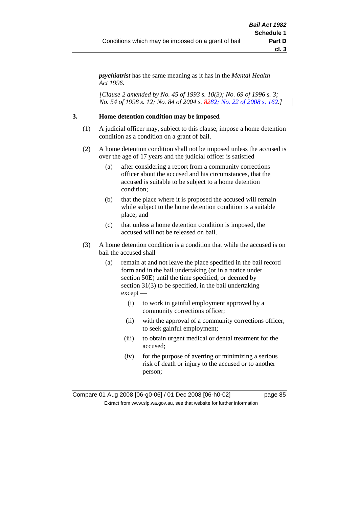*psychiatrist* has the same meaning as it has in the *Mental Health Act 1996*.

*[Clause 2 amended by No. 45 of 1993 s. 10(3); No. 69 of 1996 s. 3; No. 54 of 1998 s. 12; No. 84 of 2004 s. 8282; No. 22 of 2008 s. 162.]*

# **3. Home detention condition may be imposed**

- (1) A judicial officer may, subject to this clause, impose a home detention condition as a condition on a grant of bail.
- (2) A home detention condition shall not be imposed unless the accused is over the age of 17 years and the judicial officer is satisfied —
	- (a) after considering a report from a community corrections officer about the accused and his circumstances, that the accused is suitable to be subject to a home detention condition;
	- (b) that the place where it is proposed the accused will remain while subject to the home detention condition is a suitable place; and
	- (c) that unless a home detention condition is imposed, the accused will not be released on bail.
- (3) A home detention condition is a condition that while the accused is on bail the accused shall —
	- (a) remain at and not leave the place specified in the bail record form and in the bail undertaking (or in a notice under section 50E) until the time specified, or deemed by section 31(3) to be specified, in the bail undertaking except —
		- (i) to work in gainful employment approved by a community corrections officer;
		- (ii) with the approval of a community corrections officer, to seek gainful employment;
		- (iii) to obtain urgent medical or dental treatment for the accused;
		- (iv) for the purpose of averting or minimizing a serious risk of death or injury to the accused or to another person;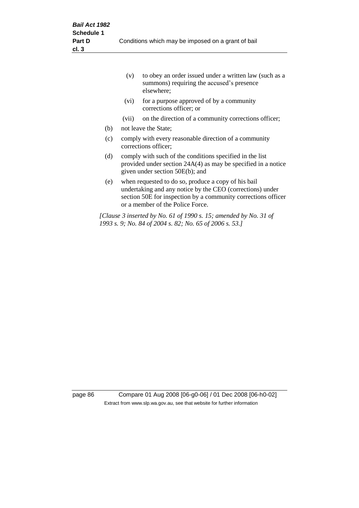|     | (v)                                                                                                                                                            | to obey an order issued under a written law (such as a<br>summons) requiring the accused's presence<br>elsewhere;                                                                                                     |  |  |
|-----|----------------------------------------------------------------------------------------------------------------------------------------------------------------|-----------------------------------------------------------------------------------------------------------------------------------------------------------------------------------------------------------------------|--|--|
|     | (vi)                                                                                                                                                           | for a purpose approved of by a community<br>corrections officer; or                                                                                                                                                   |  |  |
|     | (vii)                                                                                                                                                          | on the direction of a community corrections officer;                                                                                                                                                                  |  |  |
| (b) |                                                                                                                                                                | not leave the State;                                                                                                                                                                                                  |  |  |
| (c) | comply with every reasonable direction of a community<br>corrections officer;                                                                                  |                                                                                                                                                                                                                       |  |  |
| (d) | comply with such of the conditions specified in the list<br>provided under section $24A(4)$ as may be specified in a notice<br>given under section 50E(b); and |                                                                                                                                                                                                                       |  |  |
| (e) |                                                                                                                                                                | when requested to do so, produce a copy of his bail<br>undertaking and any notice by the CEO (corrections) under<br>section 50E for inspection by a community corrections officer<br>or a member of the Police Force. |  |  |
|     |                                                                                                                                                                | [Clause 3 inserted by No. 61 of 1990 s. 15; amended by No. 31 of<br>1993 s. 9; No. 84 of 2004 s. 82; No. 65 of 2006 s. 53.]                                                                                           |  |  |

page 86 Compare 01 Aug 2008 [06-g0-06] / 01 Dec 2008 [06-h0-02] Extract from www.slp.wa.gov.au, see that website for further information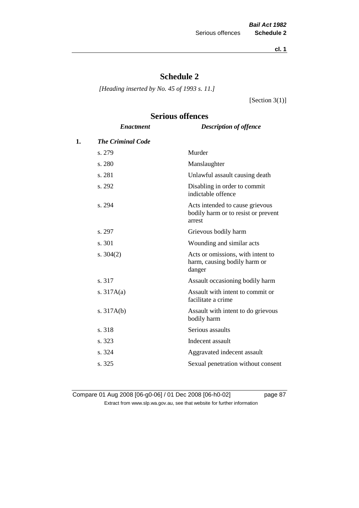**cl. 1**

# **Schedule 2**

*[Heading inserted by No. 45 of 1993 s. 11.]*

[Section 3(1)]

# **Serious offences**

|    | <b>Enactment</b>         | <b>Description of offence</b>                                                    |
|----|--------------------------|----------------------------------------------------------------------------------|
| 1. | <b>The Criminal Code</b> |                                                                                  |
|    | s. 279                   | Murder                                                                           |
|    | s. 280                   | Manslaughter                                                                     |
|    | s. 281                   | Unlawful assault causing death                                                   |
|    | s. 292                   | Disabling in order to commit<br>indictable offence                               |
|    | s. 294                   | Acts intended to cause grievous<br>bodily harm or to resist or prevent<br>arrest |
|    | s. 297                   | Grievous bodily harm                                                             |
|    | s. 301                   | Wounding and similar acts                                                        |
|    | s. $304(2)$              | Acts or omissions, with intent to<br>harm, causing bodily harm or<br>danger      |
|    | s. 317                   | Assault occasioning bodily harm                                                  |
|    | s. $317A(a)$             | Assault with intent to commit or<br>facilitate a crime                           |
|    | s. $317A(b)$             | Assault with intent to do grievous<br>bodily harm                                |
|    | s. 318                   | Serious assaults                                                                 |
|    | s. 323                   | Indecent assault                                                                 |
|    | s. 324                   | Aggravated indecent assault                                                      |
|    | s. 325                   | Sexual penetration without consent                                               |
|    |                          |                                                                                  |

Compare 01 Aug 2008 [06-g0-06] / 01 Dec 2008 [06-h0-02] page 87 Extract from www.slp.wa.gov.au, see that website for further information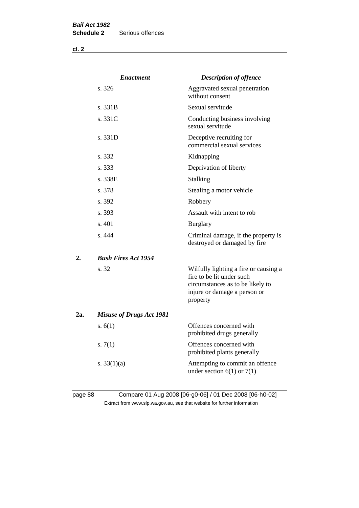**cl. 2**

|     | <b>Enactment</b>                | <b>Description of offence</b>                                                                                                                      |
|-----|---------------------------------|----------------------------------------------------------------------------------------------------------------------------------------------------|
|     | s. 326                          | Aggravated sexual penetration<br>without consent                                                                                                   |
|     | s. 331B                         | Sexual servitude                                                                                                                                   |
|     | s. 331C                         | Conducting business involving<br>sexual servitude                                                                                                  |
|     | s.331D                          | Deceptive recruiting for<br>commercial sexual services                                                                                             |
|     | s. 332                          | Kidnapping                                                                                                                                         |
|     | s. 333                          | Deprivation of liberty                                                                                                                             |
|     | s. 338E                         | Stalking                                                                                                                                           |
|     | s. 378                          | Stealing a motor vehicle                                                                                                                           |
|     | s. 392                          | Robbery                                                                                                                                            |
|     | s. 393                          | Assault with intent to rob                                                                                                                         |
|     | s. 401                          | <b>Burglary</b>                                                                                                                                    |
|     | s.444                           | Criminal damage, if the property is<br>destroyed or damaged by fire                                                                                |
| 2.  | <b>Bush Fires Act 1954</b>      |                                                                                                                                                    |
|     | s. 32                           | Wilfully lighting a fire or causing a<br>fire to be lit under such<br>circumstances as to be likely to<br>injure or damage a person or<br>property |
| 2a. | <b>Misuse of Drugs Act 1981</b> |                                                                                                                                                    |
|     | s. $6(1)$                       | Offences concerned with<br>prohibited drugs generally                                                                                              |
|     | s. $7(1)$                       | Offences concerned with<br>prohibited plants generally                                                                                             |
|     | s. $33(1)(a)$                   | Attempting to commit an offence<br>under section $6(1)$ or $7(1)$                                                                                  |
|     |                                 |                                                                                                                                                    |

# page 88 Compare 01 Aug 2008 [06-g0-06] / 01 Dec 2008 [06-h0-02] Extract from www.slp.wa.gov.au, see that website for further information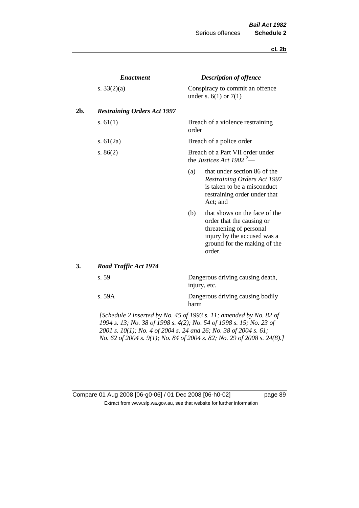## **cl. 2b**

|     | <b>Enactment</b>                                                                                                                                                                                                                                                                                               |                                                                          | <b>Description of offence</b>                                                                                                                                  |  |  |
|-----|----------------------------------------------------------------------------------------------------------------------------------------------------------------------------------------------------------------------------------------------------------------------------------------------------------------|--------------------------------------------------------------------------|----------------------------------------------------------------------------------------------------------------------------------------------------------------|--|--|
|     | s. $33(2)(a)$                                                                                                                                                                                                                                                                                                  |                                                                          | Conspiracy to commit an offence<br>under s. $6(1)$ or $7(1)$                                                                                                   |  |  |
| 2b. | <b>Restraining Orders Act 1997</b>                                                                                                                                                                                                                                                                             |                                                                          |                                                                                                                                                                |  |  |
|     | s. $61(1)$                                                                                                                                                                                                                                                                                                     | order                                                                    | Breach of a violence restraining                                                                                                                               |  |  |
|     | s. $61(2a)$                                                                                                                                                                                                                                                                                                    |                                                                          | Breach of a police order                                                                                                                                       |  |  |
|     | s. $86(2)$                                                                                                                                                                                                                                                                                                     | Breach of a Part VII order under<br>the Justices Act 1902 <sup>2</sup> — |                                                                                                                                                                |  |  |
|     |                                                                                                                                                                                                                                                                                                                | (a)                                                                      | that under section 86 of the<br><b>Restraining Orders Act 1997</b><br>is taken to be a misconduct<br>restraining order under that<br>Act; and                  |  |  |
|     |                                                                                                                                                                                                                                                                                                                | (b)                                                                      | that shows on the face of the<br>order that the causing or<br>threatening of personal<br>injury by the accused was a<br>ground for the making of the<br>order. |  |  |
| 3.  | Road Traffic Act 1974                                                                                                                                                                                                                                                                                          |                                                                          |                                                                                                                                                                |  |  |
|     | s. 59                                                                                                                                                                                                                                                                                                          |                                                                          | Dangerous driving causing death,<br>injury, etc.                                                                                                               |  |  |
|     | s. 59A                                                                                                                                                                                                                                                                                                         | harm                                                                     | Dangerous driving causing bodily                                                                                                                               |  |  |
|     | $\mathcal{L}$ contains $\mathcal{L}$ is a contradict in $\mathcal{L}$ of $\mathcal{L}$ and $\mathcal{L}$ are in $\mathcal{L}$ and $\mathcal{L}$ and $\mathcal{L}$ and $\mathcal{L}$ and $\mathcal{L}$ and $\mathcal{L}$ and $\mathcal{L}$ and $\mathcal{L}$ and $\mathcal{L}$ and $\mathcal{L}$ and $\mathcal$ |                                                                          |                                                                                                                                                                |  |  |

*[Schedule 2 inserted by No. 45 of 1993 s. 11; amended by No. 82 of 1994 s. 13; No. 38 of 1998 s. 4(2); No. 54 of 1998 s. 15; No. 23 of 2001 s. 10(1); No. 4 of 2004 s. 24 and 26; No. 38 of 2004 s. 61; No. 62 of 2004 s. 9(1); No. 84 of 2004 s. 82; No. 29 of 2008 s. 24(8).]* 

| Compare 01 Aug 2008 [06-g0-06] / 01 Dec 2008 [06-h0-02]                  |
|--------------------------------------------------------------------------|
| Extract from www.slp.wa.gov.au, see that website for further information |

page 89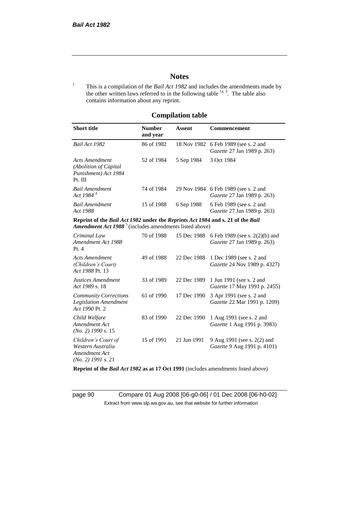# **Notes**

<sup>1</sup> This is a compilation of the *Bail Act 1982* and includes the amendments made by the other written laws referred to in the following table  $\frac{1}{a}$ , The table also contains information about any reprint.

# **Compilation table**

| <b>Short title</b>                                                                                                                                          | <b>Number</b><br>and year | Assent     | Commencement                                                                                      |
|-------------------------------------------------------------------------------------------------------------------------------------------------------------|---------------------------|------------|---------------------------------------------------------------------------------------------------|
| Bail Act 1982                                                                                                                                               | 86 of 1982                |            | 18 Nov 1982 6 Feb 1989 (see s. 2 and<br><i>Gazette</i> 27 Jan 1989 p. 263)                        |
| Acts Amendment<br>(Abolition of Capital)<br>Punishment) Act 1984<br>Pt. III                                                                                 | 52 of 1984                | 5 Sep 1984 | 3 Oct 1984                                                                                        |
| <b>Bail Amendment</b><br>Act 1984 <sup>4</sup>                                                                                                              | 74 of 1984                |            | 29 Nov 1984 6 Feb 1989 (see s. 2 and<br><i>Gazette</i> 27 Jan 1989 p. 263)                        |
| <b>Bail Amendment</b><br>Act 1988                                                                                                                           | 15 of 1988                | 6 Sep 1988 | 6 Feb 1989 (see s. 2 and<br><i>Gazette</i> 27 Jan 1989 p. 263)                                    |
| Reprint of the Bail Act 1982 under the Reprints Act 1984 and s. 21 of the Bail<br><b>Amendment Act 1988</b> <sup>5</sup> (includes amendments listed above) |                           |            |                                                                                                   |
| Criminal Law<br>$A_{222}$ and dragger $A_{04}$ 1000                                                                                                         | 70 of 1988                |            | 15 Dec 1988 6 Feb 1989 (see s. 2(2)(b) and<br>$C_{\text{cosatto}}$ 27 I <sub>an</sub> 1000 - 262) |

| Criminal Law<br>Amendment Act 1988<br>Pt.4                                        | 70 OF 1988 |             | 15 Dec 1988 6 Feb 1989 (see s. $2(2)(0)$ and<br>Gazette 27 Jan 1989 p. 263) |
|-----------------------------------------------------------------------------------|------------|-------------|-----------------------------------------------------------------------------|
| Acts Amendment<br>(Children's Court)<br>Act 1988 Pt. 13                           | 49 of 1988 | 22 Dec 1988 | 1 Dec 1989 (see s. 2 and<br><i>Gazette</i> 24 Nov 1989 p. 4327)             |
| Justices Amendment<br>Act 1989 s. 18                                              | 33 of 1989 | 22 Dec 1989 | 1 Jun 1991 (see s. 2 and<br><i>Gazette</i> 17 May 1991 p. 2455)             |
| <b>Community Corrections</b><br><b>Legislation Amendment</b><br>Act 1990 Pt. 2    | 61 of 1990 | 17 Dec 1990 | 3 Apr 1991 (see s. 2 and<br><i>Gazette</i> 22 Mar 1991 p. 1209)             |
| Child Welfare<br>Amendment Act<br>$(No. 2)$ 1990 s. 15                            | 83 of 1990 | 22 Dec 1990 | 1 Aug 1991 (see s. 2 and<br><i>Gazette</i> 1 Aug 1991 p. 3983)              |
| Children's Court of<br>Western Australia<br>Amendment Act<br>$(No. 2)$ 1991 s. 21 | 15 of 1991 | 21 Jun 1991 | 9 Aug 1991 (see s. 2(2) and<br><i>Gazette</i> 9 Aug 1991 p. 4101)           |

**Reprint of the** *Bail Act 1982* **as at 17 Oct 1991** (includes amendments listed above)

page 90 Compare 01 Aug 2008 [06-g0-06] / 01 Dec 2008 [06-h0-02] Extract from www.slp.wa.gov.au, see that website for further information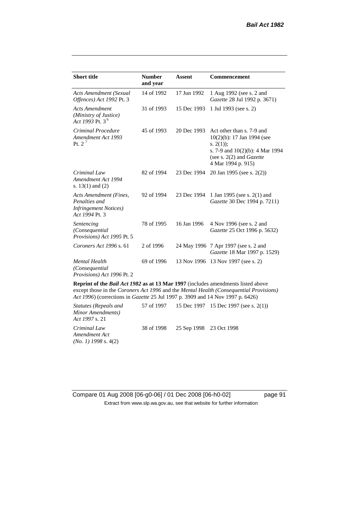| <b>Short title</b>                                                                         | <b>Number</b><br>and year | <b>Assent</b> | <b>Commencement</b>                                                                                                                                                        |
|--------------------------------------------------------------------------------------------|---------------------------|---------------|----------------------------------------------------------------------------------------------------------------------------------------------------------------------------|
| Acts Amendment (Sexual<br>Offences) Act 1992 Pt. 3                                         | 14 of 1992                | 17 Jun 1992   | 1 Aug 1992 (see s. 2 and<br>Gazette 28 Jul 1992 p. 3671)                                                                                                                   |
| <b>Acts Amendment</b><br>(Ministry of Justice)<br>Act 1993 Pt. 3 <sup>6</sup>              | 31 of 1993                | 15 Dec 1993   | 1 Jul 1993 (see s. 2)                                                                                                                                                      |
| Criminal Procedure<br>Amendment Act 1993<br>Pt. $2^7$                                      | 45 of 1993                | 20 Dec 1993   | Act other than s. 7-9 and<br>$10(2)(b)$ : 17 Jan 1994 (see<br>s. $2(1)$ ;<br>s. 7-9 and $10(2)(b)$ : 4 Mar 1994<br>(see s. $2(2)$ and <i>Gazette</i><br>4 Mar 1994 p. 915) |
| Criminal Law<br>Amendment Act 1994<br>s. $13(1)$ and $(2)$                                 | 82 of 1994                | 23 Dec 1994   | 20 Jan 1995 (see s. 2(2))                                                                                                                                                  |
| Acts Amendment (Fines,<br>Penalties and<br><b>Infringement Notices</b> )<br>Act 1994 Pt. 3 | 92 of 1994                | 23 Dec 1994   | 1 Jan 1995 (see s. 2(1) and<br>Gazette 30 Dec 1994 p. 7211)                                                                                                                |
| Sentencing<br>(Consequential<br>Provisions) Act 1995 Pt. 5                                 | 78 of 1995                | 16 Jan 1996   | 4 Nov 1996 (see s. 2 and<br>Gazette 25 Oct 1996 p. 5632)                                                                                                                   |
| Coroners Act 1996 s. 61                                                                    | 2 of 1996                 |               | 24 May 1996 7 Apr 1997 (see s. 2 and<br>Gazette 18 Mar 1997 p. 1529)                                                                                                       |
| <b>Mental Health</b><br>(Consequential<br>Provisions) Act 1996 Pt. 2                       | 69 of 1996                |               | 13 Nov 1996 13 Nov 1997 (see s. 2)                                                                                                                                         |

**Reprint of the** *Bail Act 1982* **as at 13 Mar 1997** (includes amendments listed above except those in the *Coroners Act 1996* and the *Mental Health (Consequential Provisions) Act 1996*) (corrections in *Gazette* 25 Jul 1997 p. 3909 and 14 Nov 1997 p. 6426)

*Statutes (Repeals and Minor Amendments) Act 1997* s. 21 57 of 1997 15 Dec 1997 15 Dec 1997 (see s. 2(1)) *Criminal Law Amendment Act (No. 1) 1998* s. 4(2) 38 of 1998 25 Sep 1998 23 Oct 1998

Compare 01 Aug 2008 [06-g0-06] / 01 Dec 2008 [06-h0-02] page 91 Extract from www.slp.wa.gov.au, see that website for further information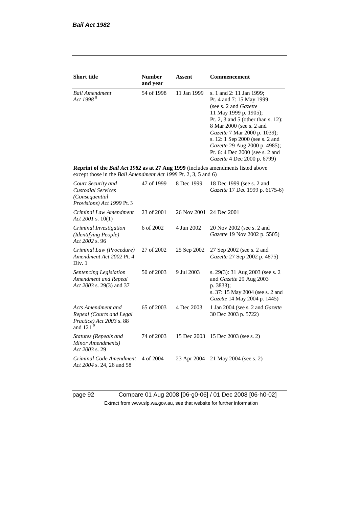| <b>Short title</b>                                                                                                                                 | <b>Number</b> | Assent      | Commencement                                                                                                                                                                                                                                                                                                                                            |
|----------------------------------------------------------------------------------------------------------------------------------------------------|---------------|-------------|---------------------------------------------------------------------------------------------------------------------------------------------------------------------------------------------------------------------------------------------------------------------------------------------------------------------------------------------------------|
|                                                                                                                                                    | and year      |             |                                                                                                                                                                                                                                                                                                                                                         |
| <b>Bail Amendment</b><br>Act 1998 <sup>8</sup>                                                                                                     | 54 of 1998    | 11 Jan 1999 | s. 1 and 2: 11 Jan 1999;<br>Pt. 4 and 7: 15 May 1999<br>(see s. 2 and <i>Gazette</i> )<br>11 May 1999 p. 1905);<br>Pt. 2, 3 and 5 (other than s. 12):<br>8 Mar 2000 (see s. 2 and<br>Gazette 7 Mar 2000 p. 1039);<br>s. 12: 1 Sep 2000 (see s. 2 and<br>Gazette 29 Aug 2000 p. 4985);<br>Pt. 6: 4 Dec 2000 (see s. 2 and<br>Gazette 4 Dec 2000 p. 6799) |
| Reprint of the Bail Act 1982 as at 27 Aug 1999 (includes amendments listed above<br>except those in the Bail Amendment Act 1998 Pt. 2, 3, 5 and 6) |               |             |                                                                                                                                                                                                                                                                                                                                                         |
| Court Security and<br><b>Custodial Services</b><br>(Consequential)<br>Provisions) Act 1999 Pt. 3                                                   | 47 of 1999    | 8 Dec 1999  | 18 Dec 1999 (see s. 2 and<br>Gazette 17 Dec 1999 p. 6175-6)                                                                                                                                                                                                                                                                                             |
| Criminal Law Amendment<br>Act 2001 s. $10(1)$                                                                                                      | 23 of 2001    | 26 Nov 2001 | 24 Dec 2001                                                                                                                                                                                                                                                                                                                                             |
| Criminal Investigation<br><i>(Identifying People)</i><br>Act 2002 s. 96                                                                            | 6 of 2002     | 4 Jun 2002  | 20 Nov 2002 (see s. 2 and<br>Gazette 19 Nov 2002 p. 5505)                                                                                                                                                                                                                                                                                               |
| Criminal Law (Procedure)<br>Amendment Act 2002 Pt. 4<br>Div. 1                                                                                     | 27 of 2002    | 25 Sep 2002 | 27 Sep 2002 (see s. 2 and<br>Gazette 27 Sep 2002 p. 4875)                                                                                                                                                                                                                                                                                               |
| Sentencing Legislation<br>Amendment and Repeal<br>Act 2003 s. 29(3) and 37                                                                         | 50 of 2003    | 9 Jul 2003  | s. 29(3): 31 Aug 2003 (see s. 2<br>and Gazette 29 Aug 2003<br>p. 3833);<br>s. 37: 15 May 2004 (see s. 2 and<br>Gazette 14 May 2004 p. 1445)                                                                                                                                                                                                             |
| Acts Amendment and<br>Repeal (Courts and Legal<br>Practice) Act 2003 s. 88<br>and 121                                                              | 65 of 2003    | 4 Dec 2003  | 1 Jan 2004 (see s. 2 and Gazette<br>30 Dec 2003 p. 5722)                                                                                                                                                                                                                                                                                                |
| Statutes (Repeals and<br>Minor Amendments)<br>Act 2003 s. 29                                                                                       | 74 of 2003    | 15 Dec 2003 | 15 Dec 2003 (see s. 2)                                                                                                                                                                                                                                                                                                                                  |
| Criminal Code Amendment<br>Act 2004 s. 24, 26 and 58                                                                                               | 4 of 2004     | 23 Apr 2004 | 21 May 2004 (see s. 2)                                                                                                                                                                                                                                                                                                                                  |

page 92 Compare 01 Aug 2008 [06-g0-06] / 01 Dec 2008 [06-h0-02] Extract from www.slp.wa.gov.au, see that website for further information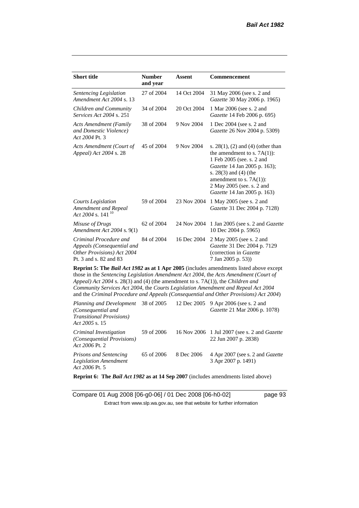| <b>Short title</b>                                                                                                                                                                                                                                                                                                                                                                                                                                     | <b>Number</b><br>and year | <b>Assent</b> | Commencement                                                                                                                                                                                                                                             |  |  |
|--------------------------------------------------------------------------------------------------------------------------------------------------------------------------------------------------------------------------------------------------------------------------------------------------------------------------------------------------------------------------------------------------------------------------------------------------------|---------------------------|---------------|----------------------------------------------------------------------------------------------------------------------------------------------------------------------------------------------------------------------------------------------------------|--|--|
| Sentencing Legislation<br>Amendment Act 2004 s. 13                                                                                                                                                                                                                                                                                                                                                                                                     | 27 of 2004                | 14 Oct 2004   | 31 May 2006 (see s. 2 and<br>Gazette 30 May 2006 p. 1965)                                                                                                                                                                                                |  |  |
| Children and Community<br><i>Services Act 2004 s. 251</i>                                                                                                                                                                                                                                                                                                                                                                                              | 34 of 2004                | 20 Oct 2004   | 1 Mar 2006 (see s. 2 and<br>Gazette 14 Feb 2006 p. 695)                                                                                                                                                                                                  |  |  |
| <b>Acts Amendment (Family</b><br>and Domestic Violence)<br>Act 2004 Pt. 3                                                                                                                                                                                                                                                                                                                                                                              | 38 of 2004                | 9 Nov 2004    | 1 Dec 2004 (see s. 2 and<br>Gazette 26 Nov 2004 p. 5309)                                                                                                                                                                                                 |  |  |
| Acts Amendment (Court of<br>Appeal) Act 2004 s. 28                                                                                                                                                                                                                                                                                                                                                                                                     | 45 of 2004                | 9 Nov 2004    | s. $28(1)$ , (2) and (4) (other than<br>the amendment to s. $7A(1)$ :<br>1 Feb 2005 (see. s. 2 and<br>Gazette 14 Jan 2005 p. 163);<br>s. $28(3)$ and $(4)$ (the<br>amendment to s. $7A(1)$ :<br>2 May 2005 (see. s. 2 and<br>Gazette 14 Jan 2005 p. 163) |  |  |
| <b>Courts Legislation</b><br>Amendment and Repeal<br>Act 2004 s. 141 <sup>10</sup>                                                                                                                                                                                                                                                                                                                                                                     | 59 of 2004                | 23 Nov 2004   | 1 May 2005 (see s. 2 and<br>Gazette 31 Dec 2004 p. 7128)                                                                                                                                                                                                 |  |  |
| Misuse of Drugs<br>Amendment Act 2004 s. 9(1)                                                                                                                                                                                                                                                                                                                                                                                                          | 62 of 2004                | 24 Nov 2004   | 1 Jan 2005 (see s. 2 and <i>Gazette</i><br>10 Dec 2004 p. 5965)                                                                                                                                                                                          |  |  |
| Criminal Procedure and<br>Appeals (Consequential and<br>Other Provisions) Act 2004<br>Pt. 3 and s. 82 and 83                                                                                                                                                                                                                                                                                                                                           | 84 of 2004                | 16 Dec 2004   | 2 May 2005 (see s. 2 and<br>Gazette 31 Dec 2004 p. 7129<br>(correction in Gazette<br>7 Jan 2005 p. 53))                                                                                                                                                  |  |  |
| <b>Reprint 5: The Bail Act 1982 as at 1 Apr 2005</b> (includes amendments listed above except<br>those in the Sentencing Legislation Amendment Act 2004, the Acts Amendment (Court of<br>Appeal) Act 2004 s. 28(3) and (4) (the amendment to s. 7A(1)), the Children and<br>Community Services Act 2004, the Courts Legislation Amendment and Repeal Act 2004<br>and the Criminal Procedure and Appeals (Consequential and Other Provisions) Act 2004) |                           |               |                                                                                                                                                                                                                                                          |  |  |

*Planning and Development (Consequential and Transitional Provisions) Act 2005* s. 15 12 Dec 2005 9 Apr 2006 (see s. 2 and *Gazette* 21 Mar 2006 p. 1078) *Criminal Investigation (Consequential Provisions) Act 2006* Pt. 2 59 of 2006 16 Nov 2006 1 Jul 2007 (see s. 2 and *Gazette* 22 Jun 2007 p. 2838) *Prisons and Sentencing Legislation Amendment Act 2006* Pt. 5 65 of 2006 8 Dec 2006 4 Apr 2007 (see s. 2 and *Gazette* 3 Apr 2007 p. 1491)

**Reprint 6: The** *Bail Act 1982* **as at 14 Sep 2007** (includes amendments listed above)

Compare 01 Aug 2008 [06-g0-06] / 01 Dec 2008 [06-h0-02] page 93 Extract from www.slp.wa.gov.au, see that website for further information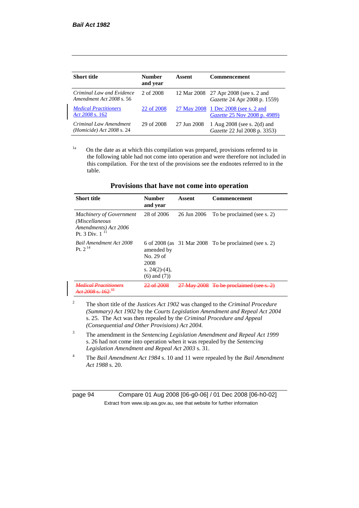| <b>Short title</b>                                    | <b>Number</b><br>and year | Assent      | <b>Commencement</b>                                                         |
|-------------------------------------------------------|---------------------------|-------------|-----------------------------------------------------------------------------|
| Criminal Law and Evidence<br>Amendment Act 2008 s. 56 | 2 of 2008                 |             | 12 Mar 2008 27 Apr 2008 (see s. 2 and<br>Gazette 24 Apr 2008 p. 1559)       |
| <b>Medical Practitioners</b><br>Act 2008 s. 162       | 22 of 2008                |             | 27 May 2008 1 Dec 2008 (see s. 2 and<br><i>Gazette</i> 25 Nov 2008 p. 4989) |
| Criminal Law Amendment<br>(Homicide) Act $2008$ s. 24 | 29 of 2008                | 27 Jun 2008 | 1 Aug $2008$ (see s. $2(d)$ and<br>Gazette 22 Jul 2008 p. 3353)             |

<sup>1a</sup> On the date as at which this compilation was prepared, provisions referred to in the following table had not come into operation and were therefore not included in this compilation. For the text of the provisions see the endnotes referred to in the table.

| <b>Short title</b>                                                                       | <b>Number</b><br>and year                                                | Assent      | Commencement                                            |
|------------------------------------------------------------------------------------------|--------------------------------------------------------------------------|-------------|---------------------------------------------------------|
| <b>Machinery of Government</b><br>(Miscellaneous<br>Amendments) Act 2006<br>Pt. 3 Div. 1 | 28 of 2006                                                               | 26 Jun 2006 | To be proclaimed (see s. 2)                             |
| <b>Bail Amendment Act 2008</b><br>Pt. $2^{14}$                                           | amended by<br>No. 29 of<br>2008<br>s. $24(2)-(4)$ ,<br>$(6)$ and $(7)$ ) |             | 6 of 2008 (as $31$ Mar 2008 To be proclaimed (see s. 2) |
| edical Dractitioners                                                                     | 22 SE 2008                                                               |             | 27 May 2008 To be proclaimed (see s. 2)                 |

## **Provisions that have not come into operation**

- <sup>2</sup> The short title of the *Justices Act 1902* was changed to the *Criminal Procedure (Summary) Act 1902* by the *Courts Legislation Amendment and Repeal Act 2004*  s. 25. The Act was then repealed by the *Criminal Procedure and Appeal (Consequential and Other Provisions) Act 2004.*
- <sup>3</sup> The amendment in the *Sentencing Legislation Amendment and Repeal Act 1999* s. 26 had not come into operation when it was repealed by the *Sentencing Legislation Amendment and Repeal Act 2003* s. 31.
- <sup>4</sup> The *Bail Amendment Act 1984* s. 10 and 11 were repealed by the *Bail Amendment Act 1988* s. 20.

page 94 Compare 01 Aug 2008 [06-g0-06] / 01 Dec 2008 [06-h0-02] Extract from www.slp.wa.gov.au, see that website for further information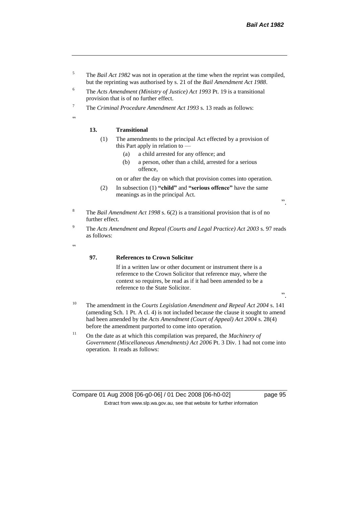- <sup>5</sup> The *Bail Act 1982* was not in operation at the time when the reprint was compiled, but the reprinting was authorised by s. 21 of the *Bail Amendment Act 1988*.
- <sup>6</sup> The *Acts Amendment (Ministry of Justice) Act 1993* Pt. 19 is a transitional provision that is of no further effect.
- <sup>7</sup> The *Criminal Procedure Amendment Act 1993* s. 13 reads as follows:

"

# **13. Transitional**

- (1) The amendments to the principal Act effected by a provision of this Part apply in relation to —
	- (a) a child arrested for any offence; and
	- (b) a person, other than a child, arrested for a serious offence,

on or after the day on which that provision comes into operation.

(2) In subsection (1) **"child"** and **"serious offence"** have the same meanings as in the principal Act.

".

- <sup>8</sup> The *Bail Amendment Act 1998* s. 6(2) is a transitional provision that is of no further effect.
- <sup>9</sup> The *Acts Amendment and Repeal (Courts and Legal Practice) Act 2003* s. 97 reads as follows:

 $\epsilon$ 

#### **97. References to Crown Solicitor**

If in a written law or other document or instrument there is a reference to the Crown Solicitor that reference may, where the context so requires, be read as if it had been amended to be a reference to the State Solicitor.

".

- <sup>10</sup> The amendment in the *Courts Legislation Amendment and Repeal Act 2004* s. 141 (amending Sch. 1 Pt. A cl. 4) is not included because the clause it sought to amend had been amended by the *Acts Amendment (Court of Appeal) Act 2004* s. 28(4) before the amendment purported to come into operation.
- <sup>11</sup> On the date as at which this compilation was prepared, the *Machinery of Government (Miscellaneous Amendments) Act 2006* Pt. 3 Div. 1 had not come into operation. It reads as follows:

Compare 01 Aug 2008 [06-g0-06] / 01 Dec 2008 [06-h0-02] page 95 Extract from www.slp.wa.gov.au, see that website for further information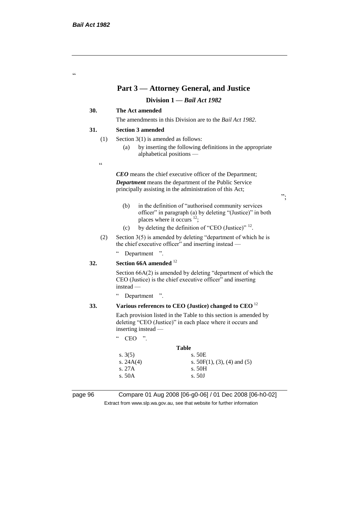.<br>C

# **Part 3 — Attorney General, and Justice**

## **Division 1 —** *Bail Act 1982*

## **30. The Act amended**

The amendments in this Division are to the *Bail Act 1982*.

#### **31. Section 3 amended**

- (1) Section 3(1) is amended as follows:
	- (a) by inserting the following definitions in the appropriate alphabetical positions —
- $\epsilon$

*CEO* means the chief executive officer of the Department; *Department* means the department of the Public Service principally assisting in the administration of this Act;

- (b) in the definition of "authorised community services officer" in paragraph (a) by deleting "(Justice)" in both places where it occurs  $12$ ;
- (c) by deleting the definition of "CEO (Justice)"  $^{12}$ .
- (2) Section 3(5) is amended by deleting "department of which he is the chief executive officer" and inserting instead —

" Department ".

## **32. Section 66A amended** <sup>12</sup>

Section 66A(2) is amended by deleting "department of which the CEO (Justice) is the chief executive officer" and inserting instead —

" Department ".

### **33. Various references to CEO (Justice) changed to CEO** <sup>12</sup>

Each provision listed in the Table to this section is amended by deleting "CEO (Justice)" in each place where it occurs and inserting instead —

" CEO ".

# **Table** s. 3(5) s. 50E s.  $24A(4)$  s.  $50F(1), (3), (4)$  and (5) s. 27A s. 50H s. 50A s. 50J

page 96 Compare 01 Aug 2008 [06-g0-06] / 01 Dec 2008 [06-h0-02] Extract from www.slp.wa.gov.au, see that website for further information

";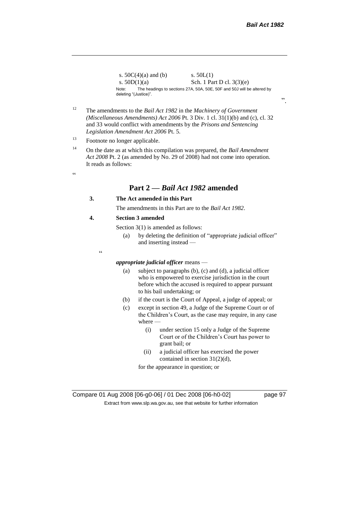s.  $50C(4)(a)$  and (b) s.  $50L(1)$ s.  $50D(1)(a)$  Sch. 1 Part D cl.  $3(3)(e)$ Note: The headings to sections 27A, 50A, 50E, 50F and 50J will be altered by deleting "(Justice)".

- <sup>12</sup> The amendments to the *Bail Act 1982* in the *Machinery of Government (Miscellaneous Amendments) Act 2006* Pt. 3 Div. 1 cl. 31(1)(b) and (c), cl. 32 and 33 would conflict with amendments by the *Prisons and Sentencing Legislation Amendment Act 2006* Pt. 5.
- <sup>13</sup> Footnote no longer applicable.
- <sup>14</sup> On the date as at which this compilation was prepared, the *Bail Amendment Act 2008* Pt. 2 (as amended by No. 29 of 2008) had not come into operation. It reads as follows:

 $\epsilon$ 

# **Part 2 —** *Bail Act 1982* **amended**

### **3. The Act amended in this Part**

The amendments in this Part are to the *Bail Act 1982*.

#### **4. Section 3 amended**

Section 3(1) is amended as follows:

(a) by deleting the definition of "appropriate judicial officer" and inserting instead —

 $\epsilon$ 

# *appropriate judicial officer* means —

- (a) subject to paragraphs (b), (c) and (d), a judicial officer who is empowered to exercise jurisdiction in the court before which the accused is required to appear pursuant to his bail undertaking; or
- (b) if the court is the Court of Appeal, a judge of appeal; or
- (c) except in section 49, a Judge of the Supreme Court or of the Children's Court, as the case may require, in any case where —
	- (i) under section 15 only a Judge of the Supreme Court or of the Children's Court has power to grant bail; or
	- (ii) a judicial officer has exercised the power contained in section 31(2)(d),

for the appearance in question; or

".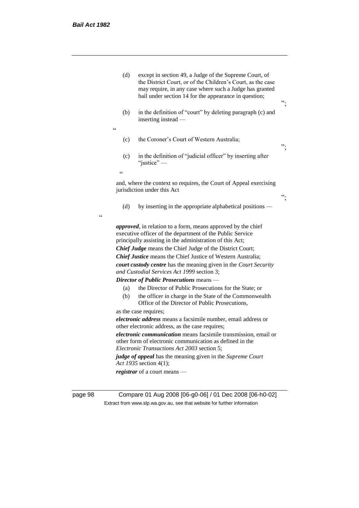| page 98    | Compare 01 Aug 2008 [06-g0-06] / 01 Dec 2008 [06-h0-02]                                                                                                                                                                                          |    |
|------------|--------------------------------------------------------------------------------------------------------------------------------------------------------------------------------------------------------------------------------------------------|----|
|            |                                                                                                                                                                                                                                                  |    |
|            | judge of appeal has the meaning given in the Supreme Court<br>Act 1935 section 4(1);<br>registrar of a court means —                                                                                                                             |    |
|            | electronic communication means facsimile transmission, email or<br>other form of electronic communication as defined in the<br>Electronic Transactions Act 2003 section 5;                                                                       |    |
|            | electronic address means a facsimile number, email address or<br>other electronic address, as the case requires;                                                                                                                                 |    |
|            | as the case requires;                                                                                                                                                                                                                            |    |
|            | the officer in charge in the State of the Commonwealth<br>(b)<br>Office of the Director of Public Prosecutions,                                                                                                                                  |    |
|            | the Director of Public Prosecutions for the State; or<br>(a)                                                                                                                                                                                     |    |
|            | Director of Public Prosecutions means -                                                                                                                                                                                                          |    |
|            | and Custodial Services Act 1999 section 3;                                                                                                                                                                                                       |    |
|            | <b>Chief Justice</b> means the Chief Justice of Western Australia;<br>court custody centre has the meaning given in the Court Security                                                                                                           |    |
|            | <b>Chief Judge</b> means the Chief Judge of the District Court;                                                                                                                                                                                  |    |
|            | <i>approved</i> , in relation to a form, means approved by the chief<br>executive officer of the department of the Public Service<br>principally assisting in the administration of this Act;                                                    |    |
| $\epsilon$ | (d)<br>by inserting in the appropriate alphabetical positions —                                                                                                                                                                                  |    |
|            | and, where the context so requires, the Court of Appeal exercising<br>jurisdiction under this Act                                                                                                                                                | ". |
|            | $\epsilon$                                                                                                                                                                                                                                       |    |
|            | in the definition of "judicial officer" by inserting after<br>(c)<br>"justice" $-$                                                                                                                                                               |    |
|            | the Coroner's Court of Western Australia;<br>(c)                                                                                                                                                                                                 | ". |
|            | in the definition of "court" by deleting paragraph (c) and<br>(b)<br>inserting instead —<br>$\epsilon$                                                                                                                                           |    |
|            | (d)<br>except in section 49, a Judge of the Supreme Court, of<br>the District Court, or of the Children's Court, as the case<br>may require, in any case where such a Judge has granted<br>bail under section 14 for the appearance in question; | ". |
|            |                                                                                                                                                                                                                                                  |    |

Extract from www.slp.wa.gov.au, see that website for further information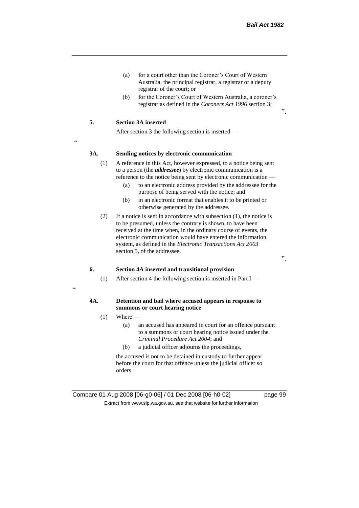- (a) for a court other than the Coroner's Court of Western Australia, the principal registrar, a registrar or a deputy registrar of the court; or
- (b) for the Coroner's Court of Western Australia, a coroner's registrar as defined in the *Coroners Act 1996* section 3;

## **5. Section 3A inserted**

After section 3 the following section is inserted —

<u>،</u>

#### **3A. Sending notices by electronic communication**

- (1) A reference in this Act, however expressed, to a notice being sent to a person (the *addressee*) by electronic communication is a reference to the notice being sent by electronic communication —
	- (a) to an electronic address provided by the addressee for the purpose of being served with the notice; and
	- (b) in an electronic format that enables it to be printed or otherwise generated by the addressee.
- (2) If a notice is sent in accordance with subsection (1), the notice is to be presumed, unless the contrary is shown, to have been received at the time when, in the ordinary course of events, the electronic communication would have entered the information system, as defined in the *Electronic Transactions Act 2003* section 5, of the addressee.

".

".

## **6. Section 4A inserted and transitional provision**

(1) After section 4 the following section is inserted in Part I —

## "

### **4A. Detention and bail where accused appears in response to summons or court hearing notice**

- $(1)$  Where
	- (a) an accused has appeared in court for an offence pursuant to a summons or court hearing notice issued under the *Criminal Procedure Act 2004*; and
	- (b) a judicial officer adjourns the proceedings,

the accused is not to be detained in custody to further appear before the court for that offence unless the judicial officer so orders.

Compare 01 Aug 2008 [06-g0-06] / 01 Dec 2008 [06-h0-02] page 99 Extract from www.slp.wa.gov.au, see that website for further information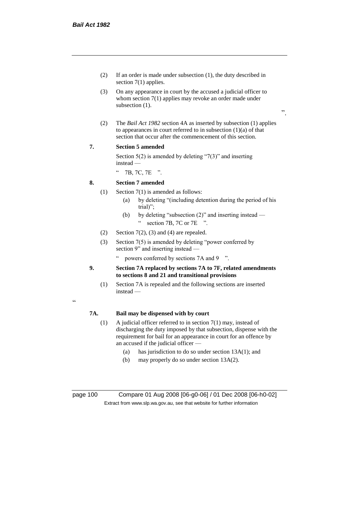- (2) If an order is made under subsection (1), the duty described in section 7(1) applies.
- (3) On any appearance in court by the accused a judicial officer to whom section 7(1) applies may revoke an order made under subsection  $(1)$ .
- ".
- (2) The *Bail Act 1982* section 4A as inserted by subsection (1) applies to appearances in court referred to in subsection  $(1)(a)$  of that section that occur after the commencement of this section.

## **7. Section 5 amended**

Section  $5(2)$  is amended by deleting "7(3)" and inserting instead —

" 7B, 7C, 7E ".

## **8. Section 7 amended**

- (1) Section 7(1) is amended as follows:
	- (a) by deleting "(including detention during the period of his trial)";
	- (b) by deleting "subsection (2)" and inserting instead " section 7B, 7C or 7E ".
- (2) Section  $7(2)$ , (3) and (4) are repealed.
- (3) Section 7(5) is amended by deleting "power conferred by section 9" and inserting instead
	- powers conferred by sections 7A and 9  $\degree$ ".
- **9. Section 7A replaced by sections 7A to 7F, related amendments to sections 8 and 21 and transitional provisions**
	- (1) Section 7A is repealed and the following sections are inserted instead —

# **7A. Bail may be dispensed with by court**

- (1) A judicial officer referred to in section 7(1) may, instead of discharging the duty imposed by that subsection, dispense with the requirement for bail for an appearance in court for an offence by an accused if the judicial officer —
	- (a) has jurisdiction to do so under section 13A(1); and
	- (b) may properly do so under section 13A(2).

page 100 Compare 01 Aug 2008 [06-g0-06] / 01 Dec 2008 [06-h0-02] Extract from www.slp.wa.gov.au, see that website for further information

"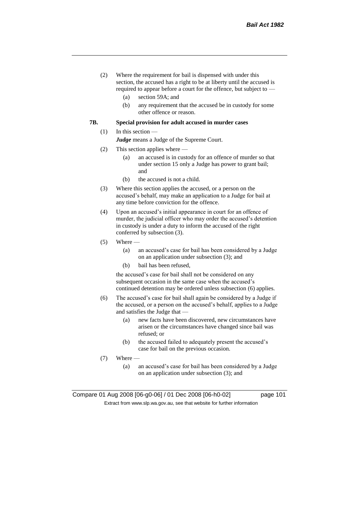- (2) Where the requirement for bail is dispensed with under this section, the accused has a right to be at liberty until the accused is required to appear before a court for the offence, but subject to —
	- (a) section 59A; and
	- (b) any requirement that the accused be in custody for some other offence or reason.

### **7B. Special provision for adult accused in murder cases**

#### (1) In this section —

*Judge* means a Judge of the Supreme Court.

- (2) This section applies where
	- (a) an accused is in custody for an offence of murder so that under section 15 only a Judge has power to grant bail; and
	- (b) the accused is not a child.
- (3) Where this section applies the accused, or a person on the accused's behalf, may make an application to a Judge for bail at any time before conviction for the offence.
- (4) Upon an accused's initial appearance in court for an offence of murder, the judicial officer who may order the accused's detention in custody is under a duty to inform the accused of the right conferred by subsection (3).
- $(5)$  Where
	- (a) an accused's case for bail has been considered by a Judge on an application under subsection (3); and
	- (b) bail has been refused,

the accused's case for bail shall not be considered on any subsequent occasion in the same case when the accused's continued detention may be ordered unless subsection (6) applies.

- (6) The accused's case for bail shall again be considered by a Judge if the accused, or a person on the accused's behalf, applies to a Judge and satisfies the Judge that —
	- (a) new facts have been discovered, new circumstances have arisen or the circumstances have changed since bail was refused; or
	- (b) the accused failed to adequately present the accused's case for bail on the previous occasion.
- (7) Where
	- (a) an accused's case for bail has been considered by a Judge on an application under subsection (3); and

Compare 01 Aug 2008 [06-g0-06] / 01 Dec 2008 [06-h0-02] page 101 Extract from www.slp.wa.gov.au, see that website for further information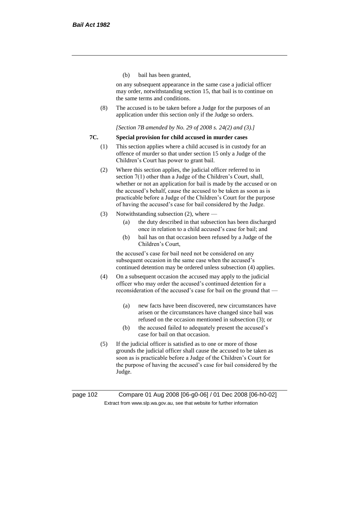(b) bail has been granted,

on any subsequent appearance in the same case a judicial officer may order, notwithstanding section 15, that bail is to continue on the same terms and conditions.

(8) The accused is to be taken before a Judge for the purposes of an application under this section only if the Judge so orders.

*[Section 7B amended by No. 29 of 2008 s. 24(2) and (3).]*

### **7C. Special provision for child accused in murder cases**

- (1) This section applies where a child accused is in custody for an offence of murder so that under section 15 only a Judge of the Children's Court has power to grant bail.
- (2) Where this section applies, the judicial officer referred to in section 7(1) other than a Judge of the Children's Court, shall, whether or not an application for bail is made by the accused or on the accused's behalf, cause the accused to be taken as soon as is practicable before a Judge of the Children's Court for the purpose of having the accused's case for bail considered by the Judge.
- (3) Notwithstanding subsection (2), where
	- (a) the duty described in that subsection has been discharged once in relation to a child accused's case for bail; and
	- (b) bail has on that occasion been refused by a Judge of the Children's Court,

the accused's case for bail need not be considered on any subsequent occasion in the same case when the accused's continued detention may be ordered unless subsection (4) applies.

- (4) On a subsequent occasion the accused may apply to the judicial officer who may order the accused's continued detention for a reconsideration of the accused's case for bail on the ground that —
	- (a) new facts have been discovered, new circumstances have arisen or the circumstances have changed since bail was refused on the occasion mentioned in subsection (3); or
	- (b) the accused failed to adequately present the accused's case for bail on that occasion.
- (5) If the judicial officer is satisfied as to one or more of those grounds the judicial officer shall cause the accused to be taken as soon as is practicable before a Judge of the Children's Court for the purpose of having the accused's case for bail considered by the Judge.

page 102 Compare 01 Aug 2008 [06-g0-06] / 01 Dec 2008 [06-h0-02] Extract from www.slp.wa.gov.au, see that website for further information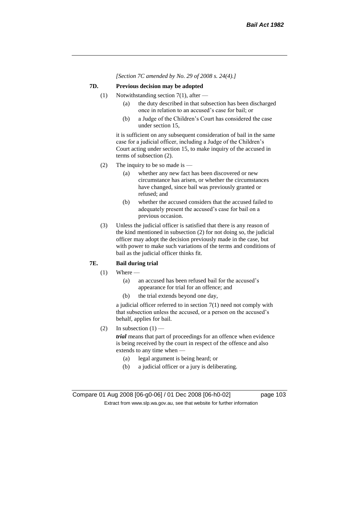*[Section 7C amended by No. 29 of 2008 s. 24(4).]*

#### **7D. Previous decision may be adopted**

- (1) Notwithstanding section 7(1), after
	- (a) the duty described in that subsection has been discharged once in relation to an accused's case for bail; or
	- (b) a Judge of the Children's Court has considered the case under section 15,

it is sufficient on any subsequent consideration of bail in the same case for a judicial officer, including a Judge of the Children's Court acting under section 15, to make inquiry of the accused in terms of subsection (2).

- (2) The inquiry to be so made is  $-$ 
	- (a) whether any new fact has been discovered or new circumstance has arisen, or whether the circumstances have changed, since bail was previously granted or refused; and
	- (b) whether the accused considers that the accused failed to adequately present the accused's case for bail on a previous occasion.
- (3) Unless the judicial officer is satisfied that there is any reason of the kind mentioned in subsection (2) for not doing so, the judicial officer may adopt the decision previously made in the case, but with power to make such variations of the terms and conditions of bail as the judicial officer thinks fit.

# **7E. Bail during trial**

- $(1)$  Where
	- (a) an accused has been refused bail for the accused's appearance for trial for an offence; and
	- (b) the trial extends beyond one day,

a judicial officer referred to in section 7(1) need not comply with that subsection unless the accused, or a person on the accused's behalf, applies for bail.

(2) In subsection  $(1)$  —

*trial* means that part of proceedings for an offence when evidence is being received by the court in respect of the offence and also extends to any time when —

- (a) legal argument is being heard; or
- (b) a judicial officer or a jury is deliberating.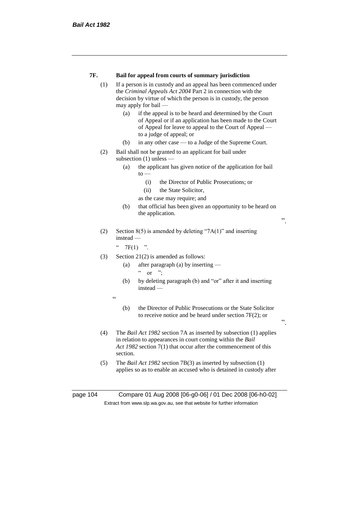| 7F.<br>Bail for appeal from courts of summary jurisdiction |  |
|------------------------------------------------------------|--|
|------------------------------------------------------------|--|

- (1) If a person is in custody and an appeal has been commenced under the *Criminal Appeals Act 2004* Part 2 in connection with the decision by virtue of which the person is in custody, the person may apply for bail —
	- (a) if the appeal is to be heard and determined by the Court of Appeal or if an application has been made to the Court of Appeal for leave to appeal to the Court of Appeal to a judge of appeal; or
	- (b) in any other case to a Judge of the Supreme Court.
- (2) Bail shall not be granted to an applicant for bail under subsection (1) unless —
	- (a) the applicant has given notice of the application for bail  $to -$ 
		- (i) the Director of Public Prosecutions; or
		- (ii) the State Solicitor,
		- as the case may require; and
	- (b) that official has been given an opportunity to be heard on the application.

".

".

(2) Section 8(5) is amended by deleting "7A(1)" and inserting instead —

 $"$  7F(1) ".

- (3) Section 21(2) is amended as follows:
	- (a) after paragraph (a) by inserting  $\alpha$  or ";
	- (b) by deleting paragraph (b) and "or" after it and inserting instead —
	- "
- (b) the Director of Public Prosecutions or the State Solicitor to receive notice and be heard under section 7F(2); or
- (4) The *Bail Act 1982* section 7A as inserted by subsection (1) applies in relation to appearances in court coming within the *Bail Act 1982* section 7(1) that occur after the commencement of this section.
- (5) The *Bail Act 1982* section 7B(3) as inserted by subsection (1) applies so as to enable an accused who is detained in custody after

page 104 Compare 01 Aug 2008 [06-g0-06] / 01 Dec 2008 [06-h0-02] Extract from www.slp.wa.gov.au, see that website for further information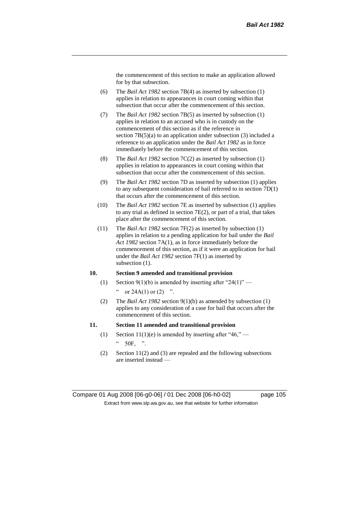the commencement of this section to make an application allowed for by that subsection.

- (6) The *Bail Act 1982* section 7B(4) as inserted by subsection (1) applies in relation to appearances in court coming within that subsection that occur after the commencement of this section.
- (7) The *Bail Act 1982* section 7B(5) as inserted by subsection (1) applies in relation to an accused who is in custody on the commencement of this section as if the reference in section 7B(5)(a) to an application under subsection (3) included a reference to an application under the *Bail Act 1982* as in force immediately before the commencement of this section.
- (8) The *Bail Act 1982* section 7C(2) as inserted by subsection (1) applies in relation to appearances in court coming within that subsection that occur after the commencement of this section.
- (9) The *Bail Act 1982* section 7D as inserted by subsection (1) applies to any subsequent consideration of bail referred to in section 7D(1) that occurs after the commencement of this section.
- (10) The *Bail Act 1982* section 7E as inserted by subsection (1) applies to any trial as defined in section 7E(2), or part of a trial, that takes place after the commencement of this section.
- (11) The *Bail Act 1982* section 7F(2) as inserted by subsection (1) applies in relation to a pending application for bail under the *Bail Act 1982* section 7A(1), as in force immediately before the commencement of this section, as if it were an application for bail under the *Bail Act 1982* section 7F(1) as inserted by subsection  $(1)$ .

## **10. Section 9 amended and transitional provision**

- (1) Section 9(1)(b) is amended by inserting after "24(1)" " or  $24A(1)$  or  $(2)$  ".
- (2) The *Bail Act 1982* section 9(1)(b) as amended by subsection (1) applies to any consideration of a case for bail that occurs after the commencement of this section.

#### **11. Section 11 amended and transitional provision**

- (1) Section 11(1)(e) is amended by inserting after "46,"  $\degree$  50F, ".
- (2) Section 11(2) and (3) are repealed and the following subsections are inserted instead —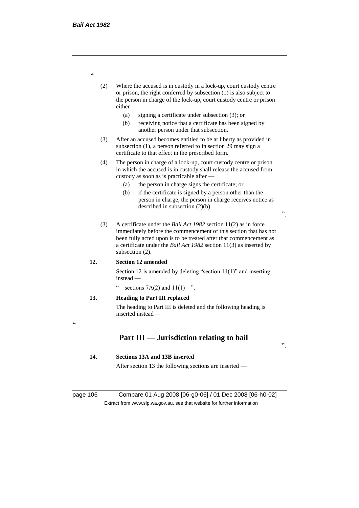- (2) Where the accused is in custody in a lock-up, court custody centre or prison, the right conferred by subsection (1) is also subject to the person in charge of the lock-up, court custody centre or prison either —
	- (a) signing a certificate under subsection (3); or
	- (b) receiving notice that a certificate has been signed by another person under that subsection.
- (3) After an accused becomes entitled to be at liberty as provided in subsection (1), a person referred to in section 29 may sign a certificate to that effect in the prescribed form.
- (4) The person in charge of a lock-up, court custody centre or prison in which the accused is in custody shall release the accused from custody as soon as is practicable after —
	- (a) the person in charge signs the certificate; or
	- (b) if the certificate is signed by a person other than the person in charge, the person in charge receives notice as described in subsection (2)(b).

".

".

(3) A certificate under the *Bail Act 1982* section 11(2) as in force immediately before the commencement of this section that has not been fully acted upon is to be treated after that commencement as a certificate under the *Bail Act 1982* section 11(3) as inserted by subsection (2).

#### **12. Section 12 amended**

Section 12 is amended by deleting "section 11(1)" and inserting instead —

sections  $7A(2)$  and  $11(1)$  ".

## **13. Heading to Part III replaced**

The heading to Part III is deleted and the following heading is inserted instead —

 $\epsilon$ 

# **Part III — Jurisdiction relating to bail**

#### **14. Sections 13A and 13B inserted**

After section 13 the following sections are inserted —

page 106 Compare 01 Aug 2008 [06-g0-06] / 01 Dec 2008 [06-h0-02] Extract from www.slp.wa.gov.au, see that website for further information

"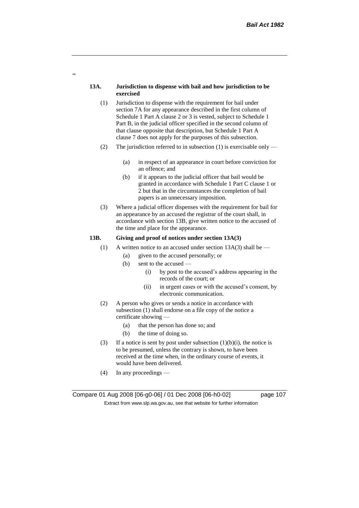#### **13A. Jurisdiction to dispense with bail and how jurisdiction to be exercised**

 $\epsilon$ 

- (1) Jurisdiction to dispense with the requirement for bail under section 7A for any appearance described in the first column of Schedule 1 Part A clause 2 or 3 is vested, subject to Schedule 1 Part B, in the judicial officer specified in the second column of that clause opposite that description, but Schedule 1 Part A clause 7 does not apply for the purposes of this subsection.
- (2) The jurisdiction referred to in subsection (1) is exercisable only
	- (a) in respect of an appearance in court before conviction for an offence; and
	- (b) if it appears to the judicial officer that bail would be granted in accordance with Schedule 1 Part C clause 1 or 2 but that in the circumstances the completion of bail papers is an unnecessary imposition.
- (3) Where a judicial officer dispenses with the requirement for bail for an appearance by an accused the registrar of the court shall, in accordance with section 13B, give written notice to the accused of the time and place for the appearance.

#### **13B. Giving and proof of notices under section 13A(3)**

- (1) A written notice to an accused under section  $13A(3)$  shall be
	- (a) given to the accused personally; or
	- (b) sent to the accused
		- (i) by post to the accused's address appearing in the records of the court; or
		- (ii) in urgent cases or with the accused's consent, by electronic communication.
- (2) A person who gives or sends a notice in accordance with subsection (1) shall endorse on a file copy of the notice a certificate showing —
	- (a) that the person has done so; and
	- (b) the time of doing so.
- (3) If a notice is sent by post under subsection  $(1)(b)(i)$ , the notice is to be presumed, unless the contrary is shown, to have been received at the time when, in the ordinary course of events, it would have been delivered.
- (4) In any proceedings —

Compare 01 Aug 2008 [06-g0-06] / 01 Dec 2008 [06-h0-02] page 107 Extract from www.slp.wa.gov.au, see that website for further information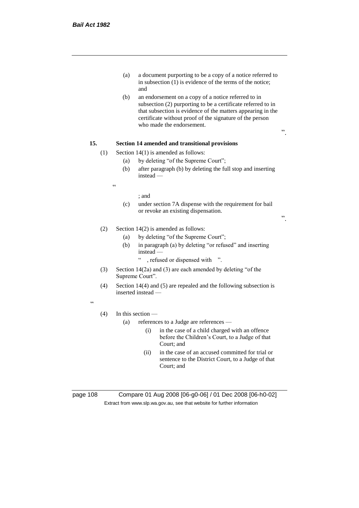- (a) a document purporting to be a copy of a notice referred to in subsection (1) is evidence of the terms of the notice; and
- (b) an endorsement on a copy of a notice referred to in subsection (2) purporting to be a certificate referred to in that subsection is evidence of the matters appearing in the certificate without proof of the signature of the person who made the endorsement.

# **15. Section 14 amended and transitional provisions**

- (1) Section  $14(1)$  is amended as follows:
	- (a) by deleting "of the Supreme Court";
	- (b) after paragraph (b) by deleting the full stop and inserting instead —

 $\epsilon$ 

#### ; and

(c) under section 7A dispense with the requirement for bail or revoke an existing dispensation.

".

".

## (2) Section 14(2) is amended as follows:

- (a) by deleting "of the Supreme Court";
- (b) in paragraph (a) by deleting "or refused" and inserting instead —
	- " , refused or dispensed with ".
- (3) Section 14(2a) and (3) are each amended by deleting "of the Supreme Court".
- (4) Section 14(4) and (5) are repealed and the following subsection is inserted instead —

 $\epsilon$ 

#### (4) In this section —

- (a) references to a Judge are references
	- (i) in the case of a child charged with an offence before the Children's Court, to a Judge of that Court; and
	- (ii) in the case of an accused committed for trial or sentence to the District Court, to a Judge of that Court; and

page 108 Compare 01 Aug 2008 [06-g0-06] / 01 Dec 2008 [06-h0-02] Extract from www.slp.wa.gov.au, see that website for further information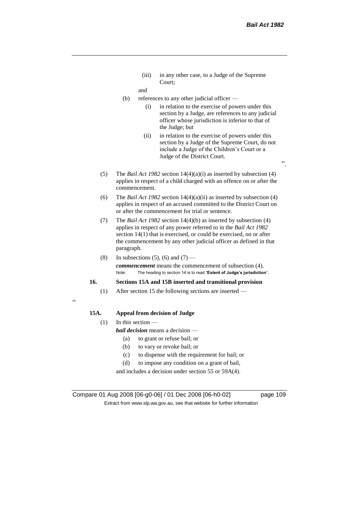(iii) in any other case, to a Judge of the Supreme Court;

and

- (b) references to any other judicial officer
	- (i) in relation to the exercise of powers under this section by a Judge, are references to any judicial officer whose jurisdiction is inferior to that of the Judge; but
	- (ii) in relation to the exercise of powers under this section by a Judge of the Supreme Court, do not include a Judge of the Children's Court or a Judge of the District Court.
- (5) The *Bail Act 1982* section 14(4)(a)(i) as inserted by subsection (4) applies in respect of a child charged with an offence on or after the commencement.
- (6) The *Bail Act 1982* section 14(4)(a)(ii) as inserted by subsection (4) applies in respect of an accused committed to the District Court on or after the commencement for trial or sentence.
- (7) The *Bail Act 1982* section 14(4)(b) as inserted by subsection (4) applies in respect of any power referred to in the *Bail Act 1982* section 14(1) that is exercised, or could be exercised, on or after the commencement by any other judicial officer as defined in that paragraph.
- (8) In subsections  $(5)$ ,  $(6)$  and  $(7)$  *commencement* means the commencement of subsection (4). Note: The heading to section 14 is to read "**Extent of Judge's jurisdiction**".

## **16. Sections 15A and 15B inserted and transitional provision**

(1) After section 15 the following sections are inserted —

## **15A. Appeal from decision of Judge**

(1) In this section —

 $\epsilon$ 

*bail decision* means a decision —

- (a) to grant or refuse bail; or
- (b) to vary or revoke bail; or
- (c) to dispense with the requirement for bail; or
- (d) to impose any condition on a grant of bail,

and includes a decision under section 55 or 59A(4).

Compare 01 Aug 2008 [06-g0-06] / 01 Dec 2008 [06-h0-02] page 109 Extract from www.slp.wa.gov.au, see that website for further information

 $\cdot$ ,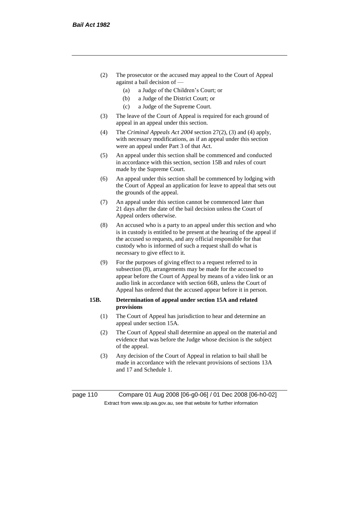- (2) The prosecutor or the accused may appeal to the Court of Appeal against a bail decision of —
	- (a) a Judge of the Children's Court; or
	- (b) a Judge of the District Court; or
	- (c) a Judge of the Supreme Court.
- (3) The leave of the Court of Appeal is required for each ground of appeal in an appeal under this section.
- (4) The *Criminal Appeals Act 2004* section 27(2), (3) and (4) apply, with necessary modifications, as if an appeal under this section were an appeal under Part 3 of that Act.
- (5) An appeal under this section shall be commenced and conducted in accordance with this section, section 15B and rules of court made by the Supreme Court.
- (6) An appeal under this section shall be commenced by lodging with the Court of Appeal an application for leave to appeal that sets out the grounds of the appeal.
- (7) An appeal under this section cannot be commenced later than 21 days after the date of the bail decision unless the Court of Appeal orders otherwise.
- (8) An accused who is a party to an appeal under this section and who is in custody is entitled to be present at the hearing of the appeal if the accused so requests, and any official responsible for that custody who is informed of such a request shall do what is necessary to give effect to it.
- (9) For the purposes of giving effect to a request referred to in subsection (8), arrangements may be made for the accused to appear before the Court of Appeal by means of a video link or an audio link in accordance with section 66B, unless the Court of Appeal has ordered that the accused appear before it in person.

## **15B. Determination of appeal under section 15A and related provisions**

- (1) The Court of Appeal has jurisdiction to hear and determine an appeal under section 15A.
- (2) The Court of Appeal shall determine an appeal on the material and evidence that was before the Judge whose decision is the subject of the appeal.
- (3) Any decision of the Court of Appeal in relation to bail shall be made in accordance with the relevant provisions of sections 13A and 17 and Schedule 1.

page 110 Compare 01 Aug 2008 [06-g0-06] / 01 Dec 2008 [06-h0-02] Extract from www.slp.wa.gov.au, see that website for further information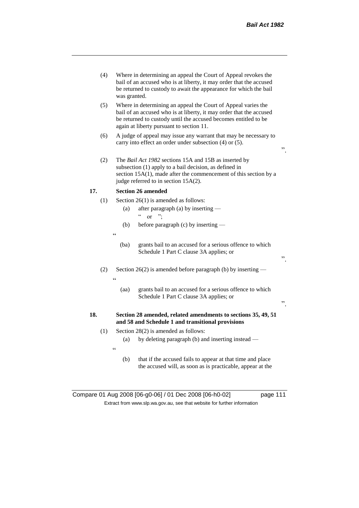".

".

".

- (4) Where in determining an appeal the Court of Appeal revokes the bail of an accused who is at liberty, it may order that the accused be returned to custody to await the appearance for which the bail was granted.
- (5) Where in determining an appeal the Court of Appeal varies the bail of an accused who is at liberty, it may order that the accused be returned to custody until the accused becomes entitled to be again at liberty pursuant to section 11.
- (6) A judge of appeal may issue any warrant that may be necessary to carry into effect an order under subsection (4) or (5).
- (2) The *Bail Act 1982* sections 15A and 15B as inserted by subsection (1) apply to a bail decision, as defined in section 15A(1), made after the commencement of this section by a judge referred to in section 15A(2).

## **17. Section 26 amended**

- (1) Section 26(1) is amended as follows:
	- (a) after paragraph (a) by inserting  $\frac{1}{2}$  or ";
	- (b) before paragraph (c) by inserting —
	- $\epsilon$

 $\epsilon$ 

- (ba) grants bail to an accused for a serious offence to which Schedule 1 Part C clause 3A applies; or
- (2) Section 26(2) is amended before paragraph (b) by inserting
	- (aa) grants bail to an accused for a serious offence to which Schedule 1 Part C clause 3A applies; or

## **18. Section 28 amended, related amendments to sections 35, 49, 51 and 58 and Schedule 1 and transitional provisions**

- (1) Section 28(2) is amended as follows:
	- (a) by deleting paragraph (b) and inserting instead —
	- $\epsilon$
- (b) that if the accused fails to appear at that time and place the accused will, as soon as is practicable, appear at the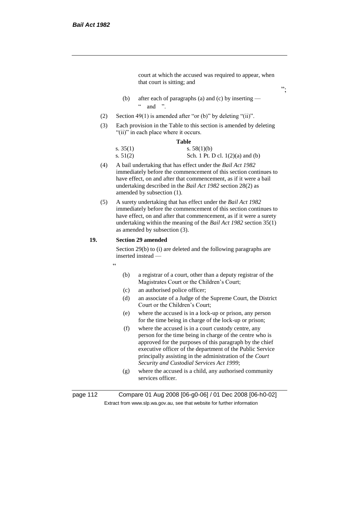court at which the accused was required to appear, when that court is sitting; and

- (b) after each of paragraphs (a) and (c) by inserting  $\frac{1}{2}$  and "
- (2) Section 49(1) is amended after "or (b)" by deleting "(ii)".
- (3) Each provision in the Table to this section is amended by deleting "(ii)" in each place where it occurs.

#### **Table**

| s. $35(1)$ | s. $58(1)(b)$                      |
|------------|------------------------------------|
| s. $51(2)$ | Sch. 1 Pt. D cl. $1(2)(a)$ and (b) |

- (4) A bail undertaking that has effect under the *Bail Act 1982* immediately before the commencement of this section continues to have effect, on and after that commencement, as if it were a bail undertaking described in the *Bail Act 1982* section 28(2) as amended by subsection (1).
- (5) A surety undertaking that has effect under the *Bail Act 1982* immediately before the commencement of this section continues to have effect, on and after that commencement, as if it were a surety undertaking within the meaning of the *Bail Act 1982* section 35(1) as amended by subsection (3).

### **19. Section 29 amended**

Section 29(b) to (i) are deleted and the following paragraphs are inserted instead —

- "
- (b) a registrar of a court, other than a deputy registrar of the Magistrates Court or the Children's Court;
- (c) an authorised police officer;
- (d) an associate of a Judge of the Supreme Court, the District Court or the Children's Court;
- (e) where the accused is in a lock-up or prison, any person for the time being in charge of the lock-up or prison;
- (f) where the accused is in a court custody centre, any person for the time being in charge of the centre who is approved for the purposes of this paragraph by the chief executive officer of the department of the Public Service principally assisting in the administration of the *Court Security and Custodial Services Act 1999*;
- (g) where the accused is a child, any authorised community services officer.

page 112 Compare 01 Aug 2008 [06-g0-06] / 01 Dec 2008 [06-h0-02] Extract from www.slp.wa.gov.au, see that website for further information

";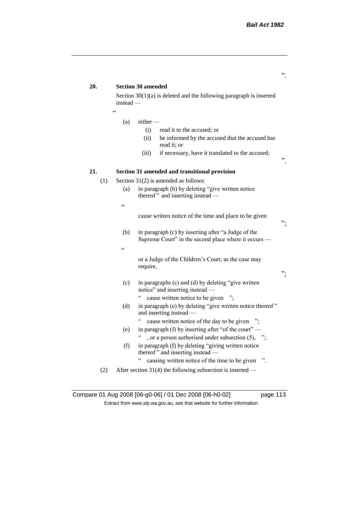# **20. Section 30 amended** Section 30(1)(a) is deleted and the following paragraph is inserted instead — "  $(a)$  either – (i) read it to the accused; or (ii) be informed by the accused that the accused has read it; or (iii) if necessary, have it translated to the accused; ". **21. Section 31 amended and transitional provision** (1) Section 31(2) is amended as follows: (a) in paragraph (b) by deleting "give written notice thereof" and inserting instead — " cause written notice of the time and place to be given "; (b) in paragraph (c) by inserting after "a Judge of the Supreme Court" in the second place where it occurs —  $\epsilon$ or a Judge of the Children's Court, as the case may require, "; (c) in paragraphs (c) and (d) by deleting "give written notice" and inserting instead — " cause written notice to be given "; (d) in paragraph (e) by deleting "give written notice thereof " and inserting instead — " cause written notice of the day to be given "; (e) in paragraph (f) by inserting after "of the court" — ", or a person authorised under subsection  $(5)$ , "; (f) in paragraph (f) by deleting "giving written notice thereof " and inserting instead — " causing written notice of the time to be given ". (2) After section 31(4) the following subsection is inserted —

Compare 01 Aug 2008 [06-g0-06] / 01 Dec 2008 [06-h0-02] page 113 Extract from www.slp.wa.gov.au, see that website for further information

".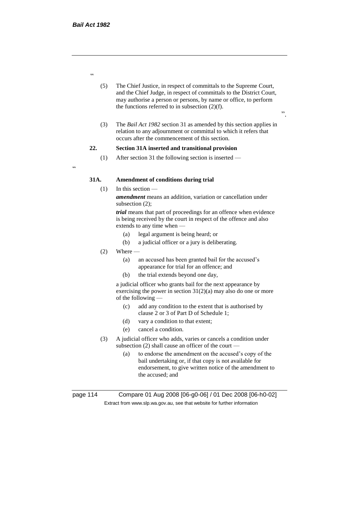"

- (5) The Chief Justice, in respect of committals to the Supreme Court, and the Chief Judge, in respect of committals to the District Court, may authorise a person or persons, by name or office, to perform the functions referred to in subsection  $(2)(f)$ .
- ".
- (3) The *Bail Act 1982* section 31 as amended by this section applies in relation to any adjournment or committal to which it refers that occurs after the commencement of this section.

# **22. Section 31A inserted and transitional provision**

(1) After section 31 the following section is inserted —

.<br>C

## **31A. Amendment of conditions during trial**

## $(1)$  In this section —

*amendment* means an addition, variation or cancellation under subsection (2);

*trial* means that part of proceedings for an offence when evidence is being received by the court in respect of the offence and also extends to any time when —

- (a) legal argument is being heard; or
- (b) a judicial officer or a jury is deliberating.
- $(2)$  Where  $-$ 
	- (a) an accused has been granted bail for the accused's appearance for trial for an offence; and
	- (b) the trial extends beyond one day,

a judicial officer who grants bail for the next appearance by exercising the power in section  $31(2)(a)$  may also do one or more of the following —

- (c) add any condition to the extent that is authorised by clause 2 or 3 of Part D of Schedule 1;
- (d) vary a condition to that extent;
- (e) cancel a condition.
- (3) A judicial officer who adds, varies or cancels a condition under subsection (2) shall cause an officer of the court —
	- (a) to endorse the amendment on the accused's copy of the bail undertaking or, if that copy is not available for endorsement, to give written notice of the amendment to the accused; and

page 114 Compare 01 Aug 2008 [06-g0-06] / 01 Dec 2008 [06-h0-02] Extract from www.slp.wa.gov.au, see that website for further information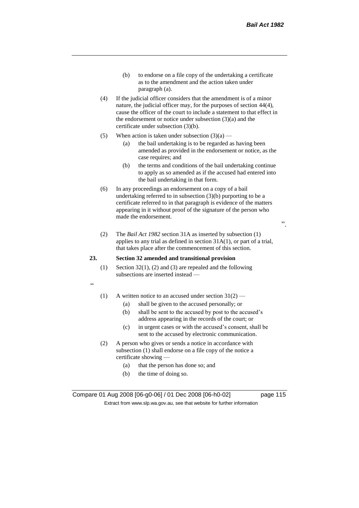- (b) to endorse on a file copy of the undertaking a certificate as to the amendment and the action taken under paragraph (a).
- (4) If the judicial officer considers that the amendment is of a minor nature, the judicial officer may, for the purposes of section 44(4), cause the officer of the court to include a statement to that effect in the endorsement or notice under subsection (3)(a) and the certificate under subsection (3)(b).
- (5) When action is taken under subsection  $(3)(a)$ 
	- (a) the bail undertaking is to be regarded as having been amended as provided in the endorsement or notice, as the case requires; and
	- (b) the terms and conditions of the bail undertaking continue to apply as so amended as if the accused had entered into the bail undertaking in that form.
- (6) In any proceedings an endorsement on a copy of a bail undertaking referred to in subsection (3)(b) purporting to be a certificate referred to in that paragraph is evidence of the matters appearing in it without proof of the signature of the person who made the endorsement.

".

(2) The *Bail Act 1982* section 31A as inserted by subsection (1) applies to any trial as defined in section 31A(1), or part of a trial, that takes place after the commencement of this section.

## **23. Section 32 amended and transitional provision**

(1) Section  $32(1)$ , (2) and (3) are repealed and the following subsections are inserted instead —

 $\alpha$ 

- (1) A written notice to an accused under section  $31(2)$ 
	- (a) shall be given to the accused personally; or
	- (b) shall be sent to the accused by post to the accused's address appearing in the records of the court; or
	- (c) in urgent cases or with the accused's consent, shall be sent to the accused by electronic communication.
- (2) A person who gives or sends a notice in accordance with subsection (1) shall endorse on a file copy of the notice a certificate showing —
	- (a) that the person has done so; and
	- (b) the time of doing so.

Compare 01 Aug 2008 [06-g0-06] / 01 Dec 2008 [06-h0-02] page 115 Extract from www.slp.wa.gov.au, see that website for further information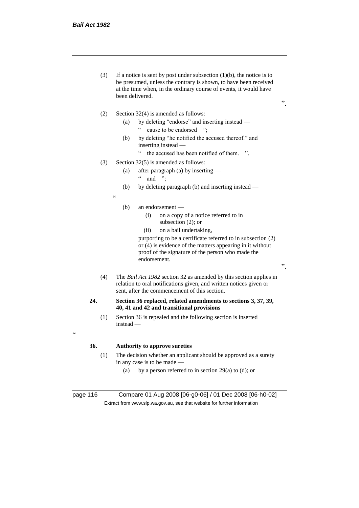(3) If a notice is sent by post under subsection  $(1)(b)$ , the notice is to be presumed, unless the contrary is shown, to have been received at the time when, in the ordinary course of events, it would have been delivered.

".

".

- (2) Section 32(4) is amended as follows:
	- (a) by deleting "endorse" and inserting instead " cause to be endorsed ";
	- (b) by deleting "he notified the accused thereof." and inserting instead —
		- " the accused has been notified of them. ".
- (3) Section 32(5) is amended as follows:
	- (a) after paragraph (a) by inserting
		- $\lq$  and ";
	- (b) by deleting paragraph (b) and inserting instead —
	- .<br>"
- (b) an endorsement
	- (i) on a copy of a notice referred to in subsection (2); or
	- (ii) on a bail undertaking,

purporting to be a certificate referred to in subsection (2) or (4) is evidence of the matters appearing in it without proof of the signature of the person who made the endorsement.

(4) The *Bail Act 1982* section 32 as amended by this section applies in relation to oral notifications given, and written notices given or sent, after the commencement of this section.

#### **24. Section 36 replaced, related amendments to sections 3, 37, 39, 40, 41 and 42 and transitional provisions**

(1) Section 36 is repealed and the following section is inserted instead —

# <u>،</u>

## **36. Authority to approve sureties**

- (1) The decision whether an applicant should be approved as a surety in any case is to be made —
	- (a) by a person referred to in section 29(a) to (d); or

page 116 Compare 01 Aug 2008 [06-g0-06] / 01 Dec 2008 [06-h0-02] Extract from www.slp.wa.gov.au, see that website for further information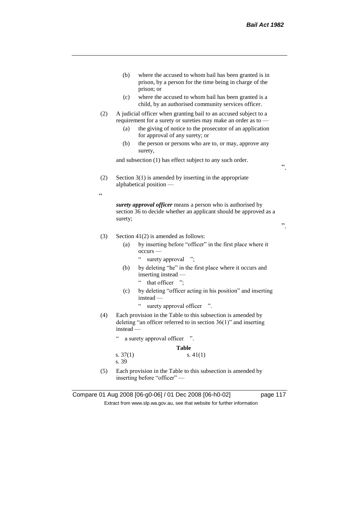|                   | (b)<br>where the accused to whom bail has been granted is in<br>prison, by a person for the time being in charge of the<br>prison; or                                                                                                   |    |
|-------------------|-----------------------------------------------------------------------------------------------------------------------------------------------------------------------------------------------------------------------------------------|----|
|                   | (c)<br>where the accused to whom bail has been granted is a<br>child, by an authorised community services officer.                                                                                                                      |    |
| (2)               | A judicial officer when granting bail to an accused subject to a<br>requirement for a surety or sureties may make an order as to -<br>the giving of notice to the prosecutor of an application<br>(a)<br>for approval of any surety; or |    |
|                   | (b)<br>the person or persons who are to, or may, approve any<br>surety,                                                                                                                                                                 |    |
|                   | and subsection (1) has effect subject to any such order.                                                                                                                                                                                | ,, |
| (2)<br>$\epsilon$ | Section $3(1)$ is amended by inserting in the appropriate<br>alphabetical position -                                                                                                                                                    |    |
|                   | surety approval officer means a person who is authorised by<br>section 36 to decide whether an applicant should be approved as a<br>surety;                                                                                             | ,, |
| (3)               | Section $41(2)$ is amended as follows:                                                                                                                                                                                                  |    |
|                   | by inserting before "officer" in the first place where it<br>(a)<br>$occurs$ —<br>$\boldsymbol{\varsigma}$ $\boldsymbol{\varsigma}$                                                                                                     |    |
|                   | surety approval<br>$\ddot{\ }$<br>by deleting "he" in the first place where it occurs and<br>(b)<br>inserting instead -<br>$\zeta$ $\zeta$<br>that officer ";                                                                           |    |
|                   | by deleting "officer acting in his position" and inserting<br>(c)<br>instead -<br>$\epsilon\, \epsilon$                                                                                                                                 |    |
|                   | surety approval officer<br>$\cdot$                                                                                                                                                                                                      |    |
| (4)               | Each provision in the Table to this subsection is amended by<br>deleting "an officer referred to in section $36(1)$ " and inserting<br>instead —                                                                                        |    |
|                   | $\epsilon$<br>a surety approval officer<br>$\cdot$ <sup>22</sup> .                                                                                                                                                                      |    |
|                   | Table                                                                                                                                                                                                                                   |    |
|                   | s. $37(1)$<br>s. $41(1)$<br>s. 39                                                                                                                                                                                                       |    |
| (5)               | Each provision in the Table to this subsection is amended by                                                                                                                                                                            |    |

inserting before "officer" —

Compare 01 Aug 2008 [06-g0-06] / 01 Dec 2008 [06-h0-02] page 117 Extract from www.slp.wa.gov.au, see that website for further information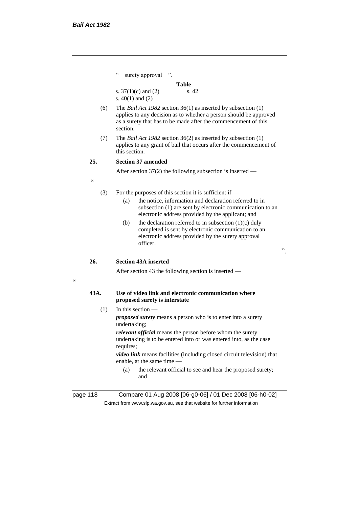$\alpha$ 

|            | $\boldsymbol{\varsigma}$ $\boldsymbol{\varsigma}$<br>surety approval ".                                                                                                                                                     |  |
|------------|-----------------------------------------------------------------------------------------------------------------------------------------------------------------------------------------------------------------------------|--|
|            | Table                                                                                                                                                                                                                       |  |
|            | s. 42<br>s. $37(1)(c)$ and $(2)$<br>s. $40(1)$ and $(2)$                                                                                                                                                                    |  |
| (6)        | The <i>Bail Act 1982</i> section $36(1)$ as inserted by subsection $(1)$<br>applies to any decision as to whether a person should be approved<br>as a surety that has to be made after the commencement of this<br>section. |  |
| (7)        | The <i>Bail Act 1982</i> section $36(2)$ as inserted by subsection $(1)$<br>applies to any grant of bail that occurs after the commencement of<br>this section.                                                             |  |
| 25.        | <b>Section 37 amended</b>                                                                                                                                                                                                   |  |
|            | After section $37(2)$ the following subsection is inserted —                                                                                                                                                                |  |
| $\epsilon$ |                                                                                                                                                                                                                             |  |
| (3)        | For the purposes of this section it is sufficient if $-$<br>the notice, information and declaration referred to in<br>(a)                                                                                                   |  |
|            | subsection (1) are sent by electronic communication to an<br>electronic address provided by the applicant; and                                                                                                              |  |
|            | the declaration referred to in subsection $(1)(c)$ duly<br>(b)<br>completed is sent by electronic communication to an<br>electronic address provided by the surety approval<br>officer.<br>,,                               |  |
| 26.        | <b>Section 43A inserted</b>                                                                                                                                                                                                 |  |
|            | After section 43 the following section is inserted -                                                                                                                                                                        |  |
| 43A.       | Use of video link and electronic communication where<br>proposed surety is interstate                                                                                                                                       |  |
| (1)        | In this section $-$                                                                                                                                                                                                         |  |
|            | <i>proposed surety</i> means a person who is to enter into a surety<br>undertaking;                                                                                                                                         |  |
|            | relevant official means the person before whom the surety<br>undertaking is to be entered into or was entered into, as the case<br>requires;                                                                                |  |
|            | video link means facilities (including closed circuit television) that<br>enable, at the same time -                                                                                                                        |  |
|            | the relevant official to see and hear the proposed surety;<br>(a)<br>and                                                                                                                                                    |  |
|            | 14 A : 2000 500 : 0.001 (04 B : 2000 500 L                                                                                                                                                                                  |  |

page 118 Compare 01 Aug 2008 [06-g0-06] / 01 Dec 2008 [06-h0-02] Extract from www.slp.wa.gov.au, see that website for further information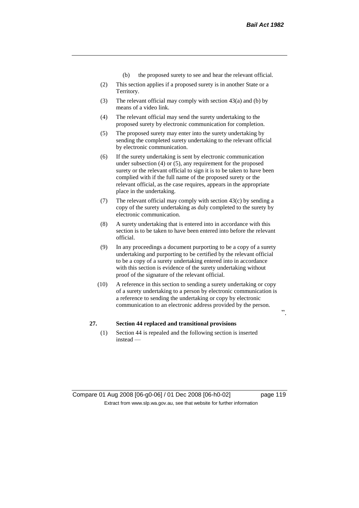- (b) the proposed surety to see and hear the relevant official.
- (2) This section applies if a proposed surety is in another State or a Territory.
- (3) The relevant official may comply with section 43(a) and (b) by means of a video link.
- (4) The relevant official may send the surety undertaking to the proposed surety by electronic communication for completion.
- (5) The proposed surety may enter into the surety undertaking by sending the completed surety undertaking to the relevant official by electronic communication.
- (6) If the surety undertaking is sent by electronic communication under subsection (4) or (5), any requirement for the proposed surety or the relevant official to sign it is to be taken to have been complied with if the full name of the proposed surety or the relevant official, as the case requires, appears in the appropriate place in the undertaking.
- (7) The relevant official may comply with section 43(c) by sending a copy of the surety undertaking as duly completed to the surety by electronic communication.
- (8) A surety undertaking that is entered into in accordance with this section is to be taken to have been entered into before the relevant official.
- (9) In any proceedings a document purporting to be a copy of a surety undertaking and purporting to be certified by the relevant official to be a copy of a surety undertaking entered into in accordance with this section is evidence of the surety undertaking without proof of the signature of the relevant official.
- (10) A reference in this section to sending a surety undertaking or copy of a surety undertaking to a person by electronic communication is a reference to sending the undertaking or copy by electronic communication to an electronic address provided by the person.

## **27. Section 44 replaced and transitional provisions**

(1) Section 44 is repealed and the following section is inserted instead —

 $\cdot$ ,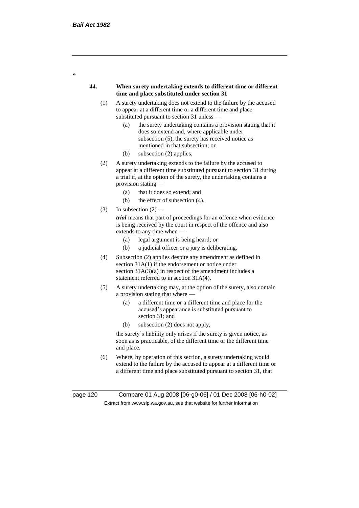$\epsilon$ 

#### **44. When surety undertaking extends to different time or different time and place substituted under section 31**

- (1) A surety undertaking does not extend to the failure by the accused to appear at a different time or a different time and place substituted pursuant to section 31 unless —
	- (a) the surety undertaking contains a provision stating that it does so extend and, where applicable under subsection (5), the surety has received notice as mentioned in that subsection; or
	- (b) subsection (2) applies.
- (2) A surety undertaking extends to the failure by the accused to appear at a different time substituted pursuant to section 31 during a trial if, at the option of the surety, the undertaking contains a provision stating —
	- (a) that it does so extend; and
	- (b) the effect of subsection (4).
- (3) In subsection  $(2)$  –

*trial* means that part of proceedings for an offence when evidence is being received by the court in respect of the offence and also extends to any time when —

- (a) legal argument is being heard; or
- (b) a judicial officer or a jury is deliberating.
- (4) Subsection (2) applies despite any amendment as defined in section 31A(1) if the endorsement or notice under section  $31A(3)(a)$  in respect of the amendment includes a statement referred to in section 31A(4).
- (5) A surety undertaking may, at the option of the surety, also contain a provision stating that where —
	- (a) a different time or a different time and place for the accused's appearance is substituted pursuant to section 31; and
	- (b) subsection (2) does not apply,

the surety's liability only arises if the surety is given notice, as soon as is practicable, of the different time or the different time and place.

(6) Where, by operation of this section, a surety undertaking would extend to the failure by the accused to appear at a different time or a different time and place substituted pursuant to section 31, that

page 120 Compare 01 Aug 2008 [06-g0-06] / 01 Dec 2008 [06-h0-02] Extract from www.slp.wa.gov.au, see that website for further information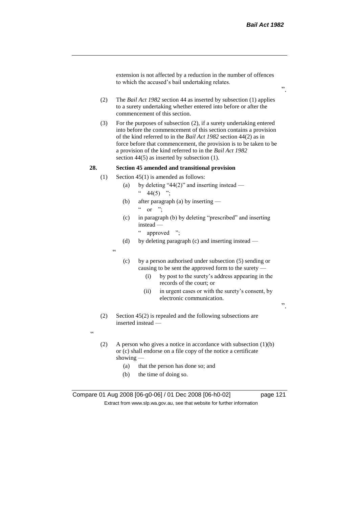extension is not affected by a reduction in the number of offences to which the accused's bail undertaking relates.

- (2) The *Bail Act 1982* section 44 as inserted by subsection (1) applies to a surety undertaking whether entered into before or after the commencement of this section.
- (3) For the purposes of subsection (2), if a surety undertaking entered into before the commencement of this section contains a provision of the kind referred to in the *Bail Act 1982* section 44(2) as in force before that commencement, the provision is to be taken to be a provision of the kind referred to in the *Bail Act 1982*  section 44(5) as inserted by subsection (1).

## **28. Section 45 amended and transitional provision**

- (1) Section 45(1) is amended as follows:
	- (a) by deleting "44(2)" and inserting instead  $44(5)$  ";
	- (b) after paragraph (a) by inserting  $\alpha$  or ".
	- (c) in paragraph (b) by deleting "prescribed" and inserting instead —

" approved ";

(d) by deleting paragraph (c) and inserting instead —

 $\epsilon$ 

- (c) by a person authorised under subsection (5) sending or causing to be sent the approved form to the surety —
	- (i) by post to the surety's address appearing in the records of the court; or
	- (ii) in urgent cases or with the surety's consent, by electronic communication.

".

(2) Section 45(2) is repealed and the following subsections are inserted instead —

 $\epsilon$ 

- (2) A person who gives a notice in accordance with subsection (1)(b) or (c) shall endorse on a file copy of the notice a certificate showing —
	- (a) that the person has done so; and
	- (b) the time of doing so.

".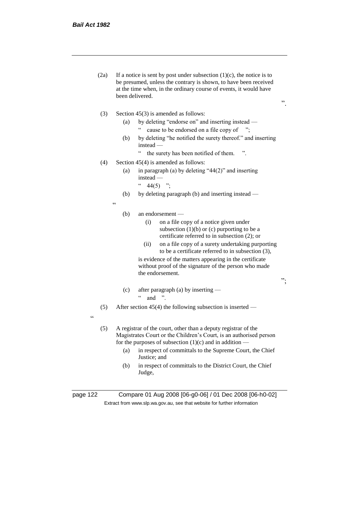- (2a) If a notice is sent by post under subsection  $(1)(c)$ , the notice is to be presumed, unless the contrary is shown, to have been received at the time when, in the ordinary course of events, it would have been delivered.
- (3) Section 45(3) is amended as follows:
	- (a) by deleting "endorse on" and inserting instead " cause to be endorsed on a file copy of ";
		-
	- (b) by deleting "he notified the surety thereof." and inserting instead —

".

";

- " the surety has been notified of them. ".
- (4) Section 45(4) is amended as follows:
	- (a) in paragraph (a) by deleting "44(2)" and inserting instead —
		- $" 44(5) ";$
	- (b) by deleting paragraph (b) and inserting instead —

"

#### (b) an endorsement —

- (i) on a file copy of a notice given under subsection  $(1)(b)$  or  $(c)$  purporting to be a certificate referred to in subsection (2); or
- (ii) on a file copy of a surety undertaking purporting to be a certificate referred to in subsection (3),

is evidence of the matters appearing in the certificate without proof of the signature of the person who made the endorsement.

(c) after paragraph (a) by inserting —  $\lq$  and ".

(5) After section 45(4) the following subsection is inserted —

- "
- (5) A registrar of the court, other than a deputy registrar of the Magistrates Court or the Children's Court, is an authorised person for the purposes of subsection  $(1)(c)$  and in addition —
	- (a) in respect of committals to the Supreme Court, the Chief Justice; and
	- (b) in respect of committals to the District Court, the Chief Judge,

page 122 Compare 01 Aug 2008 [06-g0-06] / 01 Dec 2008 [06-h0-02] Extract from www.slp.wa.gov.au, see that website for further information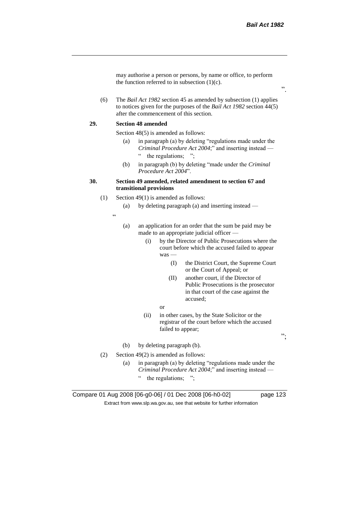".

may authorise a person or persons, by name or office, to perform the function referred to in subsection  $(1)(c)$ .

(6) The *Bail Act 1982* section 45 as amended by subsection (1) applies to notices given for the purposes of the *Bail Act 1982* section 44(5) after the commencement of this section.

#### **29. Section 48 amended**

Section 48(5) is amended as follows:

- (a) in paragraph (a) by deleting "regulations made under the *Criminal Procedure Act 2004*;" and inserting instead — " the regulations;
- (b) in paragraph (b) by deleting "made under the *Criminal Procedure Act 2004*".

## **30. Section 49 amended, related amendment to section 67 and transitional provisions**

- (1) Section 49(1) is amended as follows:
	- (a) by deleting paragraph (a) and inserting instead —
	- "
- (a) an application for an order that the sum be paid may be made to an appropriate judicial officer —
	- (i) by the Director of Public Prosecutions where the court before which the accused failed to appear was —
		- (I) the District Court, the Supreme Court or the Court of Appeal; or
		- (II) another court, if the Director of Public Prosecutions is the prosecutor in that court of the case against the accused;
		- or
	- (ii) in other cases, by the State Solicitor or the registrar of the court before which the accused failed to appear;
- (b) by deleting paragraph (b).
- (2) Section 49(2) is amended as follows:
	- (a) in paragraph (a) by deleting "regulations made under the *Criminal Procedure Act 2004*;" and inserting instead —
		- " the regulations; ";

Compare 01 Aug 2008 [06-g0-06] / 01 Dec 2008 [06-h0-02] page 123 Extract from www.slp.wa.gov.au, see that website for further information

";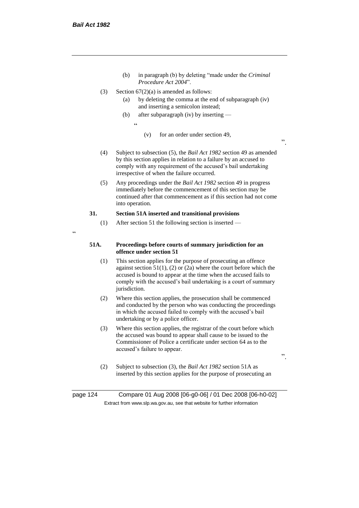- (b) in paragraph (b) by deleting "made under the *Criminal Procedure Act 2004*".
- (3) Section  $67(2)(a)$  is amended as follows:
	- (a) by deleting the comma at the end of subparagraph (iv) and inserting a semicolon instead;
	- (b) after subparagraph (iv) by inserting
		- $\epsilon$
- (v) for an order under section 49,
- (4) Subject to subsection (5), the *Bail Act 1982* section 49 as amended by this section applies in relation to a failure by an accused to comply with any requirement of the accused's bail undertaking irrespective of when the failure occurred.
- (5) Any proceedings under the *Bail Act 1982* section 49 in progress immediately before the commencement of this section may be continued after that commencement as if this section had not come into operation.

## **31. Section 51A inserted and transitional provisions**

- (1) After section 51 the following section is inserted —
- $\epsilon$

#### **51A. Proceedings before courts of summary jurisdiction for an offence under section 51**

- (1) This section applies for the purpose of prosecuting an offence against section  $51(1)$ , (2) or (2a) where the court before which the accused is bound to appear at the time when the accused fails to comply with the accused's bail undertaking is a court of summary jurisdiction.
- (2) Where this section applies, the prosecution shall be commenced and conducted by the person who was conducting the proceedings in which the accused failed to comply with the accused's bail undertaking or by a police officer.
- (3) Where this section applies, the registrar of the court before which the accused was bound to appear shall cause to be issued to the Commissioner of Police a certificate under section 64 as to the accused's failure to appear.
- ".

".

(2) Subject to subsection (3), the *Bail Act 1982* section 51A as inserted by this section applies for the purpose of prosecuting an

page 124 Compare 01 Aug 2008 [06-g0-06] / 01 Dec 2008 [06-h0-02] Extract from www.slp.wa.gov.au, see that website for further information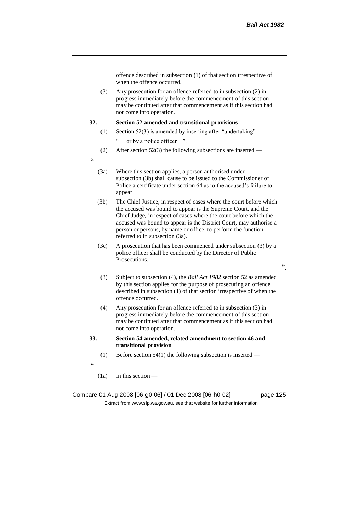offence described in subsection (1) of that section irrespective of when the offence occurred.

(3) Any prosecution for an offence referred to in subsection (2) in progress immediately before the commencement of this section may be continued after that commencement as if this section had not come into operation.

### **32. Section 52 amended and transitional provisions**

- (1) Section 52(3) is amended by inserting after "undertaking"
	- " or by a police officer ".
- (2) After section 52(3) the following subsections are inserted —
- $\epsilon$
- (3a) Where this section applies, a person authorised under subsection (3b) shall cause to be issued to the Commissioner of Police a certificate under section 64 as to the accused's failure to appear.
- (3b) The Chief Justice, in respect of cases where the court before which the accused was bound to appear is the Supreme Court, and the Chief Judge, in respect of cases where the court before which the accused was bound to appear is the District Court, may authorise a person or persons, by name or office, to perform the function referred to in subsection (3a).
- (3c) A prosecution that has been commenced under subsection (3) by a police officer shall be conducted by the Director of Public Prosecutions.
- (3) Subject to subsection (4), the *Bail Act 1982* section 52 as amended by this section applies for the purpose of prosecuting an offence described in subsection (1) of that section irrespective of when the offence occurred.
- (4) Any prosecution for an offence referred to in subsection (3) in progress immediately before the commencement of this section may be continued after that commencement as if this section had not come into operation.
- **33. Section 54 amended, related amendment to section 46 and transitional provision**
	- (1) Before section  $54(1)$  the following subsection is inserted —
- "
- (1a) In this section —

Compare 01 Aug 2008 [06-g0-06] / 01 Dec 2008 [06-h0-02] page 125 Extract from www.slp.wa.gov.au, see that website for further information

".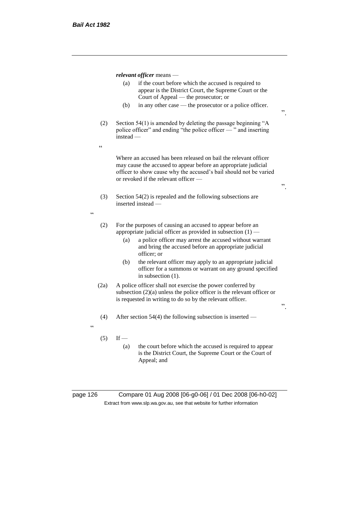*relevant officer* means —

- (a) if the court before which the accused is required to appear is the District Court, the Supreme Court or the Court of Appeal — the prosecutor; or
- (b) in any other case the prosecutor or a police officer.
- (2) Section 54(1) is amended by deleting the passage beginning "A police officer" and ending "the police officer — " and inserting instead —
- $\epsilon$

<u>،</u>

Where an accused has been released on bail the relevant officer may cause the accused to appear before an appropriate judicial officer to show cause why the accused's bail should not be varied or revoked if the relevant officer —

- (3) Section 54(2) is repealed and the following subsections are inserted instead —
- (2) For the purposes of causing an accused to appear before an appropriate judicial officer as provided in subsection (1) —
	- (a) a police officer may arrest the accused without warrant and bring the accused before an appropriate judicial officer; or
	- (b) the relevant officer may apply to an appropriate judicial officer for a summons or warrant on any ground specified in subsection (1).
- (2a) A police officer shall not exercise the power conferred by subsection (2)(a) unless the police officer is the relevant officer or is requested in writing to do so by the relevant officer.
- (4) After section 54(4) the following subsection is inserted —
- 

<u>،</u>

- $(5)$  If
	- (a) the court before which the accused is required to appear is the District Court, the Supreme Court or the Court of Appeal; and

page 126 Compare 01 Aug 2008 [06-g0-06] / 01 Dec 2008 [06-h0-02] Extract from www.slp.wa.gov.au, see that website for further information

".

".

".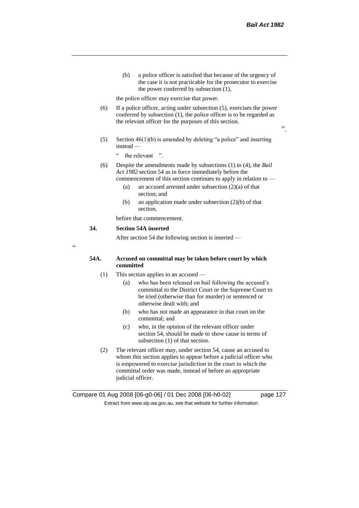".

(b) a police officer is satisfied that because of the urgency of the case it is not practicable for the prosecutor to exercise the power conferred by subsection (1),

the police officer may exercise that power.

- (6) If a police officer, acting under subsection (5), exercises the power conferred by subsection (1), the police officer is to be regarded as the relevant officer for the purposes of this section.
- (5) Section 46(1)(b) is amended by deleting "a police" and inserting instead —
	- " the relevant ".
- (6) Despite the amendments made by subsections (1) to (4), the *Bail Act 1982* section 54 as in force immediately before the commencement of this section continues to apply in relation to —
	- (a) an accused arrested under subsection (2)(a) of that section; and
	- (b) an application made under subsection (2)(b) of that section,

before that commencement.

#### **34. Section 54A inserted**

After section 54 the following section is inserted —

.<br>C

#### **54A. Accused on committal may be taken before court by which committed**

- (1) This section applies to an accused
	- (a) who has been released on bail following the accused's committal to the District Court or the Supreme Court to be tried (otherwise than for murder) or sentenced or otherwise dealt with; and
	- (b) who has not made an appearance in that court on the committal; and
	- (c) who, in the opinion of the relevant officer under section 54, should be made to show cause in terms of subsection (1) of that section.
- (2) The relevant officer may, under section 54, cause an accused to whom this section applies to appear before a judicial officer who is empowered to exercise jurisdiction in the court in which the committal order was made, instead of before an appropriate judicial officer.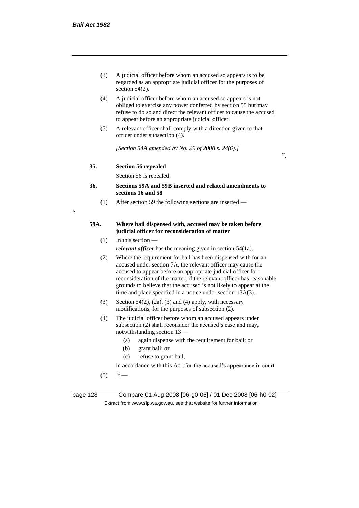- (3) A judicial officer before whom an accused so appears is to be regarded as an appropriate judicial officer for the purposes of section 54(2).
- (4) A judicial officer before whom an accused so appears is not obliged to exercise any power conferred by section 55 but may refuse to do so and direct the relevant officer to cause the accused to appear before an appropriate judicial officer.
- (5) A relevant officer shall comply with a direction given to that officer under subsection (4).

*[Section 54A amended by No. 29 of 2008 s. 24(6).]*

".

#### **35. Section 56 repealed**

Section 56 is repealed.

## **36. Sections 59A and 59B inserted and related amendments to sections 16 and 58**

(1) After section 59 the following sections are inserted —

 $\epsilon$ 

## **59A. Where bail dispensed with, accused may be taken before judicial officer for reconsideration of matter**

 $(1)$  In this section —

*relevant officer* has the meaning given in section 54(1a).

- (2) Where the requirement for bail has been dispensed with for an accused under section 7A, the relevant officer may cause the accused to appear before an appropriate judicial officer for reconsideration of the matter, if the relevant officer has reasonable grounds to believe that the accused is not likely to appear at the time and place specified in a notice under section 13A(3).
- (3) Section 54(2), (2a), (3) and (4) apply, with necessary modifications, for the purposes of subsection (2).
- (4) The judicial officer before whom an accused appears under subsection (2) shall reconsider the accused's case and may, notwithstanding section 13 —
	- (a) again dispense with the requirement for bail; or
	- (b) grant bail; or
	- (c) refuse to grant bail,

in accordance with this Act, for the accused's appearance in court.

 $(5)$  If —

page 128 Compare 01 Aug 2008 [06-g0-06] / 01 Dec 2008 [06-h0-02] Extract from www.slp.wa.gov.au, see that website for further information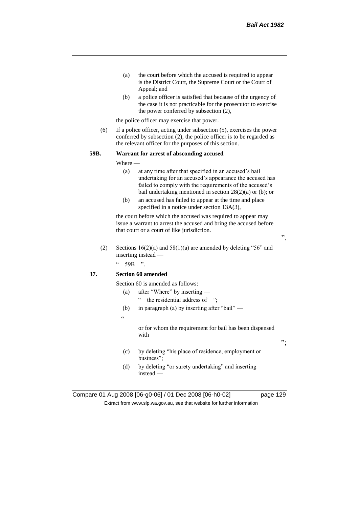- (a) the court before which the accused is required to appear is the District Court, the Supreme Court or the Court of Appeal; and
- (b) a police officer is satisfied that because of the urgency of the case it is not practicable for the prosecutor to exercise the power conferred by subsection (2),

the police officer may exercise that power.

(6) If a police officer, acting under subsection (5), exercises the power conferred by subsection (2), the police officer is to be regarded as the relevant officer for the purposes of this section.

#### **59B. Warrant for arrest of absconding accused**

Where —

- (a) at any time after that specified in an accused's bail undertaking for an accused's appearance the accused has failed to comply with the requirements of the accused's bail undertaking mentioned in section 28(2)(a) or (b); or
- (b) an accused has failed to appear at the time and place specified in a notice under section 13A(3),

the court before which the accused was required to appear may issue a warrant to arrest the accused and bring the accused before that court or a court of like jurisdiction.

(2) Sections  $16(2)(a)$  and  $58(1)(a)$  are amended by deleting "56" and inserting instead —

 $\degree$  59B ".

# **37. Section 60 amended**

- Section 60 is amended as follows:
	- (a) after "Where" by inserting
		- " the residential address of ";
	- (b) in paragraph (a) by inserting after "bail" —
	- $\alpha$

or for whom the requirement for bail has been dispensed with

- (c) by deleting "his place of residence, employment or business";
- (d) by deleting "or surety undertaking" and inserting instead —

Compare 01 Aug 2008 [06-g0-06] / 01 Dec 2008 [06-h0-02] page 129 Extract from www.slp.wa.gov.au, see that website for further information

";

".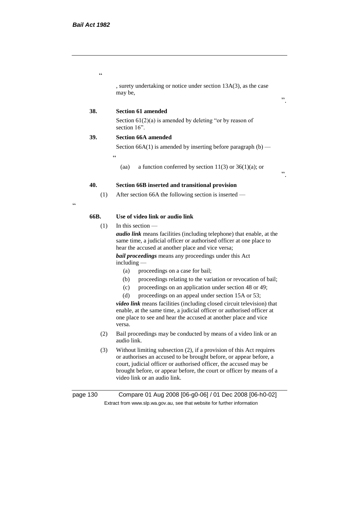$\epsilon$ 

, surety undertaking or notice under section 13A(3), as the case may be,

#### ".

".

## **38. Section 61 amended**

Section  $61(2)(a)$  is amended by deleting "or by reason of section 16".

## **39. Section 66A amended**

 $\epsilon$ 

Section 66A(1) is amended by inserting before paragraph  $(b)$  —

(aa) a function conferred by section  $11(3)$  or  $36(1)(a)$ ; or

## **40. Section 66B inserted and transitional provision**

(1) After section 66A the following section is inserted —

 $\epsilon$ 

## **66B. Use of video link or audio link**

(1) In this section —

*audio link* means facilities (including telephone) that enable, at the same time, a judicial officer or authorised officer at one place to hear the accused at another place and vice versa;

*bail proceedings* means any proceedings under this Act including —

- (a) proceedings on a case for bail;
- (b) proceedings relating to the variation or revocation of bail;
- (c) proceedings on an application under section 48 or 49;
- (d) proceedings on an appeal under section 15A or 53;

*video link* means facilities (including closed circuit television) that enable, at the same time, a judicial officer or authorised officer at one place to see and hear the accused at another place and vice versa.

- (2) Bail proceedings may be conducted by means of a video link or an audio link.
- (3) Without limiting subsection (2), if a provision of this Act requires or authorises an accused to be brought before, or appear before, a court, judicial officer or authorised officer, the accused may be brought before, or appear before, the court or officer by means of a video link or an audio link.

| page 130 | Compare 01 Aug 2008 [06-g0-06] / 01 Dec 2008 [06-h0-02]                  |
|----------|--------------------------------------------------------------------------|
|          | Extract from www.slp.wa.gov.au, see that website for further information |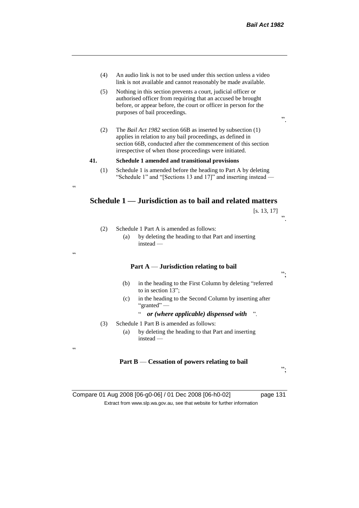- (4) An audio link is not to be used under this section unless a video link is not available and cannot reasonably be made available.
- (5) Nothing in this section prevents a court, judicial officer or authorised officer from requiring that an accused be brought before, or appear before, the court or officer in person for the purposes of bail proceedings.
- (2) The *Bail Act 1982* section 66B as inserted by subsection (1) applies in relation to any bail proceedings, as defined in section 66B, conducted after the commencement of this section irrespective of when those proceedings were initiated.

#### **41. Schedule 1 amended and transitional provisions**

(1) Schedule 1 is amended before the heading to Part A by deleting "Schedule 1" and "[Sections 13 and 17]" and inserting instead —

# **Schedule 1 — Jurisdiction as to bail and related matters**

| [s. 13, 17] |    |
|-------------|----|
|             | ,, |
|             |    |

".

(2) Schedule 1 Part A is amended as follows:

.<br>.<br>.

"

 $\epsilon$ 

(a) by deleting the heading to that Part and inserting instead —

## **Part A** — **Jurisdiction relating to bail**

- (b) in the heading to the First Column by deleting "referred to in section 13";
- (c) in the heading to the Second Column by inserting after "granted" —

## " *or (where applicable) dispensed with* ".

- (3) Schedule 1 Part B is amended as follows:
	- (a) by deleting the heading to that Part and inserting instead —

## **Part B** — **Cessation of powers relating to bail**

";

";

Compare 01 Aug 2008 [06-g0-06] / 01 Dec 2008 [06-h0-02] page 131 Extract from www.slp.wa.gov.au, see that website for further information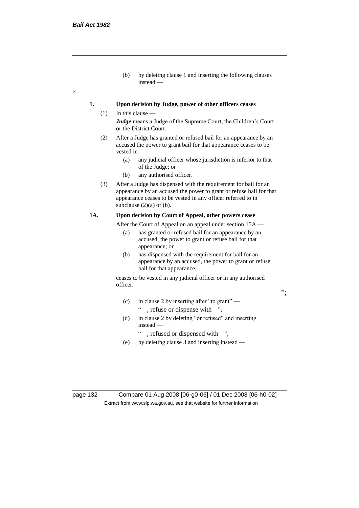$\epsilon$ 

(b) by deleting clause 1 and inserting the following clauses instead —

## **1. Upon decision by Judge, power of other officers ceases**

- $(1)$  In this clause *Judge* means a Judge of the Supreme Court, the Children's Court or the District Court.
	- (2) After a Judge has granted or refused bail for an appearance by an accused the power to grant bail for that appearance ceases to be vested in -
		- (a) any judicial officer whose jurisdiction is inferior to that of the Judge; or
		- (b) any authorised officer.
	- (3) After a Judge has dispensed with the requirement for bail for an appearance by an accused the power to grant or refuse bail for that appearance ceases to be vested in any officer referred to in subclause  $(2)(a)$  or  $(b)$ .

## **1A. Upon decision by Court of Appeal, other powers cease**

After the Court of Appeal on an appeal under section 15A —

- (a) has granted or refused bail for an appearance by an accused, the power to grant or refuse bail for that appearance; or
- (b) has dispensed with the requirement for bail for an appearance by an accused, the power to grant or refuse bail for that appearance,

";

ceases to be vested in any judicial officer or in any authorised officer.

- (c) in clause 2 by inserting after "to grant" " , refuse or dispense with ";
- (d) in clause 2 by deleting "or refused" and inserting instead —
	- ": refused or dispensed with ";
- (e) by deleting clause 3 and inserting instead —

page 132 Compare 01 Aug 2008 [06-g0-06] / 01 Dec 2008 [06-h0-02] Extract from www.slp.wa.gov.au, see that website for further information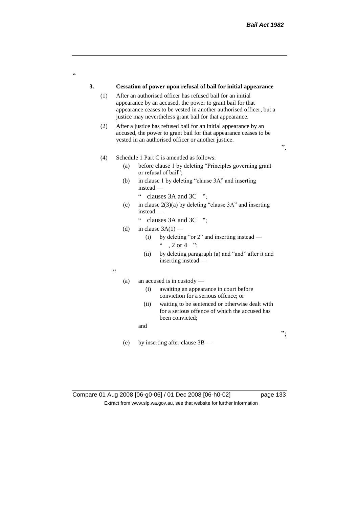";

# **3. Cessation of power upon refusal of bail for initial appearance** (1) After an authorised officer has refused bail for an initial appearance by an accused, the power to grant bail for that appearance ceases to be vested in another authorised officer, but a justice may nevertheless grant bail for that appearance. (2) After a justice has refused bail for an initial appearance by an accused, the power to grant bail for that appearance ceases to be vested in an authorised officer or another justice. ". (4) Schedule 1 Part C is amended as follows: (a) before clause 1 by deleting "Principles governing grant or refusal of bail"; (b) in clause 1 by deleting "clause 3A" and inserting instead — " clauses 3A and 3C "; (c) in clause  $2(3)(a)$  by deleting "clause 3A" and inserting instead — " clauses 3A and 3C "; (d) in clause  $3A(1)$  — (i) by deleting "or 2" and inserting instead —  $\degree$  , 2 or 4  $\degree$ ; (ii) by deleting paragraph (a) and "and" after it and inserting instead —  $\epsilon$ (a) an accused is in custody — (i) awaiting an appearance in court before conviction for a serious offence; or

(ii) waiting to be sentenced or otherwise dealt with for a serious offence of which the accused has been convicted;

and

(e) by inserting after clause 3B —

.<br>C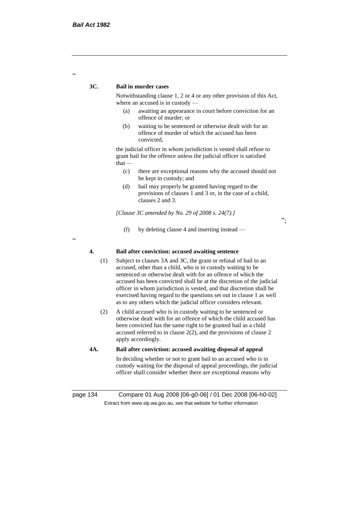$\alpha$ 

#### **3C. Bail in murder cases**

Notwithstanding clause 1, 2 or 4 or any other provision of this Act, where an accused is in custody —

- (a) awaiting an appearance in court before conviction for an offence of murder; or
- (b) waiting to be sentenced or otherwise dealt with for an offence of murder of which the accused has been convicted,

the judicial officer in whom jurisdiction is vested shall refuse to grant bail for the offence unless the judicial officer is satisfied that —

(c) there are exceptional reasons why the accused should not be kept in custody; and

";

(d) bail may properly be granted having regard to the provisions of clauses 1 and 3 or, in the case of a child, clauses 2 and 3.

*[Clause 3C amended by No. 29 of 2008 s. 24(7).]*

(f) by deleting clause 4 and inserting instead —

 $\epsilon$ 

### **4. Bail after conviction: accused awaiting sentence**

- (1) Subject to clauses 3A and 3C, the grant or refusal of bail to an accused, other than a child, who is in custody waiting to be sentenced or otherwise dealt with for an offence of which the accused has been convicted shall be at the discretion of the judicial officer in whom jurisdiction is vested, and that discretion shall be exercised having regard to the questions set out in clause 1 as well as to any others which the judicial officer considers relevant.
- (2) A child accused who is in custody waiting to be sentenced or otherwise dealt with for an offence of which the child accused has been convicted has the same right to be granted bail as a child accused referred to in clause 2(2), and the provisions of clause 2 apply accordingly.
- **4A. Bail after conviction: accused awaiting disposal of appeal**

In deciding whether or not to grant bail to an accused who is in custody waiting for the disposal of appeal proceedings, the judicial officer shall consider whether there are exceptional reasons why

page 134 Compare 01 Aug 2008 [06-g0-06] / 01 Dec 2008 [06-h0-02] Extract from www.slp.wa.gov.au, see that website for further information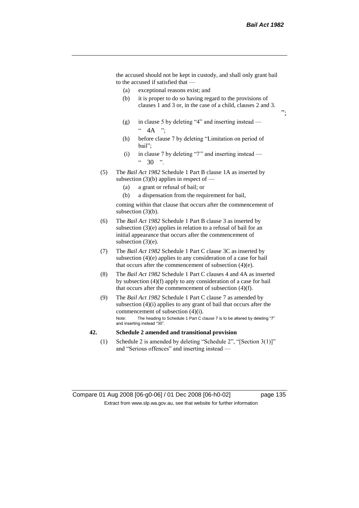";

the accused should not be kept in custody, and shall only grant bail to the accused if satisfied that —

- (a) exceptional reasons exist; and
- (b) it is proper to do so having regard to the provisions of clauses 1 and 3 or, in the case of a child, clauses 2 and 3.
- (g) in clause 5 by deleting "4" and inserting instead  $\degree$  4A ":
- (h) before clause 7 by deleting "Limitation on period of bail";
- (i) in clause 7 by deleting "7" and inserting instead  $30<sup>°</sup>$
- (5) The *Bail Act 1982* Schedule 1 Part B clause 1A as inserted by subsection  $(3)(b)$  applies in respect of —
	- (a) a grant or refusal of bail; or
	- (b) a dispensation from the requirement for bail,

coming within that clause that occurs after the commencement of subsection (3)(b).

- (6) The *Bail Act 1982* Schedule 1 Part B clause 3 as inserted by subsection (3)(e) applies in relation to a refusal of bail for an initial appearance that occurs after the commencement of subsection (3)(e).
- (7) The *Bail Act 1982* Schedule 1 Part C clause 3C as inserted by subsection (4)(e) applies to any consideration of a case for bail that occurs after the commencement of subsection (4)(e).
- (8) The *Bail Act 1982* Schedule 1 Part C clauses 4 and 4A as inserted by subsection (4)(f) apply to any consideration of a case for bail that occurs after the commencement of subsection (4)(f).
- (9) The *Bail Act 1982* Schedule 1 Part C clause 7 as amended by subsection (4)(i) applies to any grant of bail that occurs after the commencement of subsection (4)(i). Note: The heading to Schedule 1 Part C clause 7 is to be altered by deleting "7" and inserting instead "30".

#### **42. Schedule 2 amended and transitional provision**

(1) Schedule 2 is amended by deleting "Schedule 2", "[Section 3(1)]" and "Serious offences" and inserting instead —

Compare 01 Aug 2008 [06-g0-06] / 01 Dec 2008 [06-h0-02] page 135 Extract from www.slp.wa.gov.au, see that website for further information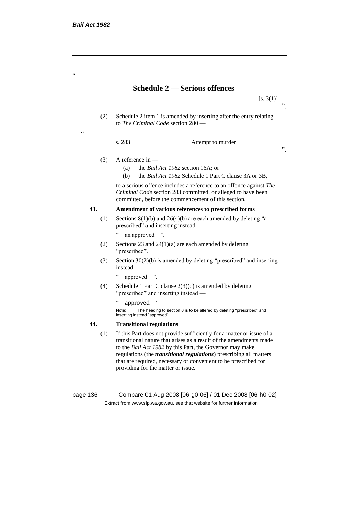"

 $\epsilon$ 

# **Schedule 2 — Serious offences**

 $[s. 3(1)]$  $\cdot$ ,

".

(2) Schedule 2 item 1 is amended by inserting after the entry relating to *The Criminal Code* section 280 —

s. 283 Attempt to murder

- (3) A reference in
	- (a) the *Bail Act 1982* section 16A; or
	- (b) the *Bail Act 1982* Schedule 1 Part C clause 3A or 3B,

to a serious offence includes a reference to an offence against *The Criminal Code* section 283 committed, or alleged to have been committed, before the commencement of this section.

## **43. Amendment of various references to prescribed forms**

- (1) Sections  $8(1)(b)$  and  $26(4)(b)$  are each amended by deleting "a prescribed" and inserting instead —
	- " an approved ".
- (2) Sections 23 and  $24(1)(a)$  are each amended by deleting "prescribed".
- (3) Section 30(2)(b) is amended by deleting "prescribed" and inserting instead —
	- " approved ".
- (4) Schedule 1 Part C clause  $2(3)(c)$  is amended by deleting "prescribed" and inserting instead —
	- " approved ".

Note: The heading to section 8 is to be altered by deleting "prescribed" and inserting instead "approved".

## **44. Transitional regulations**

(1) If this Part does not provide sufficiently for a matter or issue of a transitional nature that arises as a result of the amendments made to the *Bail Act 1982* by this Part, the Governor may make regulations (the *transitional regulations*) prescribing all matters that are required, necessary or convenient to be prescribed for providing for the matter or issue.

page 136 Compare 01 Aug 2008 [06-g0-06] / 01 Dec 2008 [06-h0-02] Extract from www.slp.wa.gov.au, see that website for further information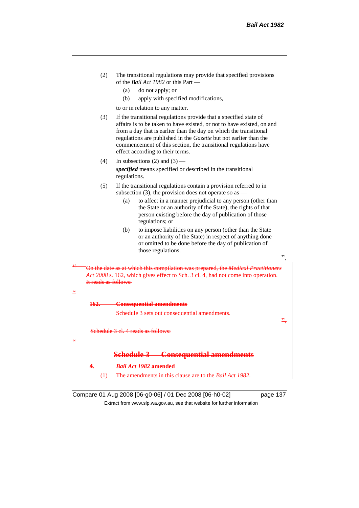| (2) | The transitional regulations may provide that specified provisions |
|-----|--------------------------------------------------------------------|
|     | of the <i>Bail Act 1982</i> or this Part —                         |

- (a) do not apply; or
- (b) apply with specified modifications,

to or in relation to any matter.

- (3) If the transitional regulations provide that a specified state of affairs is to be taken to have existed, or not to have existed, on and from a day that is earlier than the day on which the transitional regulations are published in the *Gazette* but not earlier than the commencement of this section, the transitional regulations have effect according to their terms.
- (4) In subsections (2) and (3) *specified* means specified or described in the transitional regulations.
- (5) If the transitional regulations contain a provision referred to in subsection (3), the provision does not operate so as  $-$ 
	- (a) to affect in a manner prejudicial to any person (other than the State or an authority of the State), the rights of that person existing before the day of publication of those regulations; or
	- (b) to impose liabilities on any person (other than the State or an authority of the State) in respect of anything done or omitted to be done before the day of publication of those regulations.

<sup>15</sup> On the date as at which this compilation was prepared, the *Medical Practitioners Act 2008* s. 162, which gives effect to Sch. 3 cl. 4, had not come into operation. It reads as follows:

| ×<br>i | I |
|--------|---|
|        |   |

**162. Consequential amendments**

Schedule 3 sets out consequential amendments.

Schedule 3 cl. 4 reads as follows:

 $\zeta\zeta$ 

# **Schedule 3 — Consequential amendments**

**4.** *Bail Act 1982* **amended**

(1) The amendments in this clause are to the *Bail Act 1982*.

Compare 01 Aug 2008 [06-g0-06] / 01 Dec 2008 [06-h0-02] page 137 Extract from www.slp.wa.gov.au, see that website for further information

".

".